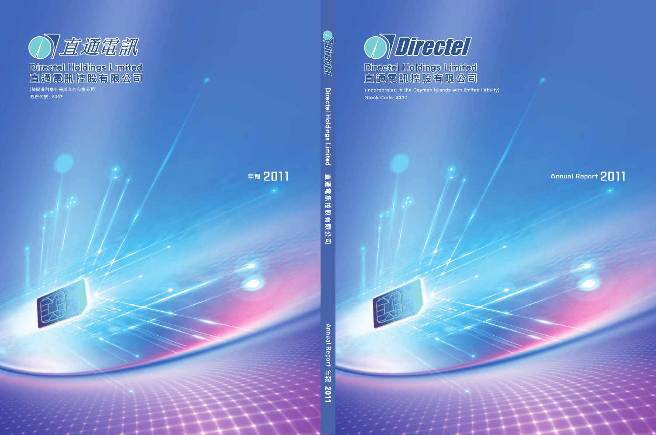

(Incorporated in the Cayman Islands with limited liability) Stock Code: 8337

Annual Report 2011

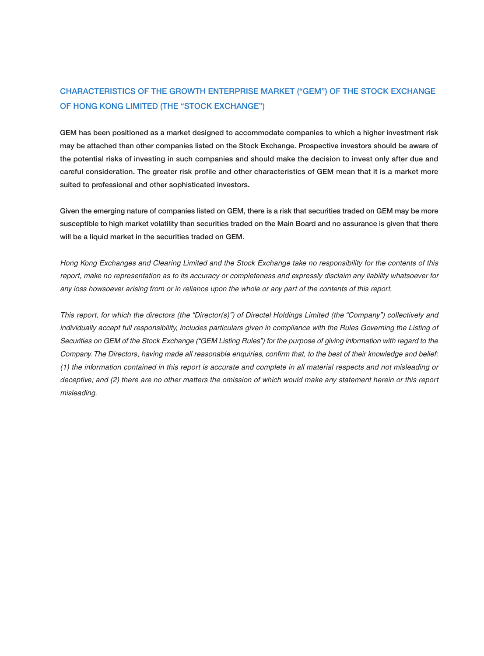### **CHARACTERISTICS OF THE GROWTH ENTERPRISE MARKET ("GEM") OF THE STOCK EXCHANGE OF HONG KONG LIMITED (THE "STOCK EXCHANGE")**

**GEM has been positioned as a market designed to accommodate companies to which a higher investment risk may be attached than other companies listed on the Stock Exchange. Prospective investors should be aware of the potential risks of investing in such companies and should make the decision to invest only after due and careful consideration. The greater risk profile and other characteristics of GEM mean that it is a market more suited to professional and other sophisticated investors.**

**Given the emerging nature of companies listed on GEM, there is a risk that securities traded on GEM may be more susceptible to high market volatility than securities traded on the Main Board and no assurance is given that there will be a liquid market in the securities traded on GEM.**

Hong Kong Exchanges and Clearing Limited and the Stock Exchange take no responsibility for the contents of this report, make no representation as to its accuracy or completeness and expressly disclaim any liability whatsoever for any loss howsoever arising from or in reliance upon the whole or any part of the contents of this report.

This report, for which the directors (the "Director(s)") of Directel Holdings Limited (the "Company") collectively and individually accept full responsibility, includes particulars given in compliance with the Rules Governing the Listing of Securities on GEM of the Stock Exchange ("GEM Listing Rules") for the purpose of giving information with regard to the Company. The Directors, having made all reasonable enquiries, confirm that, to the best of their knowledge and belief: (1) the information contained in this report is accurate and complete in all material respects and not misleading or deceptive; and (2) there are no other matters the omission of which would make any statement herein or this report misleading.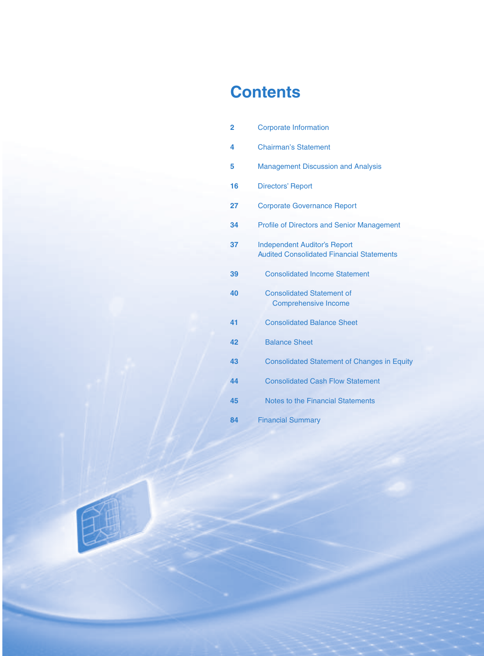# **Contents**

| 2  | <b>Corporate Information</b>                                                            |
|----|-----------------------------------------------------------------------------------------|
| 4  | <b>Chairman's Statement</b>                                                             |
| 5  | <b>Management Discussion and Analysis</b>                                               |
| 16 | <b>Directors' Report</b>                                                                |
| 27 | <b>Corporate Governance Report</b>                                                      |
| 34 | <b>Profile of Directors and Senior Management</b>                                       |
| 37 | <b>Independent Auditor's Report</b><br><b>Audited Consolidated Financial Statements</b> |
| 39 | <b>Consolidated Income Statement</b>                                                    |
| 40 | <b>Consolidated Statement of</b><br><b>Comprehensive Income</b>                         |
| 41 | <b>Consolidated Balance Sheet</b>                                                       |
| 42 | <b>Balance Sheet</b>                                                                    |
| 43 | <b>Consolidated Statement of Changes in Equity</b>                                      |
| 44 | <b>Consolidated Cash Flow Statement</b>                                                 |
| 45 | Notes to the Financial Statements                                                       |
| 84 | <b>Financial Summary</b>                                                                |
|    |                                                                                         |

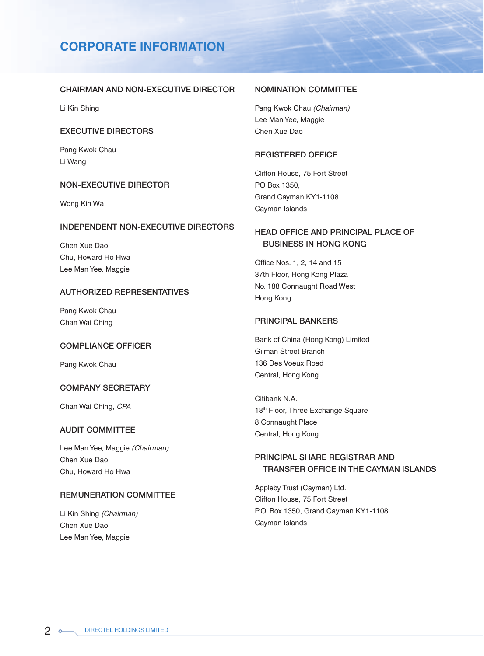### **CORPORATE INFORMATION**

#### **CHAIRMAN AND NON-EXECUTIVE DIRECTOR**

Li Kin Shing

#### **EXECUTIVE DIRECTORS**

Pang Kwok Chau Li Wang

### **NON-EXECUTIVE DIRECTOR**

Wong Kin Wa

#### **INDEPENDENT NON-EXECUTIVE DIRECTORS**

Chen Xue Dao Chu, Howard Ho Hwa Lee Man Yee, Maggie

#### **AUTHORIZED REPRESENTATIVES**

Pang Kwok Chau Chan Wai Ching

#### **COMPLIANCE OFFICER**

Pang Kwok Chau

#### **COMPANY SECRETARY**

Chan Wai Ching, CPA

#### **AUDIT COMMITTEE**

Lee Man Yee, Maggie (Chairman) Chen Xue Dao Chu, Howard Ho Hwa

#### **REMUNERATION COMMITTEE**

Li Kin Shing (Chairman) Chen Xue Dao Lee Man Yee, Maggie

#### **NOMINATION COMMITTEE**

Pang Kwok Chau (Chairman) Lee Man Yee, Maggie Chen Xue Dao

#### **REGISTERED OFFICE**

Clifton House, 75 Fort Street PO Box 1350, Grand Cayman KY1-1108 Cayman Islands

### **HEAD OFFICE AND PRINCIPAL PLACE OF BUSINESS IN HONG KONG**

Office Nos. 1, 2, 14 and 15 37th Floor, Hong Kong Plaza No. 188 Connaught Road West Hong Kong

#### **PRINCIPAL BANKERS**

Bank of China (Hong Kong) Limited Gilman Street Branch 136 Des Voeux Road Central, Hong Kong

Citibank N.A. 18<sup>th</sup> Floor, Three Exchange Square 8 Connaught Place Central, Hong Kong

#### **PRINCIPAL SHARE REGISTRAR AND TRANSFER OFFICE IN THE CAYMAN ISLANDS**

Appleby Trust (Cayman) Ltd. Clifton House, 75 Fort Street P.O. Box 1350, Grand Cayman KY1-1108 Cayman Islands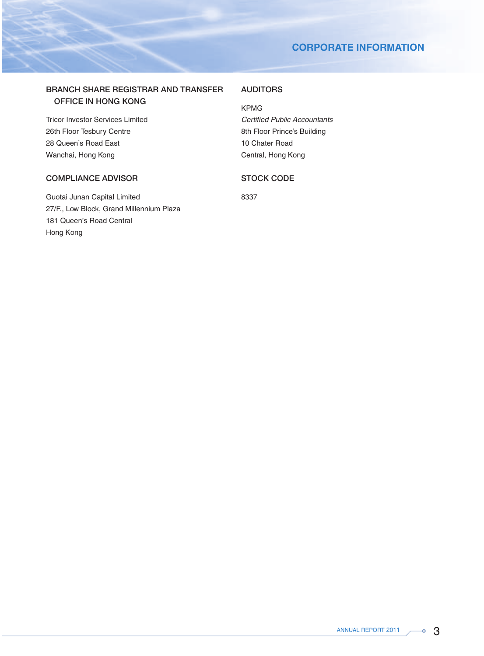### **CORPORATE INFORMATION**

### **BRANCH SHARE REGISTRAR AND TRANSFER OFFICE IN HONG KONG**

Tricor Investor Services Limited 26th Floor Tesbury Centre 28 Queen's Road East Wanchai, Hong Kong

### **COMPLIANCE ADVISOR**

Guotai Junan Capital Limited 27/F., Low Block, Grand Millennium Plaza 181 Queen's Road Central Hong Kong

#### **AUDITORS**

KPMG

Certified Public Accountants 8th Floor Prince's Building 10 Chater Road Central, Hong Kong

### **STOCK CODE**

8337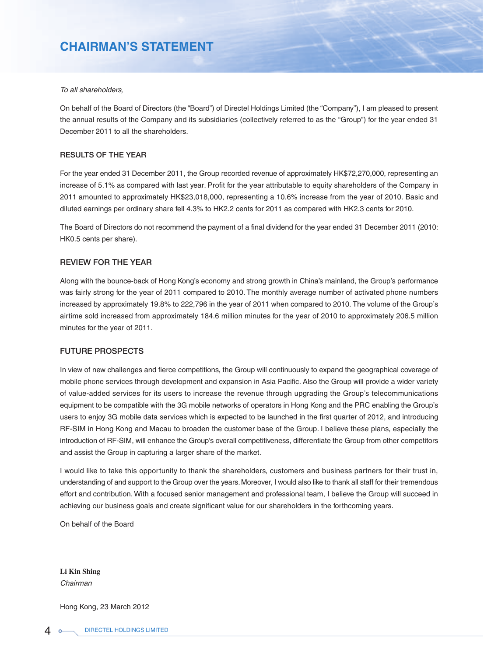## **CHAIRMAN'S STATEMENT**

#### To all shareholders,

On behalf of the Board of Directors (the "Board") of Directel Holdings Limited (the "Company"), I am pleased to present the annual results of the Company and its subsidiaries (collectively referred to as the "Group") for the year ended 31 December 2011 to all the shareholders.

#### **RESULTS OF THE YEAR**

For the year ended 31 December 2011, the Group recorded revenue of approximately HK\$72,270,000, representing an increase of 5.1% as compared with last year. Profit for the year attributable to equity shareholders of the Company in 2011 amounted to approximately HK\$23,018,000, representing a 10.6% increase from the year of 2010. Basic and diluted earnings per ordinary share fell 4.3% to HK2.2 cents for 2011 as compared with HK2.3 cents for 2010.

The Board of Directors do not recommend the payment of a final dividend for the year ended 31 December 2011 (2010: HK0.5 cents per share).

#### **REVIEW FOR THE YEAR**

Along with the bounce-back of Hong Kong's economy and strong growth in China's mainland, the Group's performance was fairly strong for the year of 2011 compared to 2010. The monthly average number of activated phone numbers increased by approximately 19.8% to 222,796 in the year of 2011 when compared to 2010. The volume of the Group's airtime sold increased from approximately 184.6 million minutes for the year of 2010 to approximately 206.5 million minutes for the year of 2011.

#### **FUTURE PROSPECTS**

In view of new challenges and fierce competitions, the Group will continuously to expand the geographical coverage of mobile phone services through development and expansion in Asia Pacific. Also the Group will provide a wider variety of value-added services for its users to increase the revenue through upgrading the Group's telecommunications equipment to be compatible with the 3G mobile networks of operators in Hong Kong and the PRC enabling the Group's users to enjoy 3G mobile data services which is expected to be launched in the first quarter of 2012, and introducing RF-SIM in Hong Kong and Macau to broaden the customer base of the Group. I believe these plans, especially the introduction of RF-SIM, will enhance the Group's overall competitiveness, differentiate the Group from other competitors and assist the Group in capturing a larger share of the market.

I would like to take this opportunity to thank the shareholders, customers and business partners for their trust in, understanding of and support to the Group over the years. Moreover, I would also like to thank all staff for their tremendous effort and contribution. With a focused senior management and professional team, I believe the Group will succeed in achieving our business goals and create significant value for our shareholders in the forthcoming years.

On behalf of the Board

**Li Kin Shing** Chairman

Hong Kong, 23 March 2012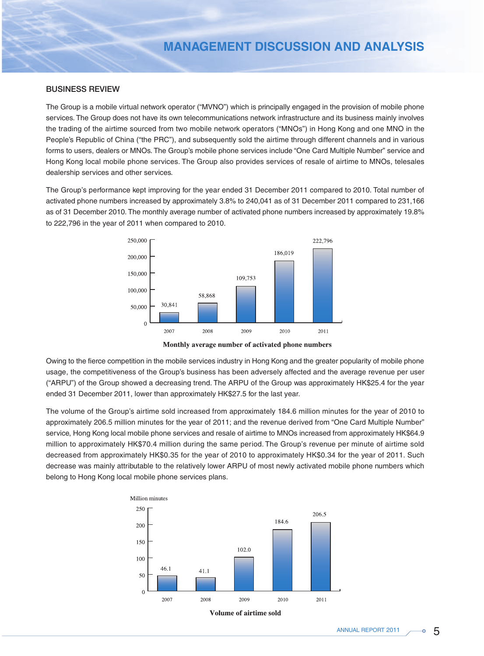#### **BUSINESS REVIEW**

The Group is a mobile virtual network operator ("MVNO") which is principally engaged in the provision of mobile phone services. The Group does not have its own telecommunications network infrastructure and its business mainly involves the trading of the airtime sourced from two mobile network operators ("MNOs") in Hong Kong and one MNO in the People's Republic of China ("the PRC"), and subsequently sold the airtime through different channels and in various forms to users, dealers or MNOs. The Group's mobile phone services include "One Card Multiple Number" service and Hong Kong local mobile phone services. The Group also provides services of resale of airtime to MNOs, telesales dealership services and other services.

The Group's performance kept improving for the year ended 31 December 2011 compared to 2010. Total number of activated phone numbers increased by approximately 3.8% to 240,041 as of 31 December 2011 compared to 231,166 as of 31 December 2010. The monthly average number of activated phone numbers increased by approximately 19.8% to 222,796 in the year of 2011 when compared to 2010.



Monthly average number of activated phone numbers

Owing to the fierce competition in the mobile services industry in Hong Kong and the greater popularity of mobile phone usage, the competitiveness of the Group's business has been adversely affected and the average revenue per user ("ARPU") of the Group showed a decreasing trend. The ARPU of the Group was approximately HK\$25.4 for the year ended 31 December 2011, lower than approximately HK\$27.5 for the last year.

The volume of the Group's airtime sold increased from approximately 184.6 million minutes for the year of 2010 to approximately 206.5 million minutes for the year of 2011; and the revenue derived from "One Card Multiple Number" service, Hong Kong local mobile phone services and resale of airtime to MNOs increased from approximately HK\$64.9 million to approximately HK\$70.4 million during the same period. The Group's revenue per minute of airtime sold decreased from approximately HK\$0.35 for the year of 2010 to approximately HK\$0.34 for the year of 2011. Such decrease was mainly attributable to the relatively lower ARPU of most newly activated mobile phone numbers which belong to Hong Kong local mobile phone services plans.

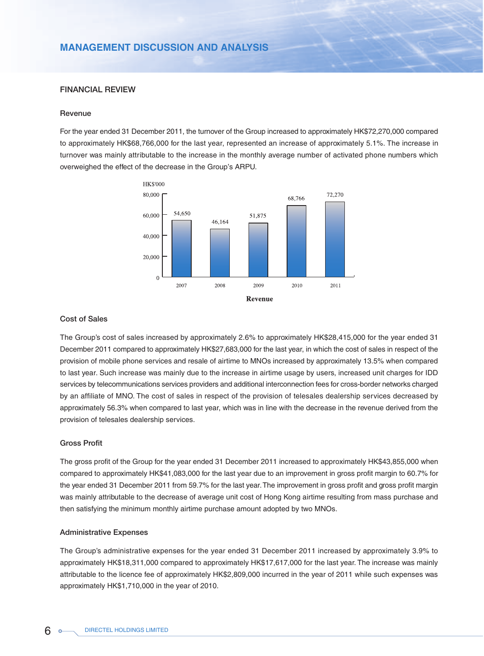#### **FINANCIAL REVIEW**

#### **Revenue**

For the year ended 31 December 2011, the turnover of the Group increased to approximately HK\$72,270,000 compared to approximately HK\$68,766,000 for the last year, represented an increase of approximately 5.1%. The increase in turnover was mainly attributable to the increase in the monthly average number of activated phone numbers which overweighed the effect of the decrease in the Group's ARPU.



#### **Cost of Sales**

The Group's cost of sales increased by approximately 2.6% to approximately HK\$28,415,000 for the year ended 31 December 2011 compared to approximately HK\$27,683,000 for the last year, in which the cost of sales in respect of the provision of mobile phone services and resale of airtime to MNOs increased by approximately 13.5% when compared to last year. Such increase was mainly due to the increase in airtime usage by users, increased unit charges for IDD services by telecommunications services providers and additional interconnection fees for cross-border networks charged by an affiliate of MNO. The cost of sales in respect of the provision of telesales dealership services decreased by approximately 56.3% when compared to last year, which was in line with the decrease in the revenue derived from the provision of telesales dealership services.

#### **Gross Profit**

The gross profit of the Group for the year ended 31 December 2011 increased to approximately HK\$43,855,000 when compared to approximately HK\$41,083,000 for the last year due to an improvement in gross profit margin to 60.7% for the year ended 31 December 2011 from 59.7% for the last year. The improvement in gross profit and gross profit margin was mainly attributable to the decrease of average unit cost of Hong Kong airtime resulting from mass purchase and then satisfying the minimum monthly airtime purchase amount adopted by two MNOs.

#### **Administrative Expenses**

The Group's administrative expenses for the year ended 31 December 2011 increased by approximately 3.9% to approximately HK\$18,311,000 compared to approximately HK\$17,617,000 for the last year. The increase was mainly attributable to the licence fee of approximately HK\$2,809,000 incurred in the year of 2011 while such expenses was approximately HK\$1,710,000 in the year of 2010.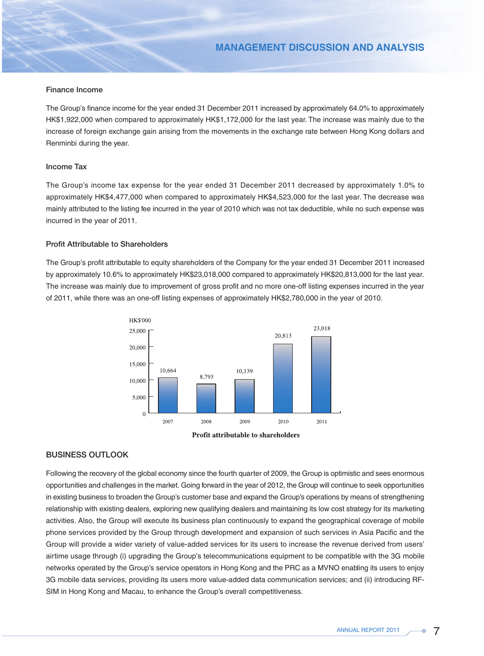#### **Finance Income**

The Group's finance income for the year ended 31 December 2011 increased by approximately 64.0% to approximately HK\$1,922,000 when compared to approximately HK\$1,172,000 for the last year. The increase was mainly due to the increase of foreign exchange gain arising from the movements in the exchange rate between Hong Kong dollars and Renminbi during the year.

#### **Income Tax**

The Group's income tax expense for the year ended 31 December 2011 decreased by approximately 1.0% to approximately HK\$4,477,000 when compared to approximately HK\$4,523,000 for the last year. The decrease was mainly attributed to the listing fee incurred in the year of 2010 which was not tax deductible, while no such expense was incurred in the year of 2011.

#### **Profit Attributable to Shareholders**

The Group's profit attributable to equity shareholders of the Company for the year ended 31 December 2011 increased by approximately 10.6% to approximately HK\$23,018,000 compared to approximately HK\$20,813,000 for the last year. The increase was mainly due to improvement of gross profit and no more one-off listing expenses incurred in the year of 2011, while there was an one-off listing expenses of approximately HK\$2,780,000 in the year of 2010.



Profit attributable to shareholders

#### **BUSINESS OUTLOOK**

Following the recovery of the global economy since the fourth quarter of 2009, the Group is optimistic and sees enormous opportunities and challenges in the market. Going forward in the year of 2012, the Group will continue to seek opportunities in existing business to broaden the Group's customer base and expand the Group's operations by means of strengthening relationship with existing dealers, exploring new qualifying dealers and maintaining its low cost strategy for its marketing activities. Also, the Group will execute its business plan continuously to expand the geographical coverage of mobile phone services provided by the Group through development and expansion of such services in Asia Pacific and the Group will provide a wider variety of value-added services for its users to increase the revenue derived from users' airtime usage through (i) upgrading the Group's telecommunications equipment to be compatible with the 3G mobile networks operated by the Group's service operators in Hong Kong and the PRC as a MVNO enabling its users to enjoy 3G mobile data services, providing its users more value-added data communication services; and (ii) introducing RF-SIM in Hong Kong and Macau, to enhance the Group's overall competitiveness.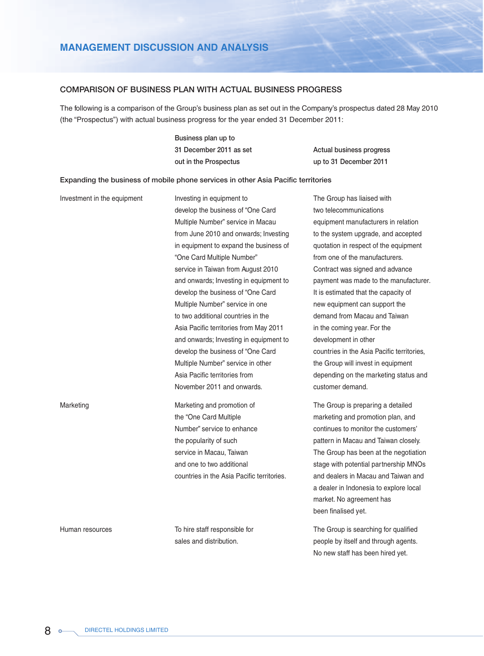#### **COMPARISON OF BUSINESS PLAN WITH ACTUAL BUSINESS PROGRESS**

The following is a comparison of the Group's business plan as set out in the Company's prospectus dated 28 May 2010 (the "Prospectus") with actual business progress for the year ended 31 December 2011:

|                             | Business plan up to                                                               |                            |
|-----------------------------|-----------------------------------------------------------------------------------|----------------------------|
|                             | 31 December 2011 as set                                                           | Actual business progress   |
|                             | out in the Prospectus                                                             | up to 31 December 2011     |
|                             | Expanding the business of mobile phone services in other Asia Pacific territories |                            |
| Investment in the equipment | Investing in equipment to                                                         | The Group has liaised with |
|                             | develop the business of "One Card"                                                | two telecommunications     |

|                 | Multiple Number" service in Macau          | equipment manufacturers in relation        |
|-----------------|--------------------------------------------|--------------------------------------------|
|                 | from June 2010 and onwards; Investing      | to the system upgrade, and accepted        |
|                 | in equipment to expand the business of     | quotation in respect of the equipment      |
|                 | "One Card Multiple Number"                 | from one of the manufacturers.             |
|                 | service in Taiwan from August 2010         | Contract was signed and advance            |
|                 | and onwards; Investing in equipment to     | payment was made to the manufacturer.      |
|                 | develop the business of "One Card          | It is estimated that the capacity of       |
|                 | Multiple Number" service in one            | new equipment can support the              |
|                 | to two additional countries in the         | demand from Macau and Taiwan               |
|                 | Asia Pacific territories from May 2011     | in the coming year. For the                |
|                 | and onwards; Investing in equipment to     | development in other                       |
|                 | develop the business of "One Card          | countries in the Asia Pacific territories, |
|                 | Multiple Number" service in other          | the Group will invest in equipment         |
|                 | Asia Pacific territories from              | depending on the marketing status and      |
|                 | November 2011 and onwards.                 | customer demand.                           |
| Marketing       | Marketing and promotion of                 | The Group is preparing a detailed          |
|                 | the "One Card Multiple"                    | marketing and promotion plan, and          |
|                 | Number" service to enhance                 | continues to monitor the customers'        |
|                 | the popularity of such                     | pattern in Macau and Taiwan closely.       |
|                 | service in Macau, Taiwan                   | The Group has been at the negotiation      |
|                 | and one to two additional                  | stage with potential partnership MNOs      |
|                 | countries in the Asia Pacific territories. | and dealers in Macau and Taiwan and        |
|                 |                                            | a dealer in Indonesia to explore local     |
|                 |                                            | market. No agreement has                   |
|                 |                                            | been finalised yet.                        |
| Human resources | To hire staff responsible for              | The Group is searching for qualified       |
|                 | sales and distribution.                    | people by itself and through agents.       |

No new staff has been hired yet.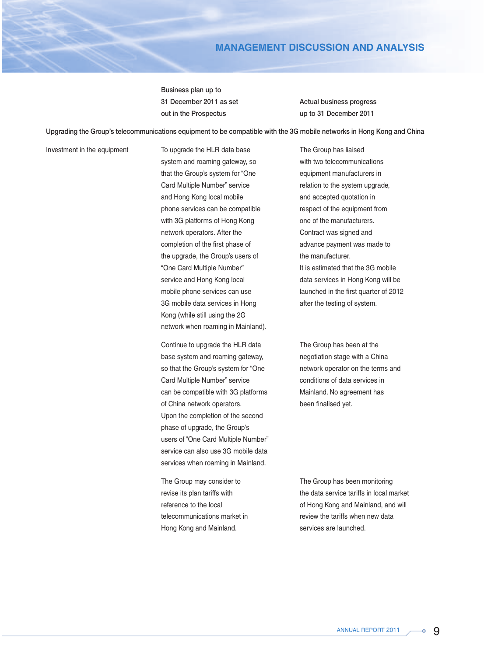**Business plan up to 31 December 2011 as set Actual business progress out in the Prospectus up to 31 December 2011**

**Upgrading the Group's telecommunications equipment to be compatible with the 3G mobile networks in Hong Kong and China**

Investment in the equipment To upgrade the HLR data base The Group has liaised

system and roaming gateway, so with two telecommunications that the Group's system for "One equipment manufacturers in Card Multiple Number" service relation to the system upgrade, and Hong Kong local mobile and accepted quotation in phone services can be compatible respect of the equipment from with 3G platforms of Hong Kong one of the manufacturers. network operators. After the Contract was signed and completion of the first phase of advance payment was made to the upgrade, the Group's users of the manufacturer. "One Card Multiple Number" It is estimated that the 3G mobile service and Hong Kong local data services in Hong Kong will be mobile phone services can use launched in the first quarter of 2012 3G mobile data services in Hong after the testing of system. Kong (while still using the 2G network when roaming in Mainland).

Continue to upgrade the HLR data The Group has been at the base system and roaming gateway, megotiation stage with a China so that the Group's system for "One network operator on the terms and Card Multiple Number" service conditions of data services in can be compatible with 3G platforms Mainland. No agreement has of China network operators. been finalised yet. Upon the completion of the second phase of upgrade, the Group's users of "One Card Multiple Number" service can also use 3G mobile data services when roaming in Mainland.

Hong Kong and Mainland. Services are launched.

The Group may consider to The Group has been monitoring revise its plan tariffs with the data service tariffs in local market reference to the local of Hong Kong and Mainland, and will telecommunications market in review the tariffs when new data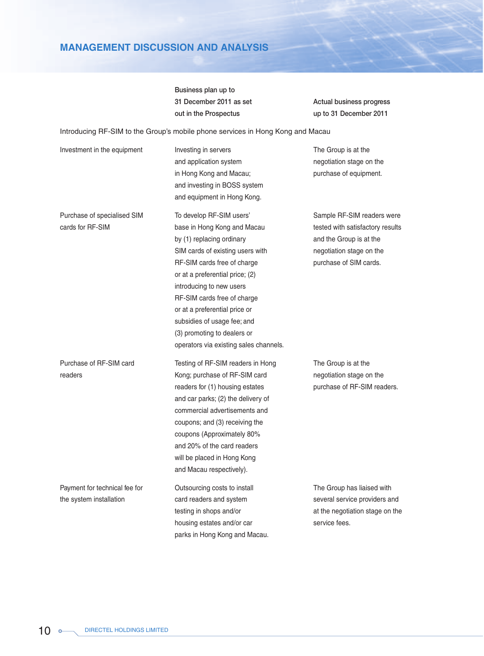**Business plan up to 31 December 2011 as set Actual business progress** 

**out in the Prospectus up to 31 December 2011**

Introducing RF-SIM to the Group's mobile phone services in Hong Kong and Macau

| Investment in the equipment                              | Investing in servers<br>and application system<br>in Hong Kong and Macau;<br>and investing in BOSS system<br>and equipment in Hong Kong.                                                                                                                                                                                                                                                       | The Group is at the<br>negotiation stage on the<br>purchase of equipment.                                                                       |
|----------------------------------------------------------|------------------------------------------------------------------------------------------------------------------------------------------------------------------------------------------------------------------------------------------------------------------------------------------------------------------------------------------------------------------------------------------------|-------------------------------------------------------------------------------------------------------------------------------------------------|
| Purchase of specialised SIM<br>cards for RF-SIM          | To develop RF-SIM users'<br>base in Hong Kong and Macau<br>by (1) replacing ordinary<br>SIM cards of existing users with<br>RF-SIM cards free of charge<br>or at a preferential price; (2)<br>introducing to new users<br>RF-SIM cards free of charge<br>or at a preferential price or<br>subsidies of usage fee; and<br>(3) promoting to dealers or<br>operators via existing sales channels. | Sample RF-SIM readers were<br>tested with satisfactory results<br>and the Group is at the<br>negotiation stage on the<br>purchase of SIM cards. |
| Purchase of RF-SIM card<br>readers                       | Testing of RF-SIM readers in Hong<br>Kong; purchase of RF-SIM card<br>readers for (1) housing estates<br>and car parks; (2) the delivery of<br>commercial advertisements and<br>coupons; and (3) receiving the<br>coupons (Approximately 80%<br>and 20% of the card readers<br>will be placed in Hong Kong<br>and Macau respectively).                                                         | The Group is at the<br>negotiation stage on the<br>purchase of RF-SIM readers.                                                                  |
| Payment for technical fee for<br>the system installation | Outsourcing costs to install<br>card readers and system<br>testing in shops and/or<br>housing estates and/or car<br>parks in Hong Kong and Macau.                                                                                                                                                                                                                                              | The Group has liaised with<br>several service providers and<br>at the negotiation stage on the<br>service fees.                                 |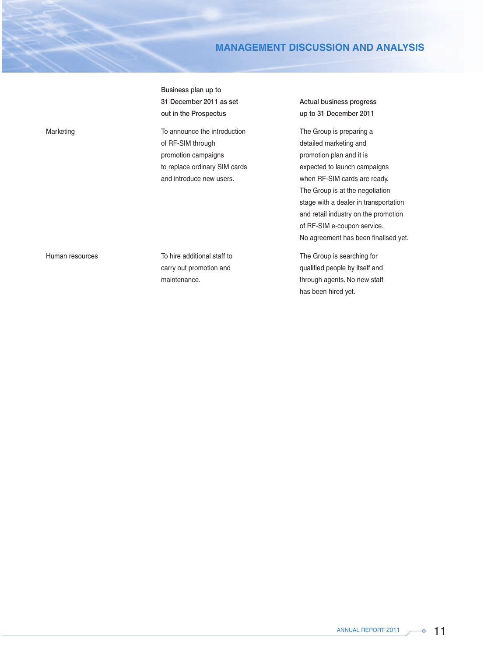**Business plan up to 31 December 2011 as set Actual business progress out in the Prospectus up to 31 December 2011**

Marketing Marketing To announce the introduction The Group is preparing a of RF-SIM through detailed marketing and promotion campaigns promotion plan and it is

to replace ordinary SIM cards expected to launch campaigns and introduce new users. when RF-SIM cards are ready. The Group is at the negotiation stage with a dealer in transportation and retail industry on the promotion of RF-SIM e-coupon service. No agreement has been finalised yet.

Human resources To hire additional staff to The Group is searching for carry out promotion and qualified people by itself and maintenance. The contract of through agents. No new staff has been hired yet.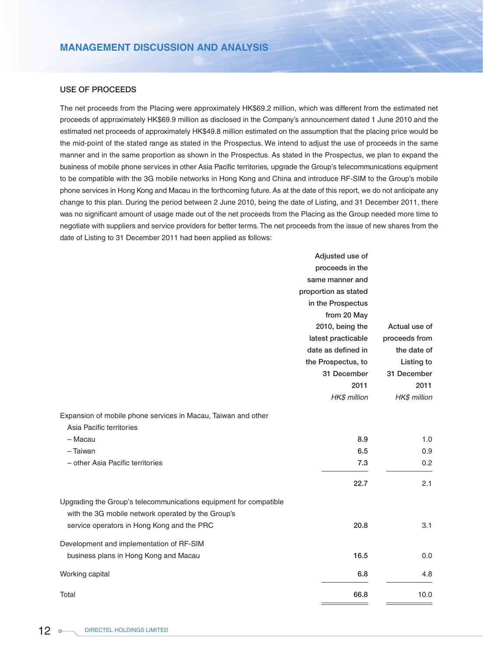#### **USE OF PROCEEDS**

The net proceeds from the Placing were approximately HK\$69.2 million, which was different from the estimated net proceeds of approximately HK\$69.9 million as disclosed in the Company's announcement dated 1 June 2010 and the estimated net proceeds of approximately HK\$49.8 million estimated on the assumption that the placing price would be the mid-point of the stated range as stated in the Prospectus. We intend to adjust the use of proceeds in the same manner and in the same proportion as shown in the Prospectus. As stated in the Prospectus, we plan to expand the business of mobile phone services in other Asia Pacific territories, upgrade the Group's telecommunications equipment to be compatible with the 3G mobile networks in Hong Kong and China and introduce RF-SIM to the Group's mobile phone services in Hong Kong and Macau in the forthcoming future. As at the date of this report, we do not anticipate any change to this plan. During the period between 2 June 2010, being the date of Listing, and 31 December 2011, there was no significant amount of usage made out of the net proceeds from the Placing as the Group needed more time to negotiate with suppliers and service providers for better terms. The net proceeds from the issue of new shares from the date of Listing to 31 December 2011 had been applied as follows:

|                                                                                           | Adjusted use of      |               |
|-------------------------------------------------------------------------------------------|----------------------|---------------|
|                                                                                           | proceeds in the      |               |
|                                                                                           | same manner and      |               |
|                                                                                           | proportion as stated |               |
|                                                                                           | in the Prospectus    |               |
|                                                                                           | from 20 May          |               |
|                                                                                           | 2010, being the      | Actual use of |
|                                                                                           | latest practicable   | proceeds from |
|                                                                                           | date as defined in   | the date of   |
|                                                                                           | the Prospectus, to   | Listing to    |
|                                                                                           | 31 December          | 31 December   |
|                                                                                           | 2011                 | 2011          |
|                                                                                           | HK\$ million         | HK\$ million  |
| Expansion of mobile phone services in Macau, Taiwan and other<br>Asia Pacific territories |                      |               |
| - Macau                                                                                   | 8.9                  | 1.0           |
| - Taiwan                                                                                  | 6.5                  | 0.9           |
| - other Asia Pacific territories                                                          | 7.3                  | 0.2           |
|                                                                                           | 22.7                 | 2.1           |
| Upgrading the Group's telecommunications equipment for compatible                         |                      |               |
| with the 3G mobile network operated by the Group's                                        |                      |               |
| service operators in Hong Kong and the PRC                                                | 20.8                 | 3.1           |
| Development and implementation of RF-SIM                                                  |                      |               |
| business plans in Hong Kong and Macau                                                     | 16.5                 | 0.0           |
| Working capital                                                                           | 6.8                  | 4.8           |
| Total                                                                                     | 66.8                 | 10.0          |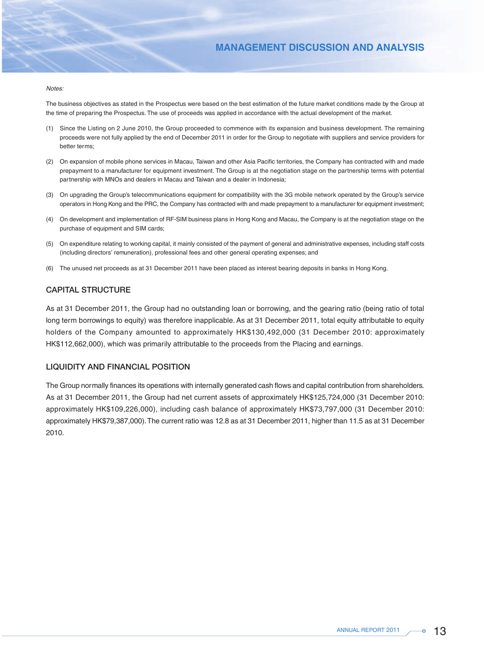#### Notes:

The business objectives as stated in the Prospectus were based on the best estimation of the future market conditions made by the Group at the time of preparing the Prospectus. The use of proceeds was applied in accordance with the actual development of the market.

- (1) Since the Listing on 2 June 2010, the Group proceeded to commence with its expansion and business development. The remaining proceeds were not fully applied by the end of December 2011 in order for the Group to negotiate with suppliers and service providers for better terms;
- (2) On expansion of mobile phone services in Macau, Taiwan and other Asia Pacific territories, the Company has contracted with and made prepayment to a manufacturer for equipment investment. The Group is at the negotiation stage on the partnership terms with potential partnership with MNOs and dealers in Macau and Taiwan and a dealer in Indonesia;
- (3) On upgrading the Group's telecommunications equipment for compatibility with the 3G mobile network operated by the Group's service operators in Hong Kong and the PRC, the Company has contracted with and made prepayment to a manufacturer for equipment investment;
- (4) On development and implementation of RF-SIM business plans in Hong Kong and Macau, the Company is at the negotiation stage on the purchase of equipment and SIM cards;
- (5) On expenditure relating to working capital, it mainly consisted of the payment of general and administrative expenses, including staff costs (including directors' remuneration), professional fees and other general operating expenses; and
- (6) The unused net proceeds as at 31 December 2011 have been placed as interest bearing deposits in banks in Hong Kong.

#### **CAPITAL STRUCTURE**

As at 31 December 2011, the Group had no outstanding loan or borrowing, and the gearing ratio (being ratio of total long term borrowings to equity) was therefore inapplicable. As at 31 December 2011, total equity attributable to equity holders of the Company amounted to approximately HK\$130,492,000 (31 December 2010: approximately HK\$112,662,000), which was primarily attributable to the proceeds from the Placing and earnings.

#### **LIQUIDITY AND FINANCIAL POSITION**

The Group normally finances its operations with internally generated cash flows and capital contribution from shareholders. As at 31 December 2011, the Group had net current assets of approximately HK\$125,724,000 (31 December 2010: approximately HK\$109,226,000), including cash balance of approximately HK\$73,797,000 (31 December 2010: approximately HK\$79,387,000). The current ratio was 12.8 as at 31 December 2011, higher than 11.5 as at 31 December 2010.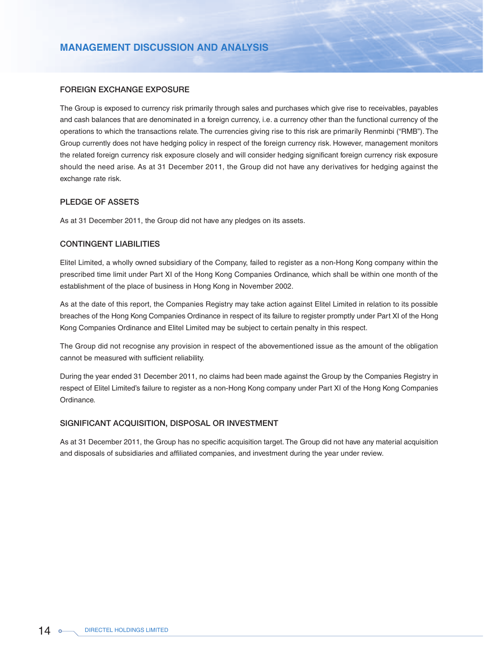#### **FOREIGN EXCHANGE EXPOSURE**

The Group is exposed to currency risk primarily through sales and purchases which give rise to receivables, payables and cash balances that are denominated in a foreign currency, i.e. a currency other than the functional currency of the operations to which the transactions relate. The currencies giving rise to this risk are primarily Renminbi ("RMB"). The Group currently does not have hedging policy in respect of the foreign currency risk. However, management monitors the related foreign currency risk exposure closely and will consider hedging significant foreign currency risk exposure should the need arise. As at 31 December 2011, the Group did not have any derivatives for hedging against the exchange rate risk.

#### **PLEDGE OF ASSETS**

As at 31 December 2011, the Group did not have any pledges on its assets.

#### **CONTINGENT LIABILITIES**

Elitel Limited, a wholly owned subsidiary of the Company, failed to register as a non-Hong Kong company within the prescribed time limit under Part XI of the Hong Kong Companies Ordinance, which shall be within one month of the establishment of the place of business in Hong Kong in November 2002.

As at the date of this report, the Companies Registry may take action against Elitel Limited in relation to its possible breaches of the Hong Kong Companies Ordinance in respect of its failure to register promptly under Part XI of the Hong Kong Companies Ordinance and Elitel Limited may be subject to certain penalty in this respect.

The Group did not recognise any provision in respect of the abovementioned issue as the amount of the obligation cannot be measured with sufficient reliability.

During the year ended 31 December 2011, no claims had been made against the Group by the Companies Registry in respect of Elitel Limited's failure to register as a non-Hong Kong company under Part XI of the Hong Kong Companies Ordinance.

#### **SIGNIFICANT ACQUISITION, DISPOSAL OR INVESTMENT**

As at 31 December 2011, the Group has no specific acquisition target. The Group did not have any material acquisition and disposals of subsidiaries and affiliated companies, and investment during the year under review.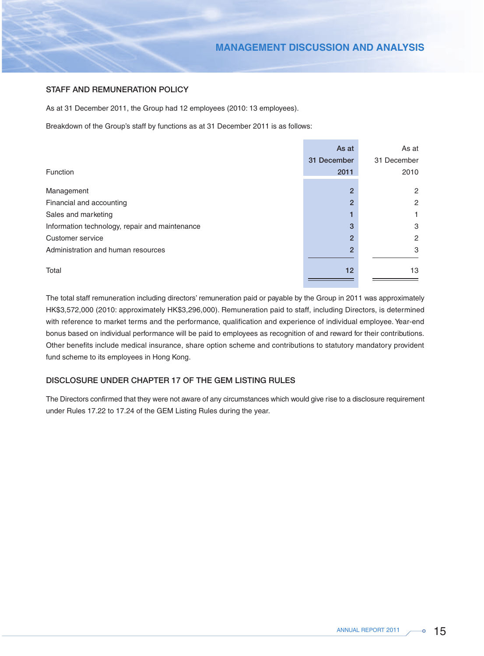#### **STAFF AND REMUNERATION POLICY**

As at 31 December 2011, the Group had 12 employees (2010: 13 employees).

Breakdown of the Group's staff by functions as at 31 December 2011 is as follows:

|                                                | As at          | As at          |
|------------------------------------------------|----------------|----------------|
|                                                | 31 December    | 31 December    |
| Function                                       | 2011           | 2010           |
| Management                                     | $\mathcal{P}$  | 2              |
| Financial and accounting                       | $\overline{2}$ | $\overline{2}$ |
| Sales and marketing                            |                |                |
| Information technology, repair and maintenance | 3              | 3              |
| Customer service                               | $\overline{2}$ | 2              |
| Administration and human resources             | $\overline{2}$ | 3              |
| Total                                          | 12             | 13             |

The total staff remuneration including directors' remuneration paid or payable by the Group in 2011 was approximately HK\$3,572,000 (2010: approximately HK\$3,296,000). Remuneration paid to staff, including Directors, is determined with reference to market terms and the performance, qualification and experience of individual employee. Year-end bonus based on individual performance will be paid to employees as recognition of and reward for their contributions. Other benefits include medical insurance, share option scheme and contributions to statutory mandatory provident fund scheme to its employees in Hong Kong.

#### **DISCLOSURE UNDER CHAPTER 17 OF THE GEM LISTING RULES**

The Directors confirmed that they were not aware of any circumstances which would give rise to a disclosure requirement under Rules 17.22 to 17.24 of the GEM Listing Rules during the year.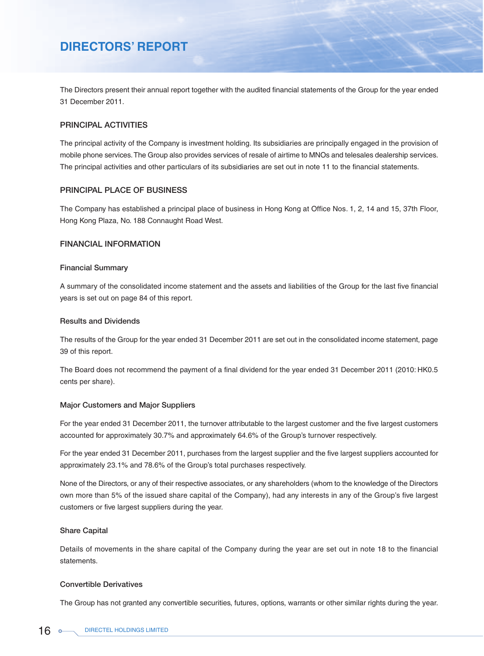### **DIRECTORS' REPORT**

The Directors present their annual report together with the audited financial statements of the Group for the year ended 31 December 2011.

#### **PRINCIPAL ACTIVITIES**

The principal activity of the Company is investment holding. Its subsidiaries are principally engaged in the provision of mobile phone services. The Group also provides services of resale of airtime to MNOs and telesales dealership services. The principal activities and other particulars of its subsidiaries are set out in note 11 to the financial statements.

#### **PRINCIPAL PLACE OF BUSINESS**

The Company has established a principal place of business in Hong Kong at Office Nos. 1, 2, 14 and 15, 37th Floor, Hong Kong Plaza, No. 188 Connaught Road West.

#### **FINANCIAL INFORMATION**

#### **Financial Summary**

A summary of the consolidated income statement and the assets and liabilities of the Group for the last five financial years is set out on page 84 of this report.

#### **Results and Dividends**

The results of the Group for the year ended 31 December 2011 are set out in the consolidated income statement, page 39 of this report.

The Board does not recommend the payment of a final dividend for the year ended 31 December 2011 (2010: HK0.5 cents per share).

#### **Major Customers and Major Suppliers**

For the year ended 31 December 2011, the turnover attributable to the largest customer and the five largest customers accounted for approximately 30.7% and approximately 64.6% of the Group's turnover respectively.

For the year ended 31 December 2011, purchases from the largest supplier and the five largest suppliers accounted for approximately 23.1% and 78.6% of the Group's total purchases respectively.

None of the Directors, or any of their respective associates, or any shareholders (whom to the knowledge of the Directors own more than 5% of the issued share capital of the Company), had any interests in any of the Group's five largest customers or five largest suppliers during the year.

#### **Share Capital**

Details of movements in the share capital of the Company during the year are set out in note 18 to the financial statements.

#### **Convertible Derivatives**

The Group has not granted any convertible securities, futures, options, warrants or other similar rights during the year.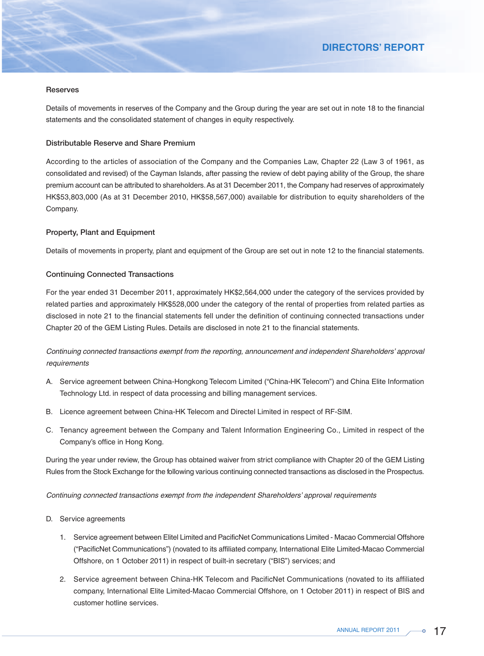#### **Reserves**

Details of movements in reserves of the Company and the Group during the year are set out in note 18 to the financial statements and the consolidated statement of changes in equity respectively.

#### **Distributable Reserve and Share Premium**

According to the articles of association of the Company and the Companies Law, Chapter 22 (Law 3 of 1961, as consolidated and revised) of the Cayman Islands, after passing the review of debt paying ability of the Group, the share premium account can be attributed to shareholders. As at 31 December 2011, the Company had reserves of approximately HK\$53,803,000 (As at 31 December 2010, HK\$58,567,000) available for distribution to equity shareholders of the Company.

#### **Property, Plant and Equipment**

Details of movements in property, plant and equipment of the Group are set out in note 12 to the financial statements.

#### **Continuing Connected Transactions**

For the year ended 31 December 2011, approximately HK\$2,564,000 under the category of the services provided by related parties and approximately HK\$528,000 under the category of the rental of properties from related parties as disclosed in note 21 to the financial statements fell under the definition of continuing connected transactions under Chapter 20 of the GEM Listing Rules. Details are disclosed in note 21 to the financial statements.

#### Continuing connected transactions exempt from the reporting, announcement and independent Shareholders' approval requirements

- A. Service agreement between China-Hongkong Telecom Limited ("China-HK Telecom") and China Elite Information Technology Ltd. in respect of data processing and billing management services.
- B. Licence agreement between China-HK Telecom and Directel Limited in respect of RF-SIM.
- C. Tenancy agreement between the Company and Talent Information Engineering Co., Limited in respect of the Company's office in Hong Kong.

During the year under review, the Group has obtained waiver from strict compliance with Chapter 20 of the GEM Listing Rules from the Stock Exchange for the following various continuing connected transactions as disclosed in the Prospectus.

#### Continuing connected transactions exempt from the independent Shareholders' approval requirements

- D. Service agreements
	- 1. Service agreement between Elitel Limited and PacificNet Communications Limited Macao Commercial Offshore ("PacificNet Communications") (novated to its affiliated company, International Elite Limited-Macao Commercial Offshore, on 1 October 2011) in respect of built-in secretary ("BIS") services; and
	- 2. Service agreement between China-HK Telecom and PacificNet Communications (novated to its affiliated company, International Elite Limited-Macao Commercial Offshore, on 1 October 2011) in respect of BIS and customer hotline services.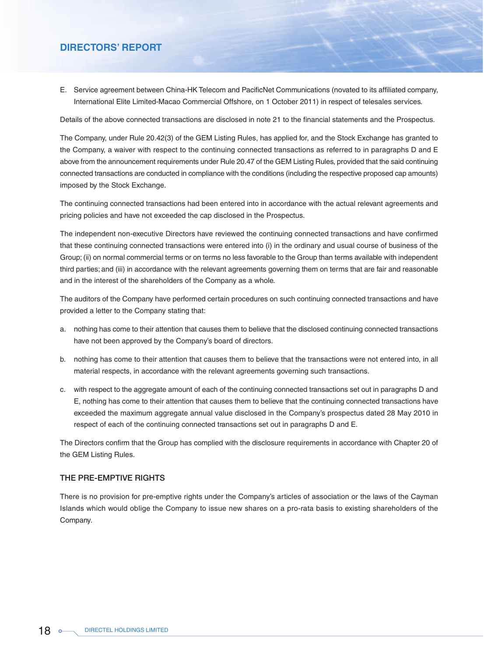### **DIRECTORS' REPORT**

E. Service agreement between China-HK Telecom and PacificNet Communications (novated to its affiliated company, International Elite Limited-Macao Commercial Offshore, on 1 October 2011) in respect of telesales services.

Details of the above connected transactions are disclosed in note 21 to the financial statements and the Prospectus.

The Company, under Rule 20.42(3) of the GEM Listing Rules, has applied for, and the Stock Exchange has granted to the Company, a waiver with respect to the continuing connected transactions as referred to in paragraphs D and E above from the announcement requirements under Rule 20.47 of the GEM Listing Rules, provided that the said continuing connected transactions are conducted in compliance with the conditions (including the respective proposed cap amounts) imposed by the Stock Exchange.

The continuing connected transactions had been entered into in accordance with the actual relevant agreements and pricing policies and have not exceeded the cap disclosed in the Prospectus.

The independent non-executive Directors have reviewed the continuing connected transactions and have confirmed that these continuing connected transactions were entered into (i) in the ordinary and usual course of business of the Group; (ii) on normal commercial terms or on terms no less favorable to the Group than terms available with independent third parties; and (iii) in accordance with the relevant agreements governing them on terms that are fair and reasonable and in the interest of the shareholders of the Company as a whole.

The auditors of the Company have performed certain procedures on such continuing connected transactions and have provided a letter to the Company stating that:

- a. nothing has come to their attention that causes them to believe that the disclosed continuing connected transactions have not been approved by the Company's board of directors.
- b. nothing has come to their attention that causes them to believe that the transactions were not entered into, in all material respects, in accordance with the relevant agreements governing such transactions.
- c. with respect to the aggregate amount of each of the continuing connected transactions set out in paragraphs D and E, nothing has come to their attention that causes them to believe that the continuing connected transactions have exceeded the maximum aggregate annual value disclosed in the Company's prospectus dated 28 May 2010 in respect of each of the continuing connected transactions set out in paragraphs D and E.

The Directors confirm that the Group has complied with the disclosure requirements in accordance with Chapter 20 of the GEM Listing Rules.

#### **THE PRE-EMPTIVE RIGHTS**

There is no provision for pre-emptive rights under the Company's articles of association or the laws of the Cayman Islands which would oblige the Company to issue new shares on a pro-rata basis to existing shareholders of the Company.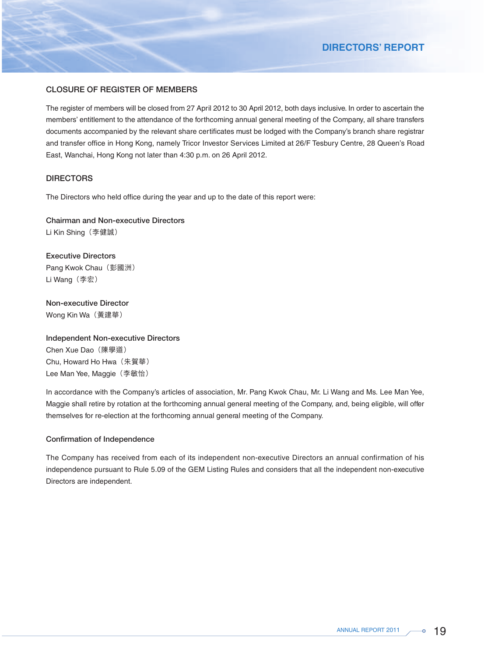#### **CLOSURE OF REGISTER OF MEMBERS**

The register of members will be closed from 27 April 2012 to 30 April 2012, both days inclusive. In order to ascertain the members' entitlement to the attendance of the forthcoming annual general meeting of the Company, all share transfers documents accompanied by the relevant share certificates must be lodged with the Company's branch share registrar and transfer office in Hong Kong, namely Tricor Investor Services Limited at 26/F Tesbury Centre, 28 Queen's Road East, Wanchai, Hong Kong not later than 4:30 p.m. on 26 April 2012.

#### **DIRECTORS**

The Directors who held office during the year and up to the date of this report were:

**Chairman and Non-executive Directors** Li Kin Shing (李健誠)

**Executive Directors** Pang Kwok Chau (彭國洲) Li Wang(李宏)

**Non-executive Director** Wong Kin Wa (黃建華)

**Independent Non-executive Directors** Chen Xue Dao(陳學道) Chu, Howard Ho Hwa(朱賀華) Lee Man Yee, Maggie (李敏怡)

In accordance with the Company's articles of association, Mr. Pang Kwok Chau, Mr. Li Wang and Ms. Lee Man Yee, Maggie shall retire by rotation at the forthcoming annual general meeting of the Company, and, being eligible, will offer themselves for re-election at the forthcoming annual general meeting of the Company.

#### **Confirmation of Independence**

The Company has received from each of its independent non-executive Directors an annual confirmation of his independence pursuant to Rule 5.09 of the GEM Listing Rules and considers that all the independent non-executive Directors are independent.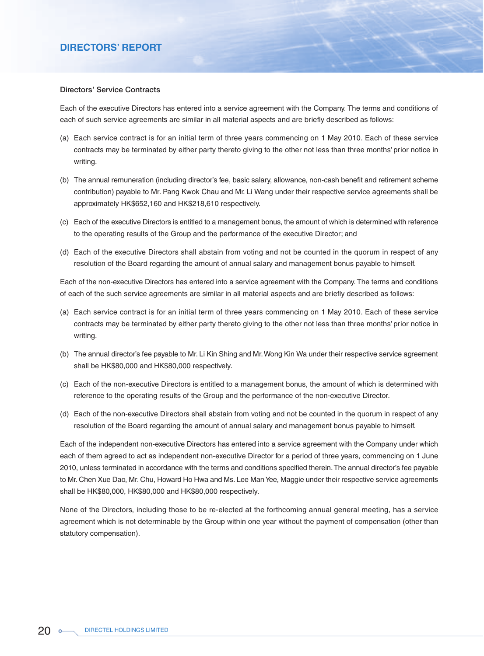### **DIRECTORS' REPORT**

#### **Directors' Service Contracts**

Each of the executive Directors has entered into a service agreement with the Company. The terms and conditions of each of such service agreements are similar in all material aspects and are briefly described as follows:

- (a) Each service contract is for an initial term of three years commencing on 1 May 2010. Each of these service contracts may be terminated by either party thereto giving to the other not less than three months' prior notice in writing.
- (b) The annual remuneration (including director's fee, basic salary, allowance, non-cash benefit and retirement scheme contribution) payable to Mr. Pang Kwok Chau and Mr. Li Wang under their respective service agreements shall be approximately HK\$652,160 and HK\$218,610 respectively.
- (c) Each of the executive Directors is entitled to a management bonus, the amount of which is determined with reference to the operating results of the Group and the performance of the executive Director; and
- (d) Each of the executive Directors shall abstain from voting and not be counted in the quorum in respect of any resolution of the Board regarding the amount of annual salary and management bonus payable to himself.

Each of the non-executive Directors has entered into a service agreement with the Company. The terms and conditions of each of the such service agreements are similar in all material aspects and are briefly described as follows:

- (a) Each service contract is for an initial term of three years commencing on 1 May 2010. Each of these service contracts may be terminated by either party thereto giving to the other not less than three months' prior notice in writing.
- (b) The annual director's fee payable to Mr. Li Kin Shing and Mr. Wong Kin Wa under their respective service agreement shall be HK\$80,000 and HK\$80,000 respectively.
- (c) Each of the non-executive Directors is entitled to a management bonus, the amount of which is determined with reference to the operating results of the Group and the performance of the non-executive Director.
- (d) Each of the non-executive Directors shall abstain from voting and not be counted in the quorum in respect of any resolution of the Board regarding the amount of annual salary and management bonus payable to himself.

Each of the independent non-executive Directors has entered into a service agreement with the Company under which each of them agreed to act as independent non-executive Director for a period of three years, commencing on 1 June 2010, unless terminated in accordance with the terms and conditions specified therein. The annual director's fee payable to Mr. Chen Xue Dao, Mr. Chu, Howard Ho Hwa and Ms. Lee Man Yee, Maggie under their respective service agreements shall be HK\$80,000, HK\$80,000 and HK\$80,000 respectively.

None of the Directors, including those to be re-elected at the forthcoming annual general meeting, has a service agreement which is not determinable by the Group within one year without the payment of compensation (other than statutory compensation).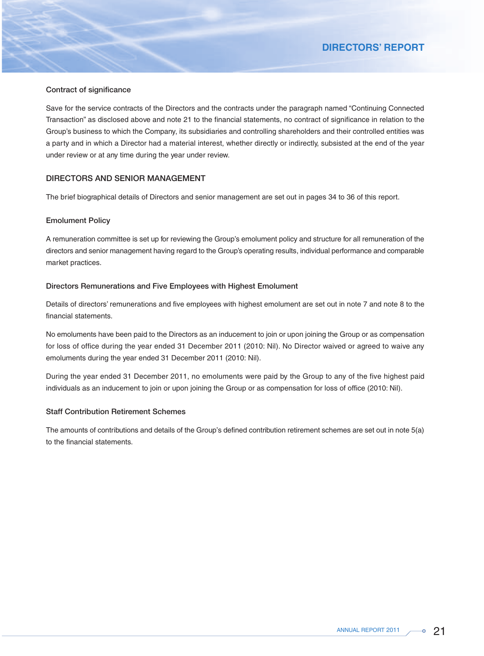#### **Contract of significance**

Save for the service contracts of the Directors and the contracts under the paragraph named "Continuing Connected Transaction" as disclosed above and note 21 to the financial statements, no contract of significance in relation to the Group's business to which the Company, its subsidiaries and controlling shareholders and their controlled entities was a party and in which a Director had a material interest, whether directly or indirectly, subsisted at the end of the year under review or at any time during the year under review.

#### **DIRECTORS AND SENIOR MANAGEMENT**

The brief biographical details of Directors and senior management are set out in pages 34 to 36 of this report.

#### **Emolument Policy**

A remuneration committee is set up for reviewing the Group's emolument policy and structure for all remuneration of the directors and senior management having regard to the Group's operating results, individual performance and comparable market practices.

#### **Directors Remunerations and Five Employees with Highest Emolument**

Details of directors' remunerations and five employees with highest emolument are set out in note 7 and note 8 to the financial statements.

No emoluments have been paid to the Directors as an inducement to join or upon joining the Group or as compensation for loss of office during the year ended 31 December 2011 (2010: Nil). No Director waived or agreed to waive any emoluments during the year ended 31 December 2011 (2010: Nil).

During the year ended 31 December 2011, no emoluments were paid by the Group to any of the five highest paid individuals as an inducement to join or upon joining the Group or as compensation for loss of office (2010: Nil).

#### **Staff Contribution Retirement Schemes**

The amounts of contributions and details of the Group's defined contribution retirement schemes are set out in note 5(a) to the financial statements.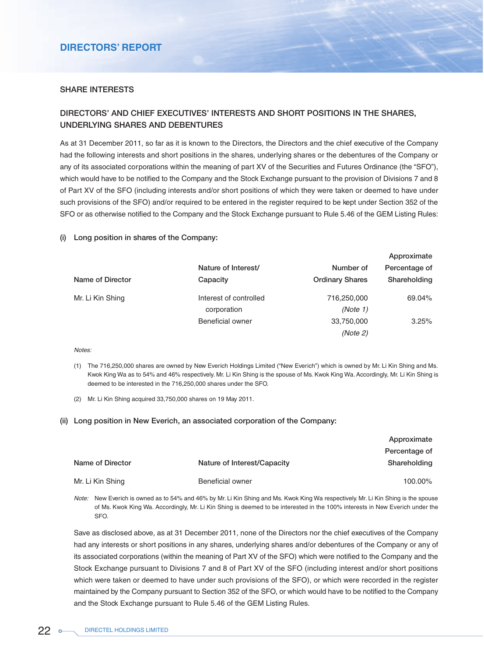### **DIRECTORS' REPORT**

#### **SHARE INTERESTS**

### **DIRECTORS' AND CHIEF EXECUTIVES' INTERESTS AND SHORT POSITIONS IN THE SHARES, UNDERLYING SHARES AND DEBENTURES**

As at 31 December 2011, so far as it is known to the Directors, the Directors and the chief executive of the Company had the following interests and short positions in the shares, underlying shares or the debentures of the Company or any of its associated corporations within the meaning of part XV of the Securities and Futures Ordinance (the "SFO"), which would have to be notified to the Company and the Stock Exchange pursuant to the provision of Divisions 7 and 8 of Part XV of the SFO (including interests and/or short positions of which they were taken or deemed to have under such provisions of the SFO) and/or required to be entered in the register required to be kept under Section 352 of the SFO or as otherwise notified to the Company and the Stock Exchange pursuant to Rule 5.46 of the GEM Listing Rules:

#### **(i) Long position in shares of the Company:**

|                  |                        |                        | Approximate   |
|------------------|------------------------|------------------------|---------------|
|                  | Nature of Interest/    | Number of              | Percentage of |
| Name of Director | Capacity               | <b>Ordinary Shares</b> | Shareholding  |
| Mr. Li Kin Shing | Interest of controlled | 716,250,000            | 69.04%        |
|                  | corporation            | (Note 1)               |               |
|                  | Beneficial owner       | 33,750,000             | 3.25%         |
|                  |                        | (Note 2)               |               |

Notes:

- (1) The 716,250,000 shares are owned by New Everich Holdings Limited ("New Everich") which is owned by Mr. Li Kin Shing and Ms. Kwok King Wa as to 54% and 46% respectively. Mr. Li Kin Shing is the spouse of Ms. Kwok King Wa. Accordingly, Mr. Li Kin Shing is deemed to be interested in the 716,250,000 shares under the SFO.
- (2) Mr. Li Kin Shing acquired 33,750,000 shares on 19 May 2011.

#### **(ii) Long position in New Everich, an associated corporation of the Company:**

|                  |                             | Approximate   |
|------------------|-----------------------------|---------------|
|                  |                             | Percentage of |
| Name of Director | Nature of Interest/Capacity | Shareholding  |
| Mr. Li Kin Shing | Beneficial owner            | 100.00%       |

Note: New Everich is owned as to 54% and 46% by Mr. Li Kin Shing and Ms. Kwok King Wa respectively. Mr. Li Kin Shing is the spouse of Ms. Kwok King Wa. Accordingly, Mr. Li Kin Shing is deemed to be interested in the 100% interests in New Everich under the SFO.

Save as disclosed above, as at 31 December 2011, none of the Directors nor the chief executives of the Company had any interests or short positions in any shares, underlying shares and/or debentures of the Company or any of its associated corporations (within the meaning of Part XV of the SFO) which were notified to the Company and the Stock Exchange pursuant to Divisions 7 and 8 of Part XV of the SFO (including interest and/or short positions which were taken or deemed to have under such provisions of the SFO), or which were recorded in the register maintained by the Company pursuant to Section 352 of the SFO, or which would have to be notified to the Company and the Stock Exchange pursuant to Rule 5.46 of the GEM Listing Rules.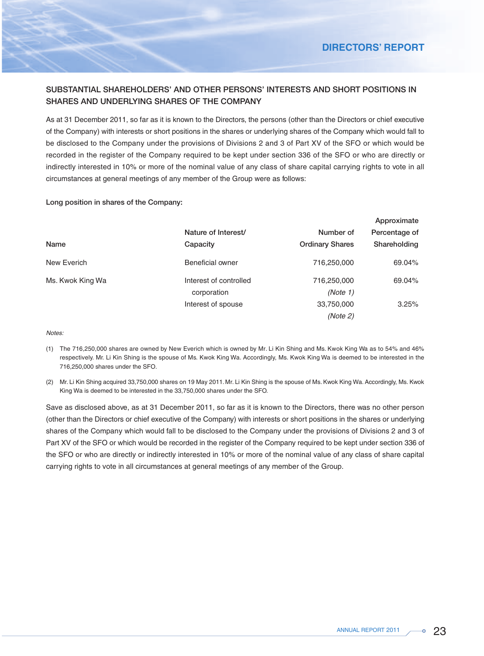#### **SUBSTANTIAL SHAREHOLDERS' AND OTHER PERSONS' INTERESTS AND SHORT POSITIONS IN SHARES AND UNDERLYING SHARES OF THE COMPANY**

As at 31 December 2011, so far as it is known to the Directors, the persons (other than the Directors or chief executive of the Company) with interests or short positions in the shares or underlying shares of the Company which would fall to be disclosed to the Company under the provisions of Divisions 2 and 3 of Part XV of the SFO or which would be recorded in the register of the Company required to be kept under section 336 of the SFO or who are directly or indirectly interested in 10% or more of the nominal value of any class of share capital carrying rights to vote in all circumstances at general meetings of any member of the Group were as follows:

#### **Long position in shares of the Company:**

|                  |                         |                        | Approximate   |
|------------------|-------------------------|------------------------|---------------|
|                  | Nature of Interest/     | Number of              | Percentage of |
| Name             | Capacity                | <b>Ordinary Shares</b> | Shareholding  |
| New Everich      | <b>Beneficial owner</b> | 716,250,000            | 69.04%        |
| Ms. Kwok King Wa | Interest of controlled  | 716,250,000            | 69.04%        |
|                  | corporation             | (Note 1)               |               |
|                  | Interest of spouse      | 33,750,000             | 3.25%         |
|                  |                         | (Note 2)               |               |

#### Notes:

- (1) The 716,250,000 shares are owned by New Everich which is owned by Mr. Li Kin Shing and Ms. Kwok King Wa as to 54% and 46% respectively. Mr. Li Kin Shing is the spouse of Ms. Kwok King Wa. Accordingly, Ms. Kwok King Wa is deemed to be interested in the 716,250,000 shares under the SFO.
- (2) Mr. Li Kin Shing acquired 33,750,000 shares on 19 May 2011. Mr. Li Kin Shing is the spouse of Ms. Kwok King Wa. Accordingly, Ms. Kwok King Wa is deemed to be interested in the 33,750,000 shares under the SFO.

Save as disclosed above, as at 31 December 2011, so far as it is known to the Directors, there was no other person (other than the Directors or chief executive of the Company) with interests or short positions in the shares or underlying shares of the Company which would fall to be disclosed to the Company under the provisions of Divisions 2 and 3 of Part XV of the SFO or which would be recorded in the register of the Company required to be kept under section 336 of the SFO or who are directly or indirectly interested in 10% or more of the nominal value of any class of share capital carrying rights to vote in all circumstances at general meetings of any member of the Group.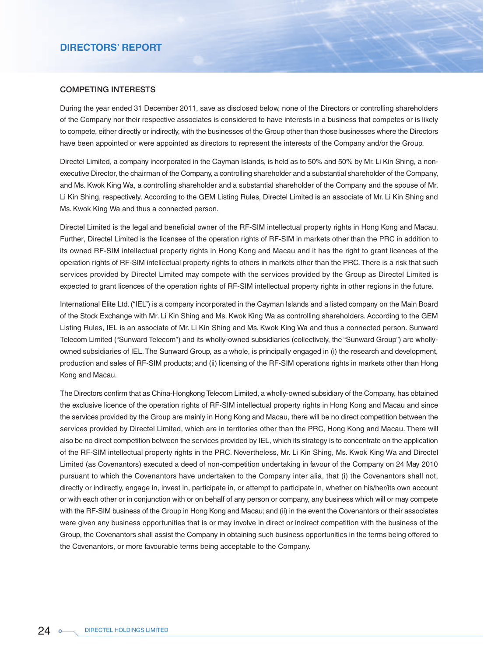### **DIRECTORS' REPORT**

#### **COMPETING INTERESTS**

During the year ended 31 December 2011, save as disclosed below, none of the Directors or controlling shareholders of the Company nor their respective associates is considered to have interests in a business that competes or is likely to compete, either directly or indirectly, with the businesses of the Group other than those businesses where the Directors have been appointed or were appointed as directors to represent the interests of the Company and/or the Group.

Directel Limited, a company incorporated in the Cayman Islands, is held as to 50% and 50% by Mr. Li Kin Shing, a nonexecutive Director, the chairman of the Company, a controlling shareholder and a substantial shareholder of the Company, and Ms. Kwok King Wa, a controlling shareholder and a substantial shareholder of the Company and the spouse of Mr. Li Kin Shing, respectively. According to the GEM Listing Rules, Directel Limited is an associate of Mr. Li Kin Shing and Ms. Kwok King Wa and thus a connected person.

Directel Limited is the legal and beneficial owner of the RF-SIM intellectual property rights in Hong Kong and Macau. Further, Directel Limited is the licensee of the operation rights of RF-SIM in markets other than the PRC in addition to its owned RF-SIM intellectual property rights in Hong Kong and Macau and it has the right to grant licences of the operation rights of RF-SIM intellectual property rights to others in markets other than the PRC. There is a risk that such services provided by Directel Limited may compete with the services provided by the Group as Directel Limited is expected to grant licences of the operation rights of RF-SIM intellectual property rights in other regions in the future.

International Elite Ltd. ("IEL") is a company incorporated in the Cayman Islands and a listed company on the Main Board of the Stock Exchange with Mr. Li Kin Shing and Ms. Kwok King Wa as controlling shareholders. According to the GEM Listing Rules, IEL is an associate of Mr. Li Kin Shing and Ms. Kwok King Wa and thus a connected person. Sunward Telecom Limited ("Sunward Telecom") and its wholly-owned subsidiaries (collectively, the "Sunward Group") are whollyowned subsidiaries of IEL. The Sunward Group, as a whole, is principally engaged in (i) the research and development, production and sales of RF-SIM products; and (ii) licensing of the RF-SIM operations rights in markets other than Hong Kong and Macau.

The Directors confirm that as China-Hongkong Telecom Limited, a wholly-owned subsidiary of the Company, has obtained the exclusive licence of the operation rights of RF-SIM intellectual property rights in Hong Kong and Macau and since the services provided by the Group are mainly in Hong Kong and Macau, there will be no direct competition between the services provided by Directel Limited, which are in territories other than the PRC, Hong Kong and Macau. There will also be no direct competition between the services provided by IEL, which its strategy is to concentrate on the application of the RF-SIM intellectual property rights in the PRC. Nevertheless, Mr. Li Kin Shing, Ms. Kwok King Wa and Directel Limited (as Covenantors) executed a deed of non-competition undertaking in favour of the Company on 24 May 2010 pursuant to which the Covenantors have undertaken to the Company inter alia, that (i) the Covenantors shall not, directly or indirectly, engage in, invest in, participate in, or attempt to participate in, whether on his/her/its own account or with each other or in conjunction with or on behalf of any person or company, any business which will or may compete with the RF-SIM business of the Group in Hong Kong and Macau; and (ii) in the event the Covenantors or their associates were given any business opportunities that is or may involve in direct or indirect competition with the business of the Group, the Covenantors shall assist the Company in obtaining such business opportunities in the terms being offered to the Covenantors, or more favourable terms being acceptable to the Company.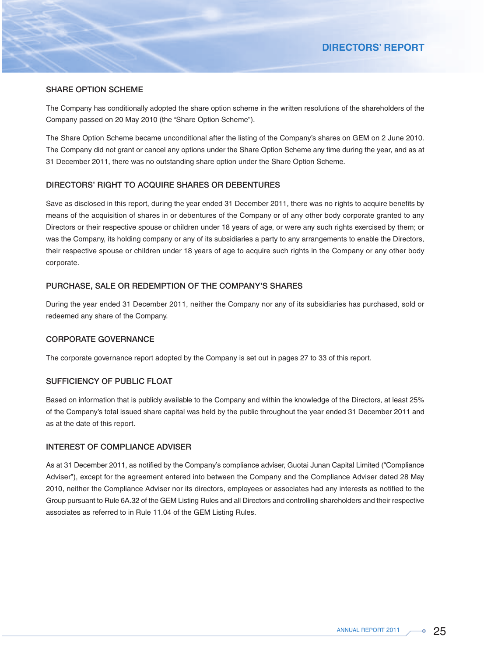#### **SHARE OPTION SCHEME**

The Company has conditionally adopted the share option scheme in the written resolutions of the shareholders of the Company passed on 20 May 2010 (the "Share Option Scheme").

The Share Option Scheme became unconditional after the listing of the Company's shares on GEM on 2 June 2010. The Company did not grant or cancel any options under the Share Option Scheme any time during the year, and as at 31 December 2011, there was no outstanding share option under the Share Option Scheme.

#### **DIRECTORS' RIGHT TO ACQUIRE SHARES OR DEBENTURES**

Save as disclosed in this report, during the year ended 31 December 2011, there was no rights to acquire benefits by means of the acquisition of shares in or debentures of the Company or of any other body corporate granted to any Directors or their respective spouse or children under 18 years of age, or were any such rights exercised by them; or was the Company, its holding company or any of its subsidiaries a party to any arrangements to enable the Directors, their respective spouse or children under 18 years of age to acquire such rights in the Company or any other body corporate.

#### **PURCHASE, SALE OR REDEMPTION OF THE COMPANY'S SHARES**

During the year ended 31 December 2011, neither the Company nor any of its subsidiaries has purchased, sold or redeemed any share of the Company.

#### **CORPORATE GOVERNANCE**

The corporate governance report adopted by the Company is set out in pages 27 to 33 of this report.

#### **SUFFICIENCY OF PUBLIC FLOAT**

Based on information that is publicly available to the Company and within the knowledge of the Directors, at least 25% of the Company's total issued share capital was held by the public throughout the year ended 31 December 2011 and as at the date of this report.

#### **INTEREST OF COMPLIANCE ADVISER**

As at 31 December 2011, as notified by the Company's compliance adviser, Guotai Junan Capital Limited ("Compliance Adviser"), except for the agreement entered into between the Company and the Compliance Adviser dated 28 May 2010, neither the Compliance Adviser nor its directors, employees or associates had any interests as notified to the Group pursuant to Rule 6A.32 of the GEM Listing Rules and all Directors and controlling shareholders and their respective associates as referred to in Rule 11.04 of the GEM Listing Rules.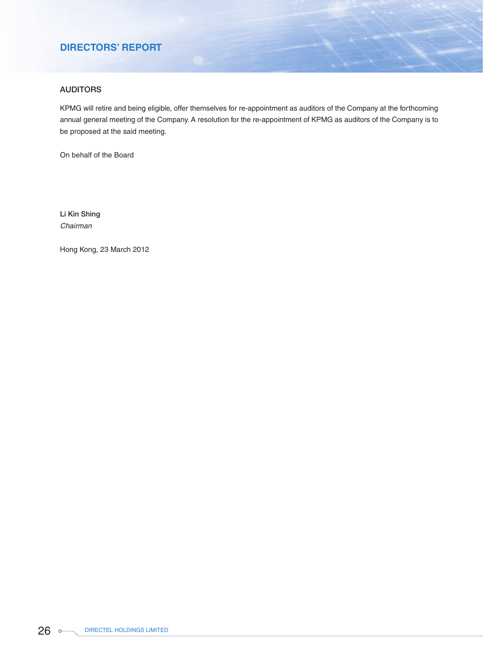### **DIRECTORS' REPORT**

#### **AUDITORS**

KPMG will retire and being eligible, offer themselves for re-appointment as auditors of the Company at the forthcoming annual general meeting of the Company. A resolution for the re-appointment of KPMG as auditors of the Company is to be proposed at the said meeting.

On behalf of the Board

**Li Kin Shing** Chairman

Hong Kong, 23 March 2012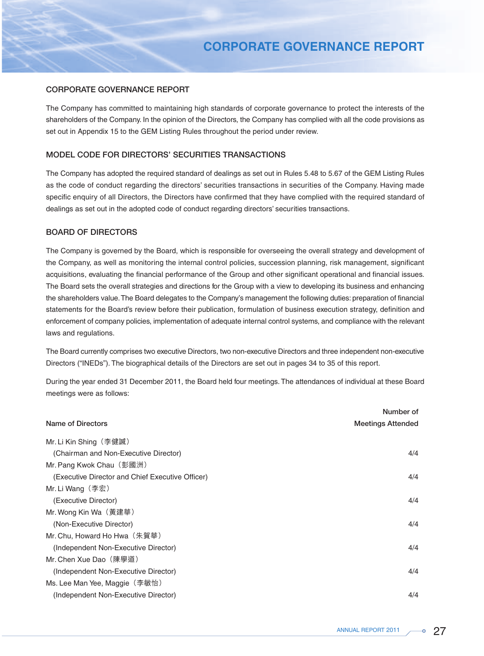#### **CORPORATE GOVERNANCE REPORT**

The Company has committed to maintaining high standards of corporate governance to protect the interests of the shareholders of the Company. In the opinion of the Directors, the Company has complied with all the code provisions as set out in Appendix 15 to the GEM Listing Rules throughout the period under review.

#### **MODEL CODE FOR DIRECTORS' SECURITIES TRANSACTIONS**

The Company has adopted the required standard of dealings as set out in Rules 5.48 to 5.67 of the GEM Listing Rules as the code of conduct regarding the directors' securities transactions in securities of the Company. Having made specific enquiry of all Directors, the Directors have confirmed that they have complied with the required standard of dealings as set out in the adopted code of conduct regarding directors' securities transactions.

#### **BOARD OF DIRECTORS**

The Company is governed by the Board, which is responsible for overseeing the overall strategy and development of the Company, as well as monitoring the internal control policies, succession planning, risk management, significant acquisitions, evaluating the financial performance of the Group and other significant operational and financial issues. The Board sets the overall strategies and directions for the Group with a view to developing its business and enhancing the shareholders value. The Board delegates to the Company's management the following duties: preparation of financial statements for the Board's review before their publication, formulation of business execution strategy, definition and enforcement of company policies, implementation of adequate internal control systems, and compliance with the relevant laws and regulations.

The Board currently comprises two executive Directors, two non-executive Directors and three independent non-executive Directors ("INEDs"). The biographical details of the Directors are set out in pages 34 to 35 of this report.

During the year ended 31 December 2011, the Board held four meetings. The attendances of individual at these Board meetings were as follows:

|                                                  | Number of                |
|--------------------------------------------------|--------------------------|
| Name of Directors                                | <b>Meetings Attended</b> |
| Mr. Li Kin Shing(李健諴)                            |                          |
| (Chairman and Non-Executive Director)            | 4/4                      |
| Mr. Pang Kwok Chau (彭國洲)                         |                          |
| (Executive Director and Chief Executive Officer) | 4/4                      |
| Mr. Li Wang (李宏)                                 |                          |
| (Executive Director)                             | 4/4                      |
| Mr. Wong Kin Wa(黃建華)                             |                          |
| (Non-Executive Director)                         | 4/4                      |
| Mr. Chu. Howard Ho Hwa (朱賀華)                     |                          |
| (Independent Non-Executive Director)             | 4/4                      |
| Mr. Chen Xue Dao(陳學道)                            |                          |
| (Independent Non-Executive Director)             | 4/4                      |
| Ms. Lee Man Yee, Maggie (李敏怡)                    |                          |
| (Independent Non-Executive Director)             | 4/4                      |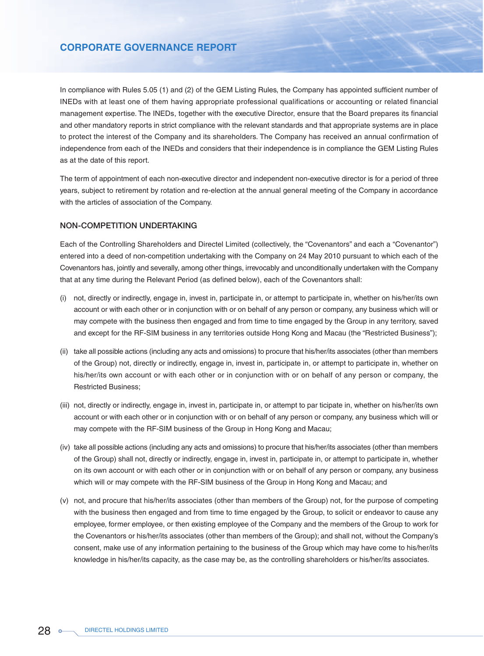In compliance with Rules 5.05 (1) and (2) of the GEM Listing Rules, the Company has appointed sufficient number of INEDs with at least one of them having appropriate professional qualifications or accounting or related financial management expertise. The INEDs, together with the executive Director, ensure that the Board prepares its financial and other mandatory reports in strict compliance with the relevant standards and that appropriate systems are in place to protect the interest of the Company and its shareholders. The Company has received an annual confirmation of independence from each of the INEDs and considers that their independence is in compliance the GEM Listing Rules as at the date of this report.

The term of appointment of each non-executive director and independent non-executive director is for a period of three years, subject to retirement by rotation and re-election at the annual general meeting of the Company in accordance with the articles of association of the Company.

#### **NON-COMPETITION UNDERTAKING**

Each of the Controlling Shareholders and Directel Limited (collectively, the "Covenantors" and each a "Covenantor") entered into a deed of non-competition undertaking with the Company on 24 May 2010 pursuant to which each of the Covenantors has, jointly and severally, among other things, irrevocably and unconditionally undertaken with the Company that at any time during the Relevant Period (as defined below), each of the Covenantors shall:

- (i) not, directly or indirectly, engage in, invest in, participate in, or attempt to participate in, whether on his/her/its own account or with each other or in conjunction with or on behalf of any person or company, any business which will or may compete with the business then engaged and from time to time engaged by the Group in any territory, saved and except for the RF-SIM business in any territories outside Hong Kong and Macau (the "Restricted Business");
- (ii) take all possible actions (including any acts and omissions) to procure that his/her/its associates (other than members of the Group) not, directly or indirectly, engage in, invest in, participate in, or attempt to participate in, whether on his/her/its own account or with each other or in conjunction with or on behalf of any person or company, the Restricted Business;
- (iii) not, directly or indirectly, engage in, invest in, participate in, or attempt to par ticipate in, whether on his/her/its own account or with each other or in conjunction with or on behalf of any person or company, any business which will or may compete with the RF-SIM business of the Group in Hong Kong and Macau;
- (iv) take all possible actions (including any acts and omissions) to procure that his/her/its associates (other than members of the Group) shall not, directly or indirectly, engage in, invest in, participate in, or attempt to participate in, whether on its own account or with each other or in conjunction with or on behalf of any person or company, any business which will or may compete with the RF-SIM business of the Group in Hong Kong and Macau; and
- (v) not, and procure that his/her/its associates (other than members of the Group) not, for the purpose of competing with the business then engaged and from time to time engaged by the Group, to solicit or endeavor to cause any employee, former employee, or then existing employee of the Company and the members of the Group to work for the Covenantors or his/her/its associates (other than members of the Group); and shall not, without the Company's consent, make use of any information pertaining to the business of the Group which may have come to his/her/its knowledge in his/her/its capacity, as the case may be, as the controlling shareholders or his/her/its associates.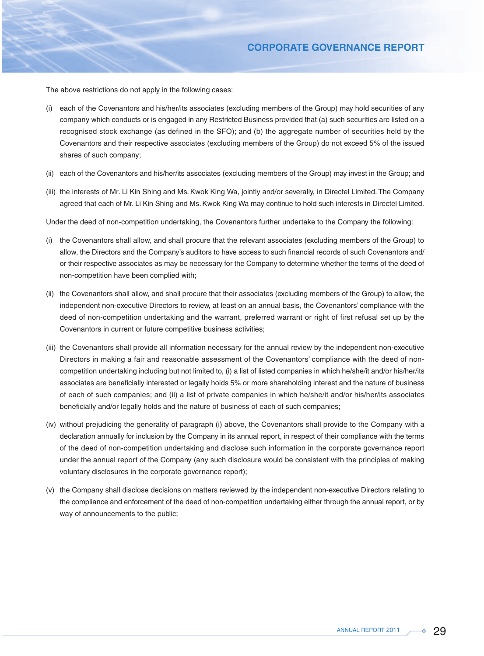The above restrictions do not apply in the following cases:

- (i) each of the Covenantors and his/her/its associates (excluding members of the Group) may hold securities of any company which conducts or is engaged in any Restricted Business provided that (a) such securities are listed on a recognised stock exchange (as defined in the SFO); and (b) the aggregate number of securities held by the Covenantors and their respective associates (excluding members of the Group) do not exceed 5% of the issued shares of such company;
- (ii) each of the Covenantors and his/her/its associates (excluding members of the Group) may invest in the Group; and
- (iii) the interests of Mr. Li Kin Shing and Ms. Kwok King Wa, jointly and/or severally, in Directel Limited. The Company agreed that each of Mr. Li Kin Shing and Ms. Kwok King Wa may continue to hold such interests in Directel Limited.

Under the deed of non-competition undertaking, the Covenantors further undertake to the Company the following:

- (i) the Covenantors shall allow, and shall procure that the relevant associates (excluding members of the Group) to allow, the Directors and the Company's auditors to have access to such financial records of such Covenantors and/ or their respective associates as may be necessary for the Company to determine whether the terms of the deed of non-competition have been complied with;
- (ii) the Covenantors shall allow, and shall procure that their associates (excluding members of the Group) to allow, the independent non-executive Directors to review, at least on an annual basis, the Covenantors' compliance with the deed of non-competition undertaking and the warrant, preferred warrant or right of first refusal set up by the Covenantors in current or future competitive business activities;
- (iii) the Covenantors shall provide all information necessary for the annual review by the independent non-executive Directors in making a fair and reasonable assessment of the Covenantors' compliance with the deed of noncompetition undertaking including but not limited to, (i) a list of listed companies in which he/she/it and/or his/her/its associates are beneficially interested or legally holds 5% or more shareholding interest and the nature of business of each of such companies; and (ii) a list of private companies in which he/she/it and/or his/her/its associates beneficially and/or legally holds and the nature of business of each of such companies;
- (iv) without prejudicing the generality of paragraph (i) above, the Covenantors shall provide to the Company with a declaration annually for inclusion by the Company in its annual report, in respect of their compliance with the terms of the deed of non-competition undertaking and disclose such information in the corporate governance report under the annual report of the Company (any such disclosure would be consistent with the principles of making voluntary disclosures in the corporate governance report);
- (v) the Company shall disclose decisions on matters reviewed by the independent non-executive Directors relating to the compliance and enforcement of the deed of non-competition undertaking either through the annual report, or by way of announcements to the public;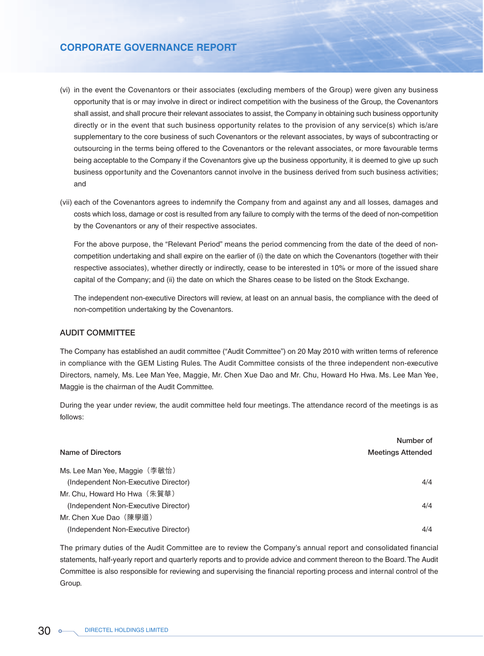### **CORPORATE GOVERNANCE REPORT**

- (vi) in the event the Covenantors or their associates (excluding members of the Group) were given any business opportunity that is or may involve in direct or indirect competition with the business of the Group, the Covenantors shall assist, and shall procure their relevant associates to assist, the Company in obtaining such business opportunity directly or in the event that such business opportunity relates to the provision of any service(s) which is/are supplementary to the core business of such Covenantors or the relevant associates, by ways of subcontracting or outsourcing in the terms being offered to the Covenantors or the relevant associates, or more favourable terms being acceptable to the Company if the Covenantors give up the business opportunity, it is deemed to give up such business opportunity and the Covenantors cannot involve in the business derived from such business activities; and
- (vii) each of the Covenantors agrees to indemnify the Company from and against any and all losses, damages and costs which loss, damage or cost is resulted from any failure to comply with the terms of the deed of non-competition by the Covenantors or any of their respective associates.

For the above purpose, the "Relevant Period" means the period commencing from the date of the deed of noncompetition undertaking and shall expire on the earlier of (i) the date on which the Covenantors (together with their respective associates), whether directly or indirectly, cease to be interested in 10% or more of the issued share capital of the Company; and (ii) the date on which the Shares cease to be listed on the Stock Exchange.

The independent non-executive Directors will review, at least on an annual basis, the compliance with the deed of non-competition undertaking by the Covenantors.

#### **AUDIT COMMITTEE**

The Company has established an audit committee ("Audit Committee") on 20 May 2010 with written terms of reference in compliance with the GEM Listing Rules. The Audit Committee consists of the three independent non-executive Directors, namely, Ms. Lee Man Yee, Maggie, Mr. Chen Xue Dao and Mr. Chu, Howard Ho Hwa. Ms. Lee Man Yee, Maggie is the chairman of the Audit Committee.

During the year under review, the audit committee held four meetings. The attendance record of the meetings is as follows:

|                                      | Number of                |
|--------------------------------------|--------------------------|
| Name of Directors                    | <b>Meetings Attended</b> |
| Ms. Lee Man Yee, Maggie (李敏怡)        |                          |
| (Independent Non-Executive Director) | 4/4                      |
| Mr. Chu, Howard Ho Hwa (朱賀華)         |                          |
| (Independent Non-Executive Director) | 4/4                      |
| Mr. Chen Xue Dao(陳學道)                |                          |
| (Independent Non-Executive Director) | 4/4                      |

The primary duties of the Audit Committee are to review the Company's annual report and consolidated financial statements, half-yearly report and quarterly reports and to provide advice and comment thereon to the Board. The Audit Committee is also responsible for reviewing and supervising the financial reporting process and internal control of the Group.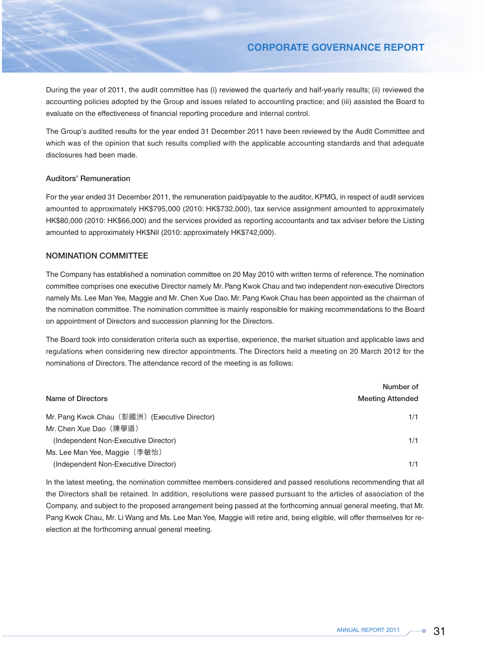### **CORPORATE GOVERNANCE REPORT**

During the year of 2011, the audit committee has (i) reviewed the quarterly and half-yearly results; (ii) reviewed the accounting policies adopted by the Group and issues related to accounting practice; and (iii) assisted the Board to evaluate on the effectiveness of financial reporting procedure and internal control.

The Group's audited results for the year ended 31 December 2011 have been reviewed by the Audit Committee and which was of the opinion that such results complied with the applicable accounting standards and that adequate disclosures had been made.

#### **Auditors' Remuneration**

For the year ended 31 December 2011, the remuneration paid/payable to the auditor, KPMG, in respect of audit services amounted to approximately HK\$795,000 (2010: HK\$732,000), tax service assignment amounted to approximately HK\$80,000 (2010: HK\$66,000) and the services provided as reporting accountants and tax adviser before the Listing amounted to approximately HK\$Nil (2010: approximately HK\$742,000).

#### **NOMINATION COMMITTEE**

The Company has established a nomination committee on 20 May 2010 with written terms of reference. The nomination committee comprises one executive Director namely Mr. Pang Kwok Chau and two independent non-executive Directors namely Ms. Lee Man Yee, Maggie and Mr. Chen Xue Dao. Mr. Pang Kwok Chau has been appointed as the chairman of the nomination committee. The nomination committee is mainly responsible for making recommendations to the Board on appointment of Directors and succession planning for the Directors.

The Board took into consideration criteria such as expertise, experience, the market situation and applicable laws and regulations when considering new director appointments. The Directors held a meeting on 20 March 2012 for the nominations of Directors. The attendance record of the meeting is as follows:

|                                               | Number of               |
|-----------------------------------------------|-------------------------|
| Name of Directors                             | <b>Meeting Attended</b> |
| Mr. Pang Kwok Chau (彭國洲) (Executive Director) | 1/1                     |
| Mr. Chen Xue Dao(陳學道)                         |                         |
| (Independent Non-Executive Director)          | 1/1                     |
| Ms. Lee Man Yee, Maggie (李敏怡)                 |                         |
| (Independent Non-Executive Director)          | 1/1                     |

In the latest meeting, the nomination committee members considered and passed resolutions recommending that all the Directors shall be retained. In addition, resolutions were passed pursuant to the articles of association of the Company, and subject to the proposed arrangement being passed at the forthcoming annual general meeting, that Mr. Pang Kwok Chau, Mr. Li Wang and Ms. Lee Man Yee, Maggie will retire and, being eligible, will offer themselves for reelection at the forthcoming annual general meeting.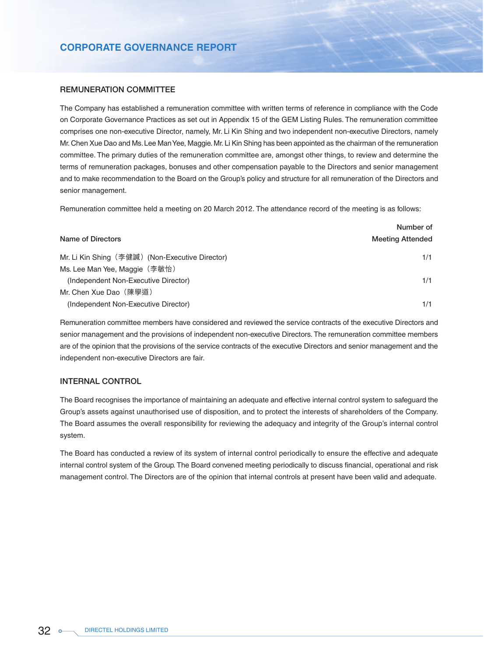#### **REMUNERATION COMMITTEE**

The Company has established a remuneration committee with written terms of reference in compliance with the Code on Corporate Governance Practices as set out in Appendix 15 of the GEM Listing Rules. The remuneration committee comprises one non-executive Director, namely, Mr. Li Kin Shing and two independent non-executive Directors, namely Mr. Chen Xue Dao and Ms. Lee Man Yee, Maggie. Mr. Li Kin Shing has been appointed as the chairman of the remuneration committee. The primary duties of the remuneration committee are, amongst other things, to review and determine the terms of remuneration packages, bonuses and other compensation payable to the Directors and senior management and to make recommendation to the Board on the Group's policy and structure for all remuneration of the Directors and senior management.

Remuneration committee held a meeting on 20 March 2012. The attendance record of the meeting is as follows:

| Name of Directors                    | Number of<br><b>Meeting Attended</b> |
|--------------------------------------|--------------------------------------|
|                                      |                                      |
| Ms. Lee Man Yee, Maggie (李敏怡)        |                                      |
| (Independent Non-Executive Director) | 1/1                                  |
| Mr. Chen Xue Dao (陳學道)               |                                      |
| (Independent Non-Executive Director) | 1/1                                  |

Remuneration committee members have considered and reviewed the service contracts of the executive Directors and senior management and the provisions of independent non-executive Directors. The remuneration committee members are of the opinion that the provisions of the service contracts of the executive Directors and senior management and the independent non-executive Directors are fair.

#### **INTERNAL CONTROL**

The Board recognises the importance of maintaining an adequate and effective internal control system to safeguard the Group's assets against unauthorised use of disposition, and to protect the interests of shareholders of the Company. The Board assumes the overall responsibility for reviewing the adequacy and integrity of the Group's internal control system.

The Board has conducted a review of its system of internal control periodically to ensure the effective and adequate internal control system of the Group. The Board convened meeting periodically to discuss financial, operational and risk management control. The Directors are of the opinion that internal controls at present have been valid and adequate.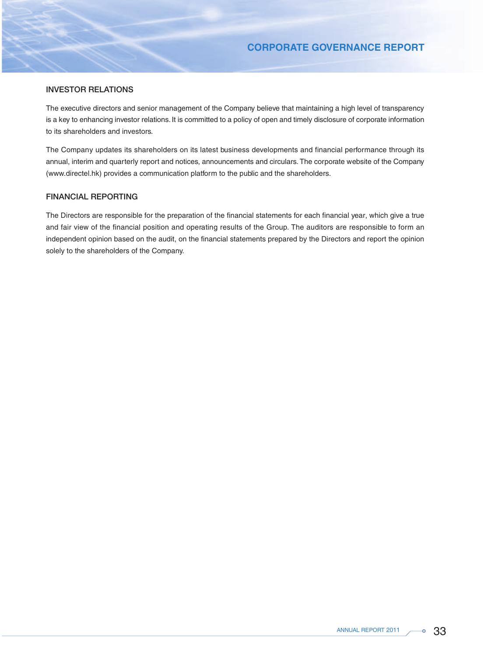#### **INVESTOR RELATIONS**

The executive directors and senior management of the Company believe that maintaining a high level of transparency is a key to enhancing investor relations. It is committed to a policy of open and timely disclosure of corporate information to its shareholders and investors.

The Company updates its shareholders on its latest business developments and financial performance through its annual, interim and quarterly report and notices, announcements and circulars. The corporate website of the Company (www.directel.hk) provides a communication platform to the public and the shareholders.

#### **FINANCIAL REPORTING**

The Directors are responsible for the preparation of the financial statements for each financial year, which give a true and fair view of the financial position and operating results of the Group. The auditors are responsible to form an independent opinion based on the audit, on the financial statements prepared by the Directors and report the opinion solely to the shareholders of the Company.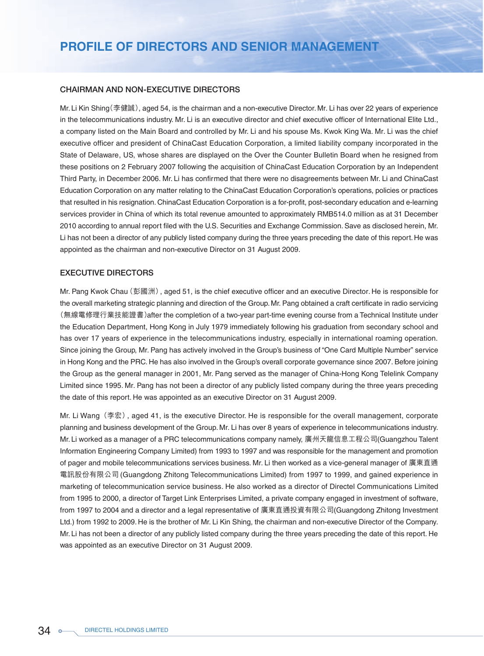#### **CHAIRMAN AND NON-EXECUTIVE DIRECTORS**

Mr. Li Kin Shing(李健誠), aged 54, is the chairman and a non-executive Director. Mr. Li has over 22 years of experience in the telecommunications industry. Mr. Li is an executive director and chief executive officer of International Elite Ltd., a company listed on the Main Board and controlled by Mr. Li and his spouse Ms. Kwok King Wa. Mr. Li was the chief executive officer and president of ChinaCast Education Corporation, a limited liability company incorporated in the State of Delaware, US, whose shares are displayed on the Over the Counter Bulletin Board when he resigned from these positions on 2 February 2007 following the acquisition of ChinaCast Education Corporation by an Independent Third Party, in December 2006. Mr. Li has confirmed that there were no disagreements between Mr. Li and ChinaCast Education Corporation on any matter relating to the ChinaCast Education Corporation's operations, policies or practices that resulted in his resignation. ChinaCast Education Corporation is a for-profit, post-secondary education and e-learning services provider in China of which its total revenue amounted to approximately RMB514.0 million as at 31 December 2010 according to annual report filed with the U.S. Securities and Exchange Commission. Save as disclosed herein, Mr. Li has not been a director of any publicly listed company during the three years preceding the date of this report. He was appointed as the chairman and non-executive Director on 31 August 2009.

#### **EXECUTIVE DIRECTORS**

Mr. Pang Kwok Chau(彭國洲), aged 51, is the chief executive officer and an executive Director. He is responsible for the overall marketing strategic planning and direction of the Group. Mr. Pang obtained a craft certificate in radio servicing (無線電修理行業技能證書)after the completion of a two-year part-time evening course from a Technical Institute under the Education Department, Hong Kong in July 1979 immediately following his graduation from secondary school and has over 17 years of experience in the telecommunications industry, especially in international roaming operation. Since joining the Group, Mr. Pang has actively involved in the Group's business of "One Card Multiple Number" service in Hong Kong and the PRC. He has also involved in the Group's overall corporate governance since 2007. Before joining the Group as the general manager in 2001, Mr. Pang served as the manager of China-Hong Kong Telelink Company Limited since 1995. Mr. Pang has not been a director of any publicly listed company during the three years preceding the date of this report. He was appointed as an executive Director on 31 August 2009.

Mr. Li Wang(李宏), aged 41, is the executive Director. He is responsible for the overall management, corporate planning and business development of the Group. Mr. Li has over 8 years of experience in telecommunications industry. Mr. Li worked as a manager of a PRC telecommunications company namely, 廣州天龍信息工程公司(Guangzhou Talent Information Engineering Company Limited) from 1993 to 1997 and was responsible for the management and promotion of pager and mobile telecommunications services business. Mr. Li then worked as a vice-general manager of 廣東直通 電訊股份有限公司 (Guangdong Zhitong Telecommunications Limited) from 1997 to 1999, and gained experience in marketing of telecommunication service business. He also worked as a director of Directel Communications Limited from 1995 to 2000, a director of Target Link Enterprises Limited, a private company engaged in investment of software, from 1997 to 2004 and a director and a legal representative of 廣東直通投資有限公司(Guangdong Zhitong Investment Ltd.) from 1992 to 2009. He is the brother of Mr. Li Kin Shing, the chairman and non-executive Director of the Company. Mr. Li has not been a director of any publicly listed company during the three years preceding the date of this report. He was appointed as an executive Director on 31 August 2009.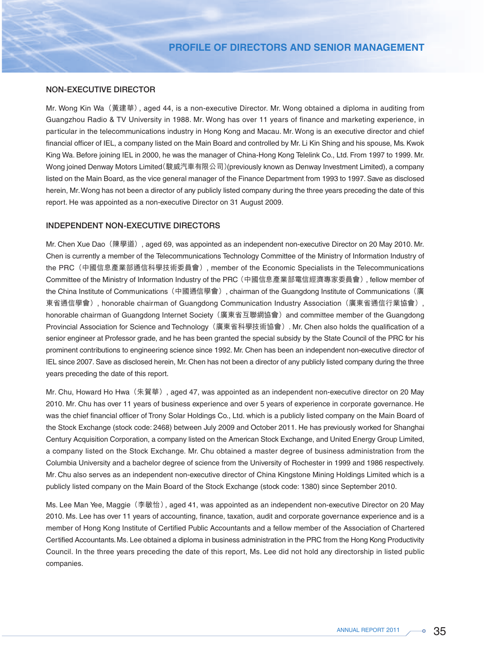#### **NON-EXECUTIVE DIRECTOR**

Mr. Wong Kin Wa(黃建華), aged 44, is a non-executive Director. Mr. Wong obtained a diploma in auditing from Guangzhou Radio & TV University in 1988. Mr. Wong has over 11 years of finance and marketing experience, in particular in the telecommunications industry in Hong Kong and Macau. Mr. Wong is an executive director and chief financial officer of IEL, a company listed on the Main Board and controlled by Mr. Li Kin Shing and his spouse, Ms. Kwok King Wa. Before joining IEL in 2000, he was the manager of China-Hong Kong Telelink Co., Ltd. From 1997 to 1999. Mr. Wong joined Denway Motors Limited(駿威汽車有限公司)(previously known as Denway Investment Limited), a company listed on the Main Board, as the vice general manager of the Finance Department from 1993 to 1997. Save as disclosed herein, Mr. Wong has not been a director of any publicly listed company during the three years preceding the date of this report. He was appointed as a non-executive Director on 31 August 2009.

#### **INDEPENDENT NON-EXECUTIVE DIRECTORS**

Mr. Chen Xue Dao(陳學道), aged 69, was appointed as an independent non-executive Director on 20 May 2010. Mr. Chen is currently a member of the Telecommunications Technology Committee of the Ministry of Information Industry of the PRC(中國信息產業部通信科學技術委員會), member of the Economic Specialists in the Telecommunications Committee of the Ministry of Information Industry of the PRC(中國信息產業部電信經濟專家委員會), fellow member of the China Institute of Communications(中國通信學會), chairman of the Guangdong Institute of Communications(廣 東省通信學會), honorable chairman of Guangdong Communication Industry Association(廣東省通信行業協會), honorable chairman of Guangdong Internet Society (廣東省互聯網協會) and committee member of the Guangdong Provincial Association for Science and Technology(廣東省科學技術協會). Mr. Chen also holds the qualification of a senior engineer at Professor grade, and he has been granted the special subsidy by the State Council of the PRC for his prominent contributions to engineering science since 1992. Mr. Chen has been an independent non-executive director of IEL since 2007. Save as disclosed herein, Mr. Chen has not been a director of any publicly listed company during the three years preceding the date of this report.

Mr. Chu, Howard Ho Hwa (朱賀華), aged 47, was appointed as an independent non-executive director on 20 May 2010. Mr. Chu has over 11 years of business experience and over 5 years of experience in corporate governance. He was the chief financial officer of Trony Solar Holdings Co., Ltd. which is a publicly listed company on the Main Board of the Stock Exchange (stock code: 2468) between July 2009 and October 2011. He has previously worked for Shanghai Century Acquisition Corporation, a company listed on the American Stock Exchange, and United Energy Group Limited, a company listed on the Stock Exchange. Mr. Chu obtained a master degree of business administration from the Columbia University and a bachelor degree of science from the University of Rochester in 1999 and 1986 respectively. Mr. Chu also serves as an independent non-executive director of China Kingstone Mining Holdings Limited which is a publicly listed company on the Main Board of the Stock Exchange (stock code: 1380) since September 2010.

Ms. Lee Man Yee, Maggie(李敏怡), aged 41, was appointed as an independent non-executive Director on 20 May 2010. Ms. Lee has over 11 years of accounting, finance, taxation, audit and corporate governance experience and is a member of Hong Kong Institute of Certified Public Accountants and a fellow member of the Association of Chartered Certified Accountants. Ms. Lee obtained a diploma in business administration in the PRC from the Hong Kong Productivity Council. In the three years preceding the date of this report, Ms. Lee did not hold any directorship in listed public companies.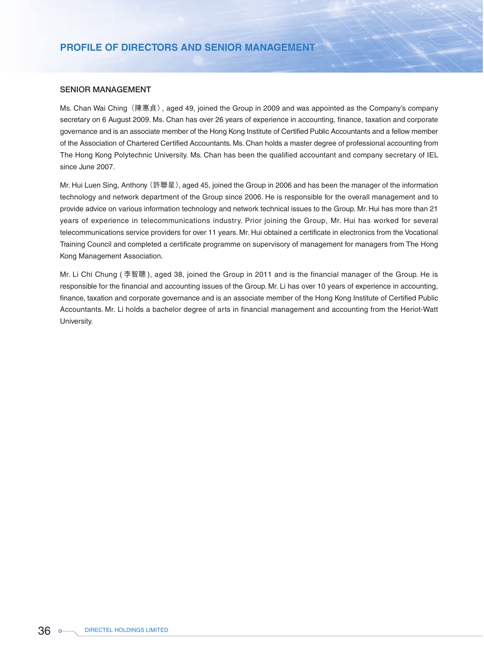### **SENIOR MANAGEMENT**

Ms. Chan Wai Ching (陳惠貞), aged 49, joined the Group in 2009 and was appointed as the Company's company secretary on 6 August 2009. Ms. Chan has over 26 years of experience in accounting, finance, taxation and corporate governance and is an associate member of the Hong Kong Institute of Certified Public Accountants and a fellow member of the Association of Chartered Certified Accountants. Ms. Chan holds a master degree of professional accounting from The Hong Kong Polytechnic University. Ms. Chan has been the qualified accountant and company secretary of IEL since June 2007.

Mr. Hui Luen Sing, Anthony (許聯星), aged 45, joined the Group in 2006 and has been the manager of the information technology and network department of the Group since 2006. He is responsible for the overall management and to provide advice on various information technology and network technical issues to the Group. Mr. Hui has more than 21 years of experience in telecommunications industry. Prior joining the Group, Mr. Hui has worked for several telecommunications service providers for over 11 years. Mr. Hui obtained a certificate in electronics from the Vocational Training Council and completed a certificate programme on supervisory of management for managers from The Hong Kong Management Association.

Mr. Li Chi Chung ( 李智聰 ), aged 38, joined the Group in 2011 and is the financial manager of the Group. He is responsible for the financial and accounting issues of the Group. Mr. Li has over 10 years of experience in accounting, finance, taxation and corporate governance and is an associate member of the Hong Kong Institute of Certified Public Accountants. Mr. Li holds a bachelor degree of arts in financial management and accounting from the Heriot-Watt University.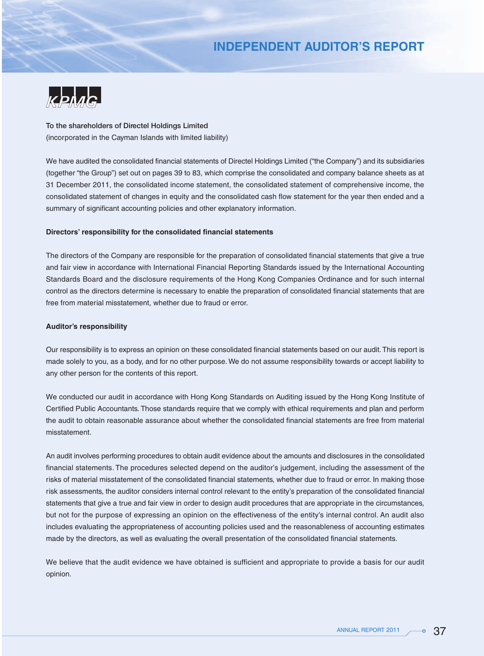# **INDEPENDENT AUDITOR'S REPORT**



**To the shareholders of Directel Holdings Limited** (incorporated in the Cayman Islands with limited liability)

We have audited the consolidated financial statements of Directel Holdings Limited ("the Company") and its subsidiaries (together "the Group") set out on pages 39 to 83, which comprise the consolidated and company balance sheets as at 31 December 2011, the consolidated income statement, the consolidated statement of comprehensive income, the consolidated statement of changes in equity and the consolidated cash flow statement for the year then ended and a summary of significant accounting policies and other explanatory information.

#### **Directors' responsibility for the consolidated financial statements**

The directors of the Company are responsible for the preparation of consolidated financial statements that give a true and fair view in accordance with International Financial Reporting Standards issued by the International Accounting Standards Board and the disclosure requirements of the Hong Kong Companies Ordinance and for such internal control as the directors determine is necessary to enable the preparation of consolidated financial statements that are free from material misstatement, whether due to fraud or error.

#### **Auditor's responsibility**

Our responsibility is to express an opinion on these consolidated financial statements based on our audit. This report is made solely to you, as a body, and for no other purpose. We do not assume responsibility towards or accept liability to any other person for the contents of this report.

We conducted our audit in accordance with Hong Kong Standards on Auditing issued by the Hong Kong Institute of Certified Public Accountants. Those standards require that we comply with ethical requirements and plan and perform the audit to obtain reasonable assurance about whether the consolidated financial statements are free from material misstatement.

An audit involves performing procedures to obtain audit evidence about the amounts and disclosures in the consolidated financial statements. The procedures selected depend on the auditor's judgement, including the assessment of the risks of material misstatement of the consolidated financial statements, whether due to fraud or error. In making those risk assessments, the auditor considers internal control relevant to the entity's preparation of the consolidated financial statements that give a true and fair view in order to design audit procedures that are appropriate in the circumstances, but not for the purpose of expressing an opinion on the effectiveness of the entity's internal control. An audit also includes evaluating the appropriateness of accounting policies used and the reasonableness of accounting estimates made by the directors, as well as evaluating the overall presentation of the consolidated financial statements.

We believe that the audit evidence we have obtained is sufficient and appropriate to provide a basis for our audit opinion.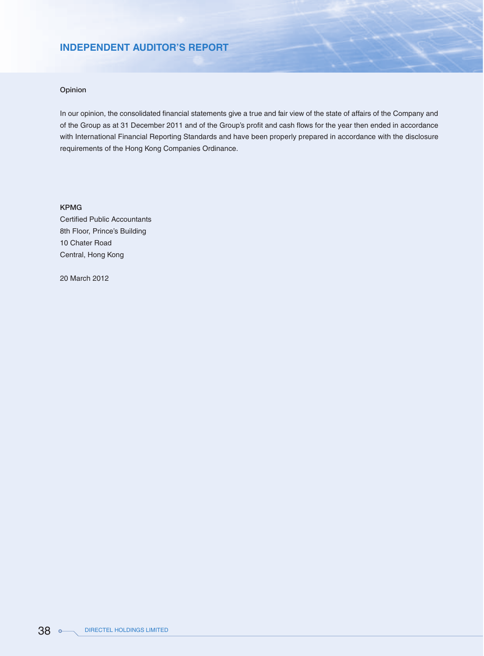# **INDEPENDENT AUDITOR'S REPORT**

**Opinion**

In our opinion, the consolidated financial statements give a true and fair view of the state of affairs of the Company and of the Group as at 31 December 2011 and of the Group's profit and cash flows for the year then ended in accordance with International Financial Reporting Standards and have been properly prepared in accordance with the disclosure requirements of the Hong Kong Companies Ordinance.

**KPMG**

Certified Public Accountants 8th Floor, Prince's Building 10 Chater Road Central, Hong Kong

20 March 2012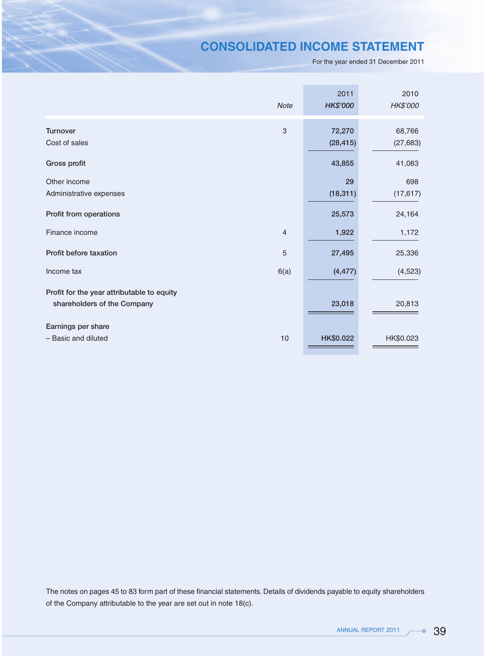# **CONSOLIDATED INCOME STATEMENT**

For the year ended 31 December 2011

|                                            | <b>Note</b>    | 2011<br><b>HK\$'000</b> | 2010<br>HK\$'000 |
|--------------------------------------------|----------------|-------------------------|------------------|
| <b>Turnover</b>                            | 3              | 72,270                  | 68,766           |
| Cost of sales                              |                | (28, 415)               | (27, 683)        |
| Gross profit                               |                | 43,855                  | 41,083           |
| Other income                               |                | 29                      | 698              |
| Administrative expenses                    |                | (18, 311)               | (17, 617)        |
| Profit from operations                     |                | 25,573                  | 24,164           |
| Finance income                             | $\overline{4}$ | 1,922                   | 1,172            |
| Profit before taxation                     | 5              | 27,495                  | 25,336           |
| Income tax                                 | 6(a)           | (4, 477)                | (4, 523)         |
| Profit for the year attributable to equity |                |                         |                  |
| shareholders of the Company                |                | 23,018                  | 20,813           |
| Earnings per share                         |                |                         |                  |
| - Basic and diluted                        | 10             | HK\$0.022               | HK\$0.023        |

The notes on pages 45 to 83 form part of these financial statements. Details of dividends payable to equity shareholders of the Company attributable to the year are set out in note 18(c).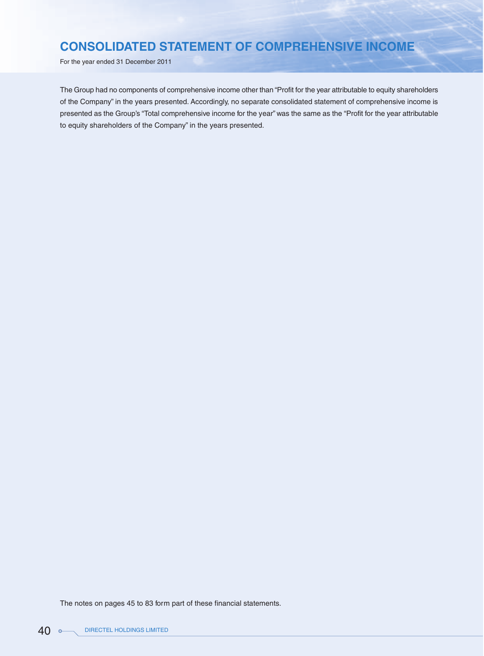# **CONSOLIDATED STATEMENT OF COMPREHENSIVE INCOME**

For the year ended 31 December 2011

The Group had no components of comprehensive income other than "Profit for the year attributable to equity shareholders of the Company" in the years presented. Accordingly, no separate consolidated statement of comprehensive income is presented as the Group's "Total comprehensive income for the year" was the same as the "Profit for the year attributable to equity shareholders of the Company" in the years presented.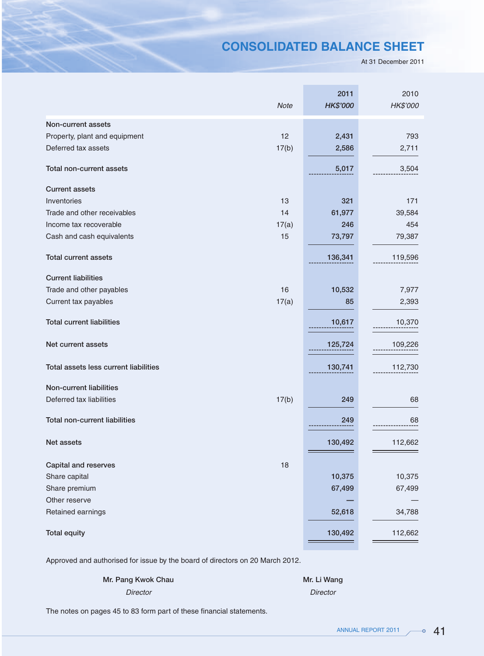# **CONSOLIDATED BALANCE SHEET**

At 31 December 2011

|                                       |       | 2011            | 2010     |
|---------------------------------------|-------|-----------------|----------|
|                                       | Note  | <b>HK\$'000</b> | HK\$'000 |
| Non-current assets                    |       |                 |          |
| Property, plant and equipment         | 12    | 2,431           | 793      |
| Deferred tax assets                   | 17(b) | 2,586           | 2,711    |
| Total non-current assets              |       | 5,017           | 3,504    |
| <b>Current assets</b>                 |       |                 |          |
| Inventories                           | 13    | 321             | 171      |
| Trade and other receivables           | 14    | 61,977          | 39,584   |
| Income tax recoverable                | 17(a) | 246             | 454      |
| Cash and cash equivalents             | 15    | 73,797          | 79,387   |
| <b>Total current assets</b>           |       | 136,341         | 119,596  |
| <b>Current liabilities</b>            |       |                 |          |
| Trade and other payables              | 16    | 10,532          | 7,977    |
| Current tax payables                  | 17(a) | 85              | 2,393    |
| <b>Total current liabilities</b>      |       | 10,617          | 10,370   |
| Net current assets                    |       | 125,724         | 109,226  |
| Total assets less current liabilities |       | 130,741         | 112,730  |
| Non-current liabilities               |       |                 |          |
| Deferred tax liabilities              | 17(b) | 249             | 68       |
| <b>Total non-current liabilities</b>  |       | 249             | 68       |
| Net assets                            |       | 130,492         | 112,662  |
| Capital and reserves                  | 18    |                 |          |
| Share capital                         |       | 10,375          | 10,375   |
| Share premium                         |       | 67,499          | 67,499   |
| Other reserve                         |       |                 |          |
| Retained earnings                     |       | 52,618          | 34,788   |
| <b>Total equity</b>                   |       | 130,492         | 112,662  |

Approved and authorised for issue by the board of directors on 20 March 2012.

**Mr. Pang Kwok Chau Mr. Li Wang** Director Director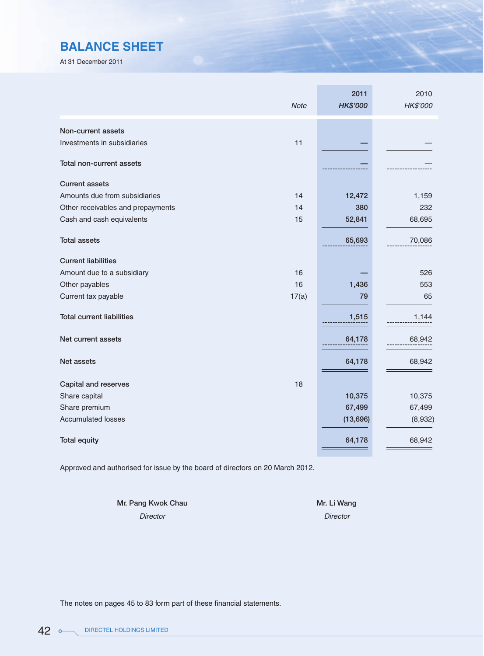# **BALANCE SHEET**

At 31 December 2011

|                                   | <b>Note</b> | 2011<br><b>HK\$'000</b> | 2010<br>HK\$'000 |
|-----------------------------------|-------------|-------------------------|------------------|
| Non-current assets                |             |                         |                  |
| Investments in subsidiaries       | 11          |                         |                  |
| Total non-current assets          |             |                         |                  |
| <b>Current assets</b>             |             |                         |                  |
| Amounts due from subsidiaries     | 14          | 12,472                  | 1,159            |
| Other receivables and prepayments | 14          | 380                     | 232              |
| Cash and cash equivalents         | 15          | 52,841                  | 68,695           |
| <b>Total assets</b>               |             | 65,693                  | 70,086           |
| <b>Current liabilities</b>        |             |                         |                  |
| Amount due to a subsidiary        | 16          |                         | 526              |
| Other payables                    | 16          | 1,436                   | 553              |
| Current tax payable               | 17(a)       | 79                      | 65               |
| <b>Total current liabilities</b>  |             | 1,515                   | 1,144            |
| Net current assets                |             | 64,178                  | 68,942           |
| Net assets                        |             | 64,178                  | 68,942           |
| <b>Capital and reserves</b>       | 18          |                         |                  |
| Share capital                     |             | 10,375                  | 10,375           |
| Share premium                     |             | 67,499                  | 67,499           |
| <b>Accumulated losses</b>         |             | (13,696)                | (8,932)          |
| <b>Total equity</b>               |             | 64,178                  | 68,942           |

Approved and authorised for issue by the board of directors on 20 March 2012.

**Mr. Pang Kwok Chau Mr. Li Wang Director** Director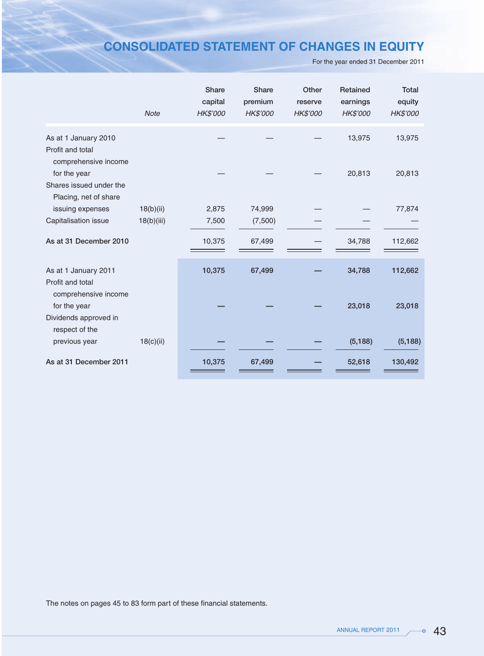# **CONSOLIDATED STATEMENT OF CHANGES IN EQUITY**

For the year ended 31 December 2011

|                                                                  | <b>Note</b> | <b>Share</b><br>capital<br>HK\$'000 | <b>Share</b><br>premium<br>HK\$'000 | <b>Other</b><br>reserve<br>HK\$'000 | Retained<br>earnings<br>HK\$'000 | <b>Total</b><br>equity<br>HK\$'000 |
|------------------------------------------------------------------|-------------|-------------------------------------|-------------------------------------|-------------------------------------|----------------------------------|------------------------------------|
| As at 1 January 2010<br>Profit and total<br>comprehensive income |             |                                     |                                     |                                     | 13,975                           | 13,975                             |
| for the year<br>Shares issued under the<br>Placing, net of share |             |                                     |                                     |                                     | 20,813                           | 20,813                             |
| issuing expenses                                                 | 18(b)(ii)   | 2,875                               | 74,999                              |                                     |                                  | 77,874                             |
| Capitalisation issue                                             | 18(b)(iii)  | 7,500                               | (7,500)                             |                                     |                                  |                                    |
| As at 31 December 2010                                           |             | 10,375                              | 67,499                              |                                     | 34,788                           | 112,662                            |
| As at 1 January 2011<br>Profit and total                         |             | 10,375                              | 67,499                              |                                     | 34,788                           | 112,662                            |
| comprehensive income<br>for the year                             |             |                                     |                                     |                                     | 23,018                           | 23,018                             |
| Dividends approved in<br>respect of the                          |             |                                     |                                     |                                     |                                  |                                    |
| previous year                                                    | 18(c)(ii)   |                                     |                                     |                                     | (5, 188)                         | (5, 188)                           |
| As at 31 December 2011                                           |             | 10,375                              | 67,499                              |                                     | 52,618                           | 130,492                            |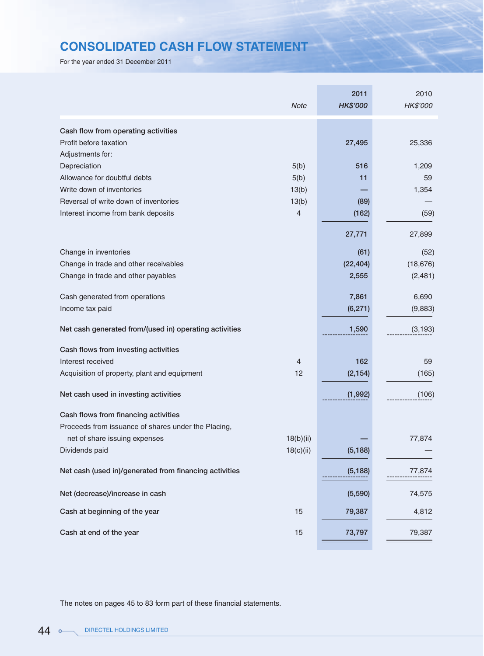# **CONSOLIDATED CASH FLOW STATEMENT**

For the year ended 31 December 2011

|                                                        | Note           | 2011<br><b>HK\$'000</b> | 2010<br>HK\$'000 |
|--------------------------------------------------------|----------------|-------------------------|------------------|
| Cash flow from operating activities                    |                |                         |                  |
| Profit before taxation                                 |                | 27,495                  | 25,336           |
| Adjustments for:                                       |                |                         |                  |
| Depreciation                                           | 5(b)           | 516                     | 1,209            |
| Allowance for doubtful debts                           | 5(b)           | 11                      | 59               |
| Write down of inventories                              | 13(b)          |                         | 1,354            |
| Reversal of write down of inventories                  | 13(b)          | (89)                    |                  |
| Interest income from bank deposits                     | 4              | (162)                   | (59)             |
|                                                        |                | 27,771                  | 27,899           |
| Change in inventories                                  |                | (61)                    | (52)             |
| Change in trade and other receivables                  |                | (22, 404)               | (18, 676)        |
| Change in trade and other payables                     |                | 2,555                   | (2,481)          |
| Cash generated from operations                         |                | 7,861                   | 6,690            |
| Income tax paid                                        |                | (6, 271)                | (9,883)          |
| Net cash generated from/(used in) operating activities |                | 1,590                   | (3, 193)         |
| Cash flows from investing activities                   |                |                         |                  |
| Interest received                                      | $\overline{4}$ | 162                     | 59               |
| Acquisition of property, plant and equipment           | 12             | (2, 154)                | (165)            |
| Net cash used in investing activities                  |                | (1,992)                 | (106)            |
| Cash flows from financing activities                   |                |                         |                  |
| Proceeds from issuance of shares under the Placing,    |                |                         |                  |
| net of share issuing expenses                          | 18(b)(ii)      |                         | 77,874           |
| Dividends paid                                         | 18(c)(ii)      | (5, 188)                |                  |
| Net cash (used in)/generated from financing activities |                | (5, 188)                | 77,874           |
| Net (decrease)/increase in cash                        |                | (5,590)                 | 74,575           |
| Cash at beginning of the year                          | 15             | 79,387                  | 4,812            |
| Cash at end of the year                                | 15             | 73,797                  | 79,387           |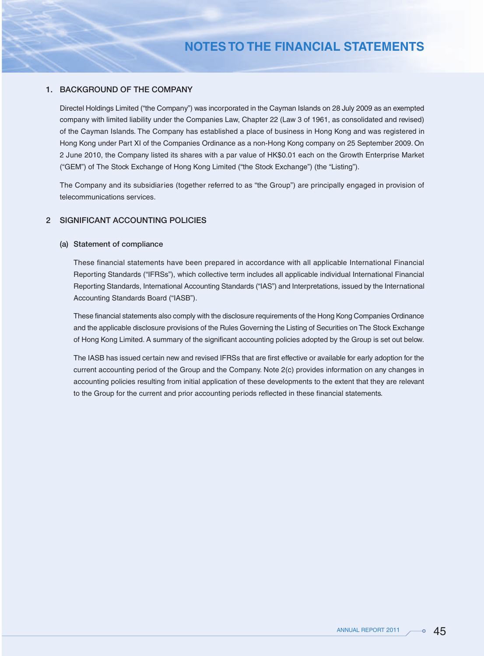## **1. BACKGROUND OF THE COMPANY**

Directel Holdings Limited ("the Company") was incorporated in the Cayman Islands on 28 July 2009 as an exempted company with limited liability under the Companies Law, Chapter 22 (Law 3 of 1961, as consolidated and revised) of the Cayman Islands. The Company has established a place of business in Hong Kong and was registered in Hong Kong under Part XI of the Companies Ordinance as a non-Hong Kong company on 25 September 2009. On 2 June 2010, the Company listed its shares with a par value of HK\$0.01 each on the Growth Enterprise Market ("GEM") of The Stock Exchange of Hong Kong Limited ("the Stock Exchange") (the "Listing").

The Company and its subsidiaries (together referred to as "the Group") are principally engaged in provision of telecommunications services.

## **2 SIGNIFICANT ACCOUNTING POLICIES**

#### **(a) Statement of compliance**

These financial statements have been prepared in accordance with all applicable International Financial Reporting Standards ("IFRSs"), which collective term includes all applicable individual International Financial Reporting Standards, International Accounting Standards ("IAS") and Interpretations, issued by the International Accounting Standards Board ("IASB").

These financial statements also comply with the disclosure requirements of the Hong Kong Companies Ordinance and the applicable disclosure provisions of the Rules Governing the Listing of Securities on The Stock Exchange of Hong Kong Limited. A summary of the significant accounting policies adopted by the Group is set out below.

The IASB has issued certain new and revised IFRSs that are first effective or available for early adoption for the current accounting period of the Group and the Company. Note 2(c) provides information on any changes in accounting policies resulting from initial application of these developments to the extent that they are relevant to the Group for the current and prior accounting periods reflected in these financial statements.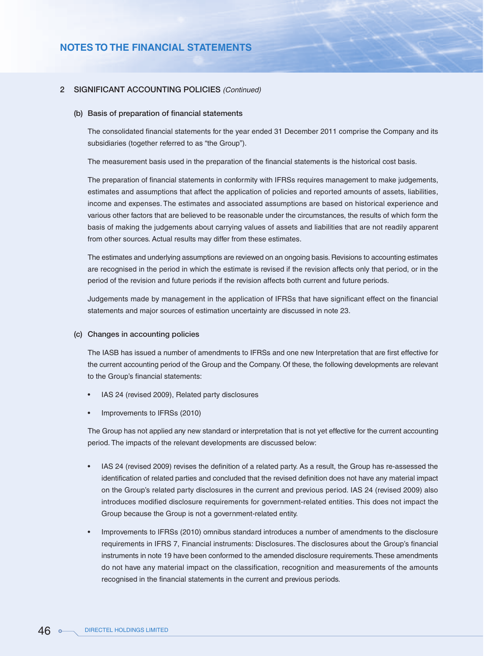# **NOTES TO THE FINANCIAL STATEMENTS**

## **2 SIGNIFICANT ACCOUNTING POLICIES** (Continued)

#### **(b) Basis of preparation of financial statements**

The consolidated financial statements for the year ended 31 December 2011 comprise the Company and its subsidiaries (together referred to as "the Group").

The measurement basis used in the preparation of the financial statements is the historical cost basis.

The preparation of financial statements in conformity with IFRSs requires management to make judgements, estimates and assumptions that affect the application of policies and reported amounts of assets, liabilities, income and expenses. The estimates and associated assumptions are based on historical experience and various other factors that are believed to be reasonable under the circumstances, the results of which form the basis of making the judgements about carrying values of assets and liabilities that are not readily apparent from other sources. Actual results may differ from these estimates.

The estimates and underlying assumptions are reviewed on an ongoing basis. Revisions to accounting estimates are recognised in the period in which the estimate is revised if the revision affects only that period, or in the period of the revision and future periods if the revision affects both current and future periods.

Judgements made by management in the application of IFRSs that have significant effect on the financial statements and major sources of estimation uncertainty are discussed in note 23.

#### **(c) Changes in accounting policies**

The IASB has issued a number of amendments to IFRSs and one new Interpretation that are first effective for the current accounting period of the Group and the Company. Of these, the following developments are relevant to the Group's financial statements:

- IAS 24 (revised 2009), Related party disclosures
- Improvements to IFRSs (2010)

The Group has not applied any new standard or interpretation that is not yet effective for the current accounting period. The impacts of the relevant developments are discussed below:

- IAS 24 (revised 2009) revises the definition of a related party. As a result, the Group has re-assessed the identification of related parties and concluded that the revised definition does not have any material impact on the Group's related party disclosures in the current and previous period. IAS 24 (revised 2009) also introduces modified disclosure requirements for government-related entities. This does not impact the Group because the Group is not a government-related entity.
- Improvements to IFRSs (2010) omnibus standard introduces a number of amendments to the disclosure requirements in IFRS 7, Financial instruments: Disclosures. The disclosures about the Group's financial instruments in note 19 have been conformed to the amended disclosure requirements. These amendments do not have any material impact on the classification, recognition and measurements of the amounts recognised in the financial statements in the current and previous periods.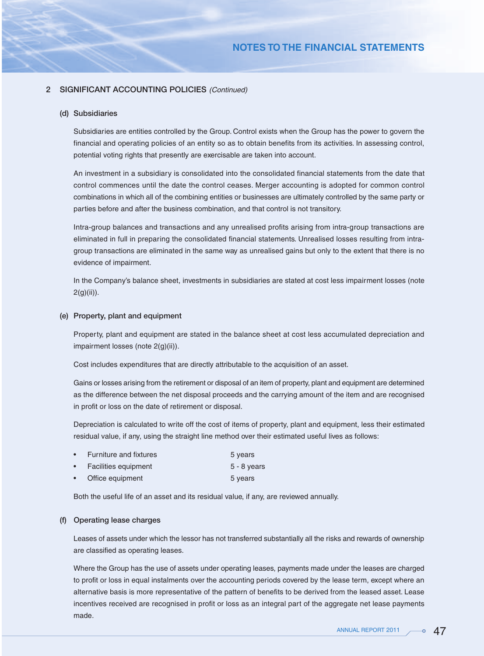## **2 SIGNIFICANT ACCOUNTING POLICIES** (Continued)

#### **(d) Subsidiaries**

Subsidiaries are entities controlled by the Group. Control exists when the Group has the power to govern the financial and operating policies of an entity so as to obtain benefits from its activities. In assessing control, potential voting rights that presently are exercisable are taken into account.

An investment in a subsidiary is consolidated into the consolidated financial statements from the date that control commences until the date the control ceases. Merger accounting is adopted for common control combinations in which all of the combining entities or businesses are ultimately controlled by the same party or parties before and after the business combination, and that control is not transitory.

Intra-group balances and transactions and any unrealised profits arising from intra-group transactions are eliminated in full in preparing the consolidated financial statements. Unrealised losses resulting from intragroup transactions are eliminated in the same way as unrealised gains but only to the extent that there is no evidence of impairment.

In the Company's balance sheet, investments in subsidiaries are stated at cost less impairment losses (note  $2(g)(ii)$ ).

#### **(e) Property, plant and equipment**

Property, plant and equipment are stated in the balance sheet at cost less accumulated depreciation and impairment losses (note 2(g)(ii)).

Cost includes expenditures that are directly attributable to the acquisition of an asset.

Gains or losses arising from the retirement or disposal of an item of property, plant and equipment are determined as the difference between the net disposal proceeds and the carrying amount of the item and are recognised in profit or loss on the date of retirement or disposal.

Depreciation is calculated to write off the cost of items of property, plant and equipment, less their estimated residual value, if any, using the straight line method over their estimated useful lives as follows:

| $\bullet$ | <b>Furniture and fixtures</b> | 5 years     |
|-----------|-------------------------------|-------------|
|           | • Facilities equipment        | 5 - 8 years |
|           | • Office equipment            | 5 years     |

Both the useful life of an asset and its residual value, if any, are reviewed annually.

### **(f) Operating lease charges**

Leases of assets under which the lessor has not transferred substantially all the risks and rewards of ownership are classified as operating leases.

Where the Group has the use of assets under operating leases, payments made under the leases are charged to profit or loss in equal instalments over the accounting periods covered by the lease term, except where an alternative basis is more representative of the pattern of benefits to be derived from the leased asset. Lease incentives received are recognised in profit or loss as an integral part of the aggregate net lease payments made.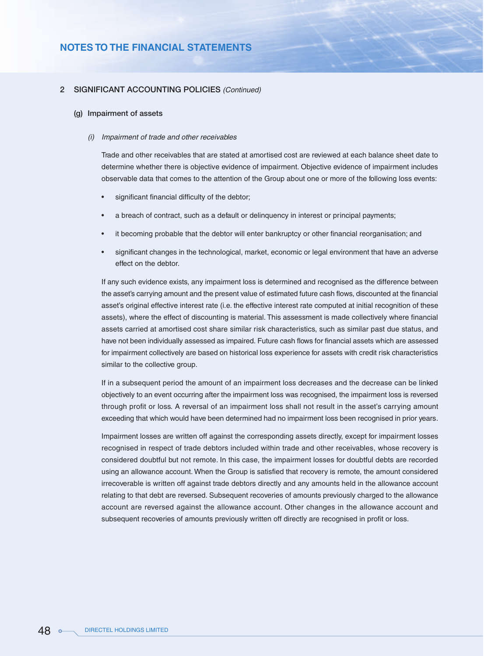# **NOTES TO THE FINANCIAL STATEMENTS**

## **2 SIGNIFICANT ACCOUNTING POLICIES** (Continued)

#### **(g) Impairment of assets**

#### (i) Impairment of trade and other receivables

Trade and other receivables that are stated at amortised cost are reviewed at each balance sheet date to determine whether there is objective evidence of impairment. Objective evidence of impairment includes observable data that comes to the attention of the Group about one or more of the following loss events:

- significant financial difficulty of the debtor;
- a breach of contract, such as a default or delinquency in interest or principal payments;
- it becoming probable that the debtor will enter bankruptcy or other financial reorganisation; and
- significant changes in the technological, market, economic or legal environment that have an adverse effect on the debtor.

If any such evidence exists, any impairment loss is determined and recognised as the difference between the asset's carrying amount and the present value of estimated future cash flows, discounted at the financial asset's original effective interest rate (i.e. the effective interest rate computed at initial recognition of these assets), where the effect of discounting is material. This assessment is made collectively where financial assets carried at amortised cost share similar risk characteristics, such as similar past due status, and have not been individually assessed as impaired. Future cash flows for financial assets which are assessed for impairment collectively are based on historical loss experience for assets with credit risk characteristics similar to the collective group.

If in a subsequent period the amount of an impairment loss decreases and the decrease can be linked objectively to an event occurring after the impairment loss was recognised, the impairment loss is reversed through profit or loss. A reversal of an impairment loss shall not result in the asset's carrying amount exceeding that which would have been determined had no impairment loss been recognised in prior years.

Impairment losses are written off against the corresponding assets directly, except for impairment losses recognised in respect of trade debtors included within trade and other receivables, whose recovery is considered doubtful but not remote. In this case, the impairment losses for doubtful debts are recorded using an allowance account. When the Group is satisfied that recovery is remote, the amount considered irrecoverable is written off against trade debtors directly and any amounts held in the allowance account relating to that debt are reversed. Subsequent recoveries of amounts previously charged to the allowance account are reversed against the allowance account. Other changes in the allowance account and subsequent recoveries of amounts previously written off directly are recognised in profit or loss.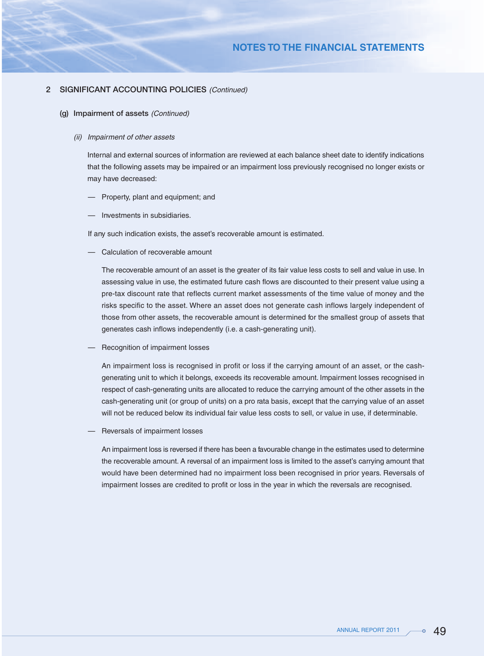## **2 SIGNIFICANT ACCOUNTING POLICIES** (Continued)

#### **(g) Impairment of assets** (Continued)

#### (ii) Impairment of other assets

Internal and external sources of information are reviewed at each balance sheet date to identify indications that the following assets may be impaired or an impairment loss previously recognised no longer exists or may have decreased:

- Property, plant and equipment; and
- Investments in subsidiaries.

If any such indication exists, the asset's recoverable amount is estimated.

Calculation of recoverable amount

The recoverable amount of an asset is the greater of its fair value less costs to sell and value in use. In assessing value in use, the estimated future cash flows are discounted to their present value using a pre-tax discount rate that reflects current market assessments of the time value of money and the risks specific to the asset. Where an asset does not generate cash inflows largely independent of those from other assets, the recoverable amount is determined for the smallest group of assets that generates cash inflows independently (i.e. a cash-generating unit).

— Recognition of impairment losses

An impairment loss is recognised in profit or loss if the carrying amount of an asset, or the cashgenerating unit to which it belongs, exceeds its recoverable amount. Impairment losses recognised in respect of cash-generating units are allocated to reduce the carrying amount of the other assets in the cash-generating unit (or group of units) on a pro rata basis, except that the carrying value of an asset will not be reduced below its individual fair value less costs to sell, or value in use, if determinable.

— Reversals of impairment losses

An impairment loss is reversed if there has been a favourable change in the estimates used to determine the recoverable amount. A reversal of an impairment loss is limited to the asset's carrying amount that would have been determined had no impairment loss been recognised in prior years. Reversals of impairment losses are credited to profit or loss in the year in which the reversals are recognised.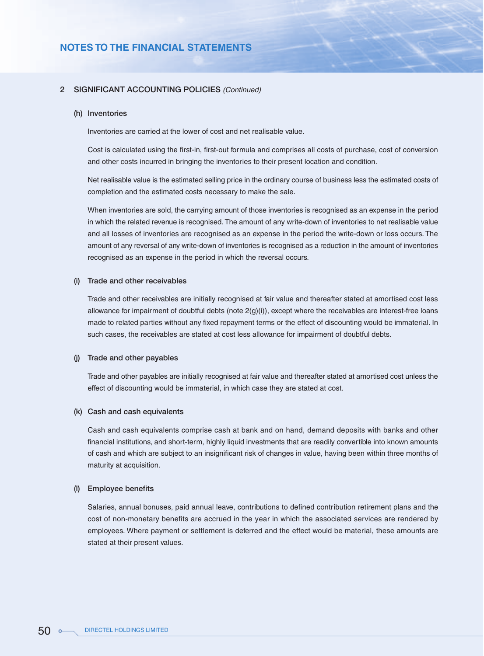# **NOTES TO THE FINANCIAL STATEMENTS**

## **2 SIGNIFICANT ACCOUNTING POLICIES** (Continued)

#### **(h) Inventories**

Inventories are carried at the lower of cost and net realisable value.

Cost is calculated using the first-in, first-out formula and comprises all costs of purchase, cost of conversion and other costs incurred in bringing the inventories to their present location and condition.

Net realisable value is the estimated selling price in the ordinary course of business less the estimated costs of completion and the estimated costs necessary to make the sale.

When inventories are sold, the carrying amount of those inventories is recognised as an expense in the period in which the related revenue is recognised. The amount of any write-down of inventories to net realisable value and all losses of inventories are recognised as an expense in the period the write-down or loss occurs. The amount of any reversal of any write-down of inventories is recognised as a reduction in the amount of inventories recognised as an expense in the period in which the reversal occurs.

#### **(i) Trade and other receivables**

Trade and other receivables are initially recognised at fair value and thereafter stated at amortised cost less allowance for impairment of doubtful debts (note 2(g)(i)), except where the receivables are interest-free loans made to related parties without any fixed repayment terms or the effect of discounting would be immaterial. In such cases, the receivables are stated at cost less allowance for impairment of doubtful debts.

#### **(j) Trade and other payables**

Trade and other payables are initially recognised at fair value and thereafter stated at amortised cost unless the effect of discounting would be immaterial, in which case they are stated at cost.

#### **(k) Cash and cash equivalents**

Cash and cash equivalents comprise cash at bank and on hand, demand deposits with banks and other financial institutions, and short-term, highly liquid investments that are readily convertible into known amounts of cash and which are subject to an insignificant risk of changes in value, having been within three months of maturity at acquisition.

#### **(l) Employee benefits**

Salaries, annual bonuses, paid annual leave, contributions to defined contribution retirement plans and the cost of non-monetary benefits are accrued in the year in which the associated services are rendered by employees. Where payment or settlement is deferred and the effect would be material, these amounts are stated at their present values.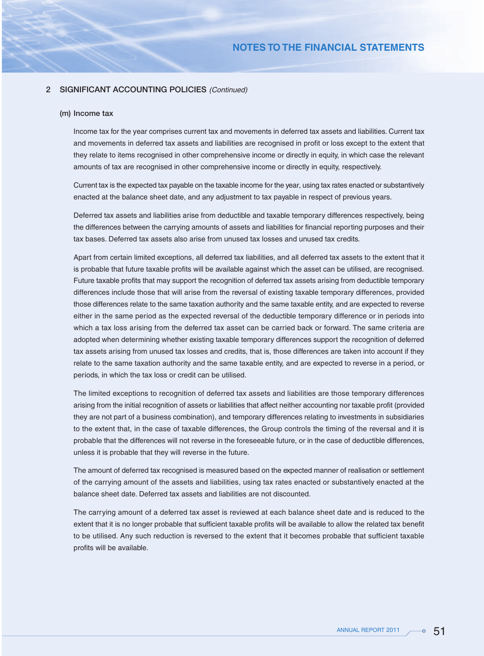### **2 SIGNIFICANT ACCOUNTING POLICIES** (Continued)

#### **(m) Income tax**

Income tax for the year comprises current tax and movements in deferred tax assets and liabilities. Current tax and movements in deferred tax assets and liabilities are recognised in profit or loss except to the extent that they relate to items recognised in other comprehensive income or directly in equity, in which case the relevant amounts of tax are recognised in other comprehensive income or directly in equity, respectively.

Current tax is the expected tax payable on the taxable income for the year, using tax rates enacted or substantively enacted at the balance sheet date, and any adjustment to tax payable in respect of previous years.

Deferred tax assets and liabilities arise from deductible and taxable temporary differences respectively, being the differences between the carrying amounts of assets and liabilities for financial reporting purposes and their tax bases. Deferred tax assets also arise from unused tax losses and unused tax credits.

Apart from certain limited exceptions, all deferred tax liabilities, and all deferred tax assets to the extent that it is probable that future taxable profits will be available against which the asset can be utilised, are recognised. Future taxable profits that may support the recognition of deferred tax assets arising from deductible temporary differences include those that will arise from the reversal of existing taxable temporary differences, provided those differences relate to the same taxation authority and the same taxable entity, and are expected to reverse either in the same period as the expected reversal of the deductible temporary difference or in periods into which a tax loss arising from the deferred tax asset can be carried back or forward. The same criteria are adopted when determining whether existing taxable temporary differences support the recognition of deferred tax assets arising from unused tax losses and credits, that is, those differences are taken into account if they relate to the same taxation authority and the same taxable entity, and are expected to reverse in a period, or periods, in which the tax loss or credit can be utilised.

The limited exceptions to recognition of deferred tax assets and liabilities are those temporary differences arising from the initial recognition of assets or liabilities that affect neither accounting nor taxable profit (provided they are not part of a business combination), and temporary differences relating to investments in subsidiaries to the extent that, in the case of taxable differences, the Group controls the timing of the reversal and it is probable that the differences will not reverse in the foreseeable future, or in the case of deductible differences, unless it is probable that they will reverse in the future.

The amount of deferred tax recognised is measured based on the expected manner of realisation or settlement of the carrying amount of the assets and liabilities, using tax rates enacted or substantively enacted at the balance sheet date. Deferred tax assets and liabilities are not discounted.

The carrying amount of a deferred tax asset is reviewed at each balance sheet date and is reduced to the extent that it is no longer probable that sufficient taxable profits will be available to allow the related tax benefit to be utilised. Any such reduction is reversed to the extent that it becomes probable that sufficient taxable profits will be available.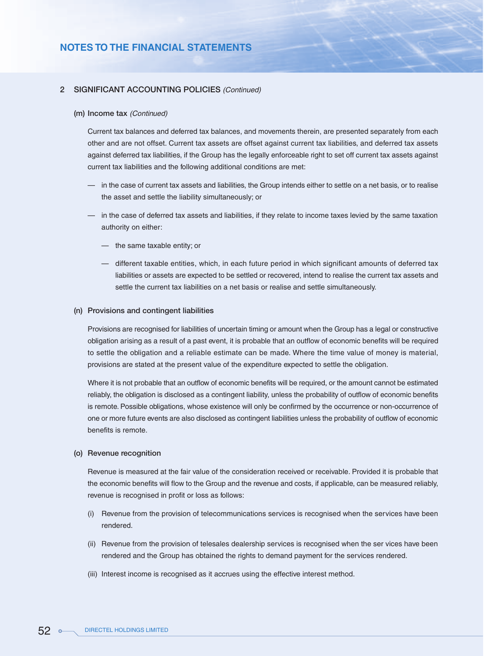# **NOTES TO THE FINANCIAL STATEMENTS**

## **2 SIGNIFICANT ACCOUNTING POLICIES** (Continued)

#### **(m) Income tax** (Continued)

Current tax balances and deferred tax balances, and movements therein, are presented separately from each other and are not offset. Current tax assets are offset against current tax liabilities, and deferred tax assets against deferred tax liabilities, if the Group has the legally enforceable right to set off current tax assets against current tax liabilities and the following additional conditions are met:

- in the case of current tax assets and liabilities, the Group intends either to settle on a net basis, or to realise the asset and settle the liability simultaneously; or
- in the case of deferred tax assets and liabilities, if they relate to income taxes levied by the same taxation authority on either:
	- the same taxable entity; or
	- different taxable entities, which, in each future period in which significant amounts of deferred tax liabilities or assets are expected to be settled or recovered, intend to realise the current tax assets and settle the current tax liabilities on a net basis or realise and settle simultaneously.

#### **(n) Provisions and contingent liabilities**

Provisions are recognised for liabilities of uncertain timing or amount when the Group has a legal or constructive obligation arising as a result of a past event, it is probable that an outflow of economic benefits will be required to settle the obligation and a reliable estimate can be made. Where the time value of money is material, provisions are stated at the present value of the expenditure expected to settle the obligation.

Where it is not probable that an outflow of economic benefits will be required, or the amount cannot be estimated reliably, the obligation is disclosed as a contingent liability, unless the probability of outflow of economic benefits is remote. Possible obligations, whose existence will only be confirmed by the occurrence or non-occurrence of one or more future events are also disclosed as contingent liabilities unless the probability of outflow of economic benefits is remote.

### **(o) Revenue recognition**

Revenue is measured at the fair value of the consideration received or receivable. Provided it is probable that the economic benefits will flow to the Group and the revenue and costs, if applicable, can be measured reliably, revenue is recognised in profit or loss as follows:

- (i) Revenue from the provision of telecommunications services is recognised when the services have been rendered.
- (ii) Revenue from the provision of telesales dealership services is recognised when the ser vices have been rendered and the Group has obtained the rights to demand payment for the services rendered.
- (iii) Interest income is recognised as it accrues using the effective interest method.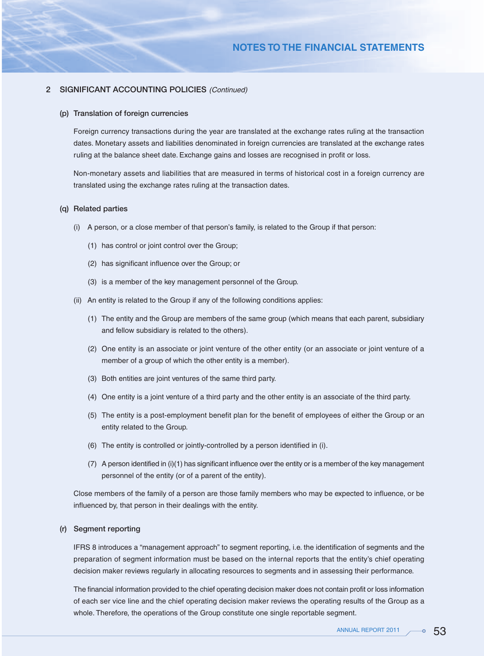### **2 SIGNIFICANT ACCOUNTING POLICIES** (Continued)

#### **(p) Translation of foreign currencies**

Foreign currency transactions during the year are translated at the exchange rates ruling at the transaction dates. Monetary assets and liabilities denominated in foreign currencies are translated at the exchange rates ruling at the balance sheet date. Exchange gains and losses are recognised in profit or loss.

Non-monetary assets and liabilities that are measured in terms of historical cost in a foreign currency are translated using the exchange rates ruling at the transaction dates.

#### **(q) Related parties**

- (i) A person, or a close member of that person's family, is related to the Group if that person:
	- (1) has control or joint control over the Group;
	- (2) has significant influence over the Group; or
	- (3) is a member of the key management personnel of the Group.
- (ii) An entity is related to the Group if any of the following conditions applies:
	- (1) The entity and the Group are members of the same group (which means that each parent, subsidiary and fellow subsidiary is related to the others).
	- (2) One entity is an associate or joint venture of the other entity (or an associate or joint venture of a member of a group of which the other entity is a member).
	- (3) Both entities are joint ventures of the same third party.
	- (4) One entity is a joint venture of a third party and the other entity is an associate of the third party.
	- (5) The entity is a post-employment benefit plan for the benefit of employees of either the Group or an entity related to the Group.
	- (6) The entity is controlled or jointly-controlled by a person identified in (i).
	- (7) A person identified in (i)(1) has significant influence over the entity or is a member of the key management personnel of the entity (or of a parent of the entity).

Close members of the family of a person are those family members who may be expected to influence, or be influenced by, that person in their dealings with the entity.

#### **(r) Segment reporting**

IFRS 8 introduces a "management approach" to segment reporting, i.e. the identification of segments and the preparation of segment information must be based on the internal reports that the entity's chief operating decision maker reviews regularly in allocating resources to segments and in assessing their performance.

The financial information provided to the chief operating decision maker does not contain profit or loss information of each ser vice line and the chief operating decision maker reviews the operating results of the Group as a whole. Therefore, the operations of the Group constitute one single reportable segment.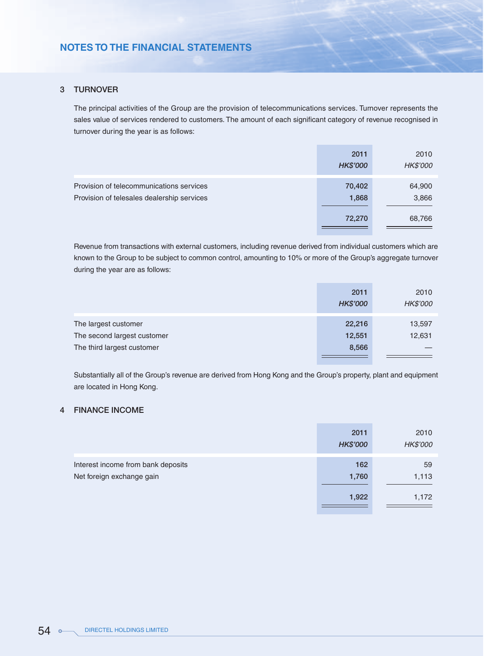# **3 TURNOVER**

The principal activities of the Group are the provision of telecommunications services. Turnover represents the sales value of services rendered to customers. The amount of each significant category of revenue recognised in turnover during the year is as follows:

|                                                                                        | 2011<br><b>HK\$'000</b> | 2010<br>HK\$'000 |
|----------------------------------------------------------------------------------------|-------------------------|------------------|
| Provision of telecommunications services<br>Provision of telesales dealership services | 70,402<br>1,868         | 64,900<br>3,866  |
|                                                                                        | 72,270                  | 68,766           |

Revenue from transactions with external customers, including revenue derived from individual customers which are known to the Group to be subject to common control, amounting to 10% or more of the Group's aggregate turnover during the year are as follows:

|                             | 2011<br><b>HK\$'000</b> | 2010<br><b>HK\$'000</b> |
|-----------------------------|-------------------------|-------------------------|
|                             |                         |                         |
| The largest customer        | 22,216                  | 13,597                  |
| The second largest customer | 12,551                  | 12,631                  |
| The third largest customer  | 8,566                   |                         |
|                             |                         |                         |

Substantially all of the Group's revenue are derived from Hong Kong and the Group's property, plant and equipment are located in Hong Kong.

# **4 FINANCE INCOME**

|                                    | 2011            | 2010            |
|------------------------------------|-----------------|-----------------|
|                                    | <b>HK\$'000</b> | <b>HK\$'000</b> |
|                                    | 162             | 59              |
| Interest income from bank deposits |                 |                 |
| Net foreign exchange gain          | 1,760           | 1,113           |
|                                    | 1,922           | 1,172           |
|                                    |                 |                 |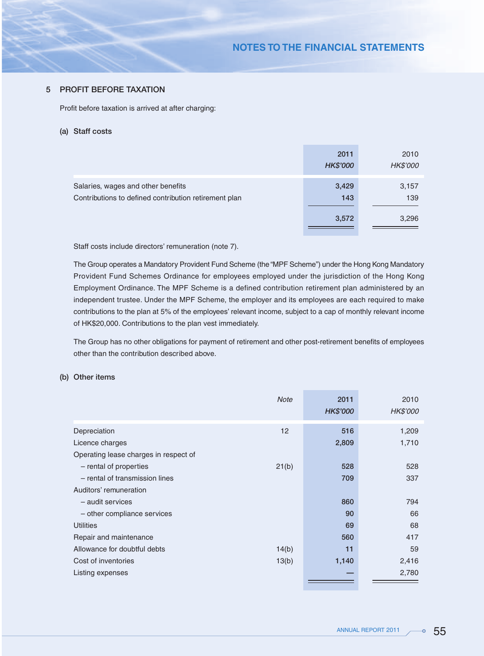## **5 PROFIT BEFORE TAXATION**

Profit before taxation is arrived at after charging:

### **(a) Staff costs**

|                                                                                             | 2011<br><b>HK\$'000</b> | 2010<br>HK\$'000 |
|---------------------------------------------------------------------------------------------|-------------------------|------------------|
| Salaries, wages and other benefits<br>Contributions to defined contribution retirement plan | 3,429<br>143            | 3,157<br>139     |
|                                                                                             | 3,572                   | 3,296            |

Staff costs include directors' remuneration (note 7).

The Group operates a Mandatory Provident Fund Scheme (the "MPF Scheme") under the Hong Kong Mandatory Provident Fund Schemes Ordinance for employees employed under the jurisdiction of the Hong Kong Employment Ordinance. The MPF Scheme is a defined contribution retirement plan administered by an independent trustee. Under the MPF Scheme, the employer and its employees are each required to make contributions to the plan at 5% of the employees' relevant income, subject to a cap of monthly relevant income of HK\$20,000. Contributions to the plan vest immediately.

The Group has no other obligations for payment of retirement and other post-retirement benefits of employees other than the contribution described above.

## **(b) Other items**

| <b>Note</b> | 2011<br><b>HK\$'000</b> | 2010<br>HK\$'000 |
|-------------|-------------------------|------------------|
| 12          | 516                     | 1,209            |
|             | 2,809                   | 1,710            |
|             |                         |                  |
| 21(b)       | 528                     | 528              |
|             | 709                     | 337              |
|             |                         |                  |
|             | 860                     | 794              |
|             | 90                      | 66               |
|             | 69                      | 68               |
|             | 560                     | 417              |
| 14(b)       | 11                      | 59               |
| 13(b)       | 1,140                   | 2,416            |
|             |                         | 2,780            |
|             |                         |                  |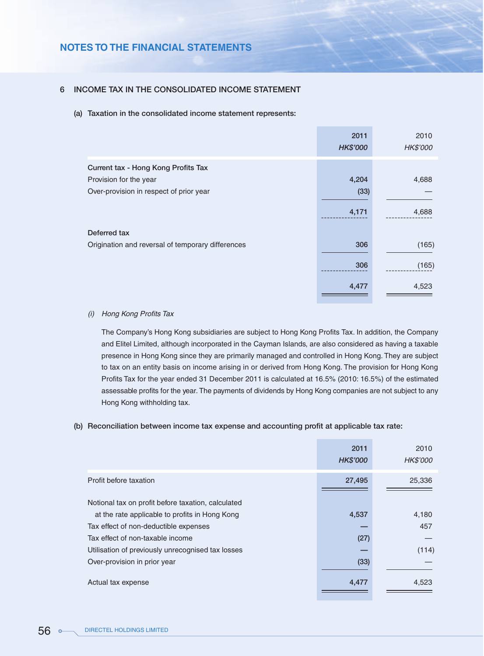# **6 INCOME TAX IN THE CONSOLIDATED INCOME STATEMENT**

#### **(a) Taxation in the consolidated income statement represents:**

|                                                   | 2011<br><b>HK\$'000</b> | 2010<br>HK\$'000 |
|---------------------------------------------------|-------------------------|------------------|
| Current tax - Hong Kong Profits Tax               |                         |                  |
| Provision for the year                            | 4,204                   | 4,688            |
| Over-provision in respect of prior year           | (33)                    |                  |
|                                                   |                         |                  |
|                                                   | 4,171                   | 4,688            |
| Deferred tax                                      |                         |                  |
| Origination and reversal of temporary differences | 306                     | (165)            |
|                                                   |                         |                  |
|                                                   | 306                     | (165)            |
|                                                   | 4,477                   | 4,523            |
|                                                   |                         |                  |

#### (i) Hong Kong Profits Tax

The Company's Hong Kong subsidiaries are subject to Hong Kong Profits Tax. In addition, the Company and Elitel Limited, although incorporated in the Cayman Islands, are also considered as having a taxable presence in Hong Kong since they are primarily managed and controlled in Hong Kong. They are subject to tax on an entity basis on income arising in or derived from Hong Kong. The provision for Hong Kong Profits Tax for the year ended 31 December 2011 is calculated at 16.5% (2010: 16.5%) of the estimated assessable profits for the year. The payments of dividends by Hong Kong companies are not subject to any Hong Kong withholding tax.

#### **(b) Reconciliation between income tax expense and accounting profit at applicable tax rate:**

|                                                    | 2011<br><b>HK\$'000</b> | 2010<br>HK\$'000 |
|----------------------------------------------------|-------------------------|------------------|
| Profit before taxation                             | 27,495                  | 25,336           |
| Notional tax on profit before taxation, calculated |                         |                  |
| at the rate applicable to profits in Hong Kong     | 4,537                   | 4,180            |
| Tax effect of non-deductible expenses              |                         | 457              |
| Tax effect of non-taxable income                   | (27)                    |                  |
| Utilisation of previously unrecognised tax losses  |                         | (114)            |
| Over-provision in prior year                       | (33)                    |                  |
| Actual tax expense                                 | 4,477                   | 4,523            |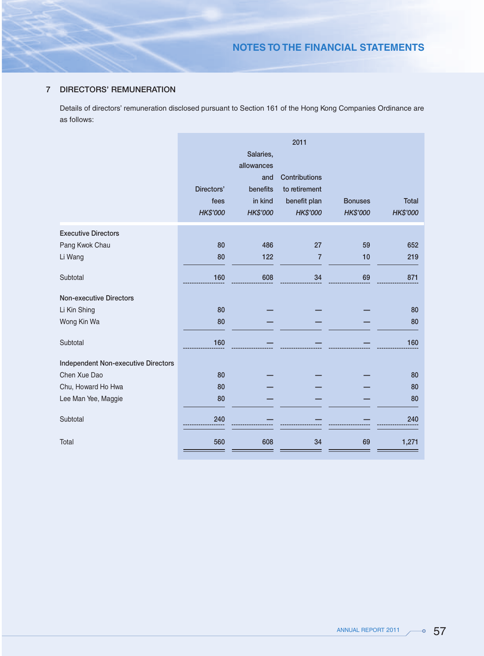# **7 DIRECTORS' REMUNERATION**

Details of directors' remuneration disclosed pursuant to Section 161 of the Hong Kong Companies Ordinance are as follows:

|                                            | Directors'<br>fees<br>HK\$'000 | Salaries,<br>allowances<br>and<br>benefits<br>in kind<br>HK\$'000 | 2011<br>Contributions<br>to retirement<br>benefit plan<br>HK\$'000 | <b>Bonuses</b><br>HK\$'000 | <b>Total</b><br>HK\$'000 |
|--------------------------------------------|--------------------------------|-------------------------------------------------------------------|--------------------------------------------------------------------|----------------------------|--------------------------|
| <b>Executive Directors</b>                 |                                |                                                                   |                                                                    |                            |                          |
| Pang Kwok Chau                             | 80                             | 486                                                               | 27                                                                 | 59                         | 652                      |
| Li Wang                                    | 80                             | 122                                                               | $\overline{7}$                                                     | 10                         | 219                      |
| Subtotal                                   | 160                            | 608                                                               | 34                                                                 | 69                         | 871                      |
| <b>Non-executive Directors</b>             |                                |                                                                   |                                                                    |                            |                          |
| Li Kin Shing                               | 80                             |                                                                   |                                                                    |                            | 80                       |
| Wong Kin Wa                                | 80                             |                                                                   |                                                                    |                            | 80                       |
| Subtotal                                   | 160                            |                                                                   |                                                                    |                            | 160                      |
| <b>Independent Non-executive Directors</b> |                                |                                                                   |                                                                    |                            |                          |
| Chen Xue Dao                               | 80                             |                                                                   |                                                                    |                            | 80                       |
| Chu, Howard Ho Hwa                         | 80                             |                                                                   |                                                                    |                            | 80                       |
| Lee Man Yee, Maggie                        | 80                             |                                                                   |                                                                    |                            | 80                       |
| Subtotal                                   | 240                            |                                                                   |                                                                    |                            | 240                      |
| Total                                      | 560                            | 608                                                               | 34                                                                 | 69                         | 1,271                    |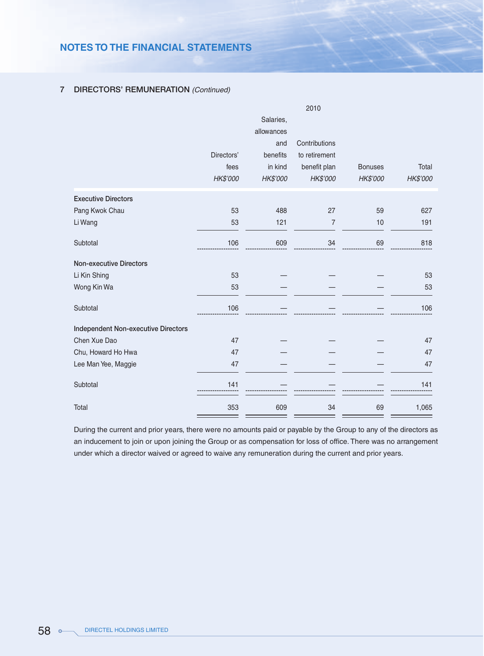# **7 DIRECTORS' REMUNERATION** (Continued)

|                                            |            |            | 2010           |                |          |
|--------------------------------------------|------------|------------|----------------|----------------|----------|
|                                            |            | Salaries,  |                |                |          |
|                                            |            | allowances |                |                |          |
|                                            |            | and        | Contributions  |                |          |
|                                            | Directors' | benefits   | to retirement  |                |          |
|                                            | fees       | in kind    | benefit plan   | <b>Bonuses</b> | Total    |
|                                            | HK\$'000   | HK\$'000   | HK\$'000       | HK\$'000       | HK\$'000 |
| <b>Executive Directors</b>                 |            |            |                |                |          |
| Pang Kwok Chau                             | 53         | 488        | 27             | 59             | 627      |
| Li Wang                                    | 53         | 121        | $\overline{7}$ | 10             | 191      |
|                                            |            |            |                |                |          |
| Subtotal                                   | 106        | 609        | 34             | 69             | 818      |
| <b>Non-executive Directors</b>             |            |            |                |                |          |
| Li Kin Shing                               | 53         |            |                |                | 53       |
| Wong Kin Wa                                | 53         |            |                |                | 53       |
|                                            |            |            |                |                |          |
| Subtotal                                   | 106        |            |                |                | 106      |
| <b>Independent Non-executive Directors</b> |            |            |                |                |          |
| Chen Xue Dao                               | 47         |            |                |                | 47       |
| Chu, Howard Ho Hwa                         | 47         |            |                |                | 47       |
| Lee Man Yee, Maggie                        | 47         |            |                |                | 47       |
|                                            |            |            |                |                |          |
| Subtotal                                   | 141        |            |                |                | 141      |
| Total                                      | 353        | 609        | 34             | 69             | 1,065    |
|                                            |            |            |                |                |          |

During the current and prior years, there were no amounts paid or payable by the Group to any of the directors as an inducement to join or upon joining the Group or as compensation for loss of office. There was no arrangement under which a director waived or agreed to waive any remuneration during the current and prior years.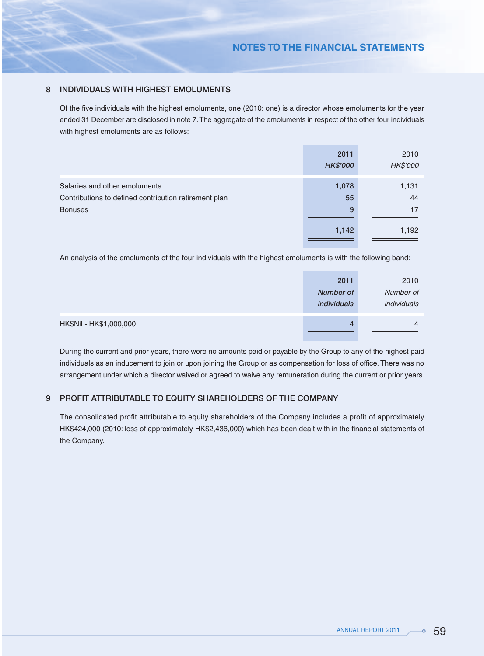# **8 INDIVIDUALS WITH HIGHEST EMOLUMENTS**

Of the five individuals with the highest emoluments, one (2010: one) is a director whose emoluments for the year ended 31 December are disclosed in note 7. The aggregate of the emoluments in respect of the other four individuals with highest emoluments are as follows:

|                                                                                                          | 2011<br><b>HK\$'000</b>   | 2010<br>HK\$'000           |
|----------------------------------------------------------------------------------------------------------|---------------------------|----------------------------|
| Salaries and other emoluments<br>Contributions to defined contribution retirement plan<br><b>Bonuses</b> | 1,078<br>55<br>9<br>1,142 | 1,131<br>44<br>17<br>1,192 |

An analysis of the emoluments of the four individuals with the highest emoluments is with the following band:

|                         | 2011               | 2010           |
|-------------------------|--------------------|----------------|
|                         | <b>Number of</b>   | Number of      |
|                         | <i>individuals</i> | individuals    |
| HK\$Nil - HK\$1,000,000 | 4                  | $\overline{4}$ |

During the current and prior years, there were no amounts paid or payable by the Group to any of the highest paid individuals as an inducement to join or upon joining the Group or as compensation for loss of office. There was no arrangement under which a director waived or agreed to waive any remuneration during the current or prior years.

# **9 PROFIT ATTRIBUTABLE TO EQUITY SHAREHOLDERS OF THE COMPANY**

The consolidated profit attributable to equity shareholders of the Company includes a profit of approximately HK\$424,000 (2010: loss of approximately HK\$2,436,000) which has been dealt with in the financial statements of the Company.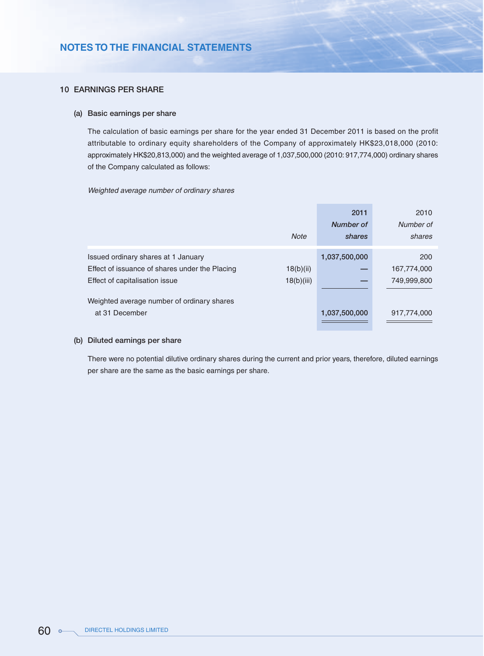# **10 EARNINGS PER SHARE**

#### **(a) Basic earnings per share**

The calculation of basic earnings per share for the year ended 31 December 2011 is based on the profit attributable to ordinary equity shareholders of the Company of approximately HK\$23,018,000 (2010: approximately HK\$20,813,000) and the weighted average of 1,037,500,000 (2010: 917,774,000) ordinary shares of the Company calculated as follows:

## Weighted average number of ordinary shares

|                                                |             | 2011          | 2010        |
|------------------------------------------------|-------------|---------------|-------------|
|                                                |             | Number of     | Number of   |
|                                                | <b>Note</b> | shares        | shares      |
| Issued ordinary shares at 1 January            |             | 1,037,500,000 | 200         |
| Effect of issuance of shares under the Placing | 18(b)(ii)   |               | 167,774,000 |
| Effect of capitalisation issue                 | 18(b)(iii)  |               | 749,999,800 |
| Weighted average number of ordinary shares     |             |               |             |
| at 31 December                                 |             | 1,037,500,000 | 917,774,000 |

## **(b) Diluted earnings per share**

There were no potential dilutive ordinary shares during the current and prior years, therefore, diluted earnings per share are the same as the basic earnings per share.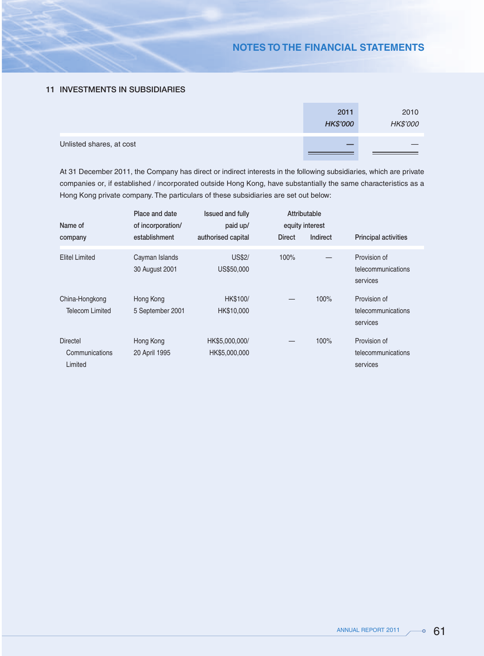# **11 INVESTMENTS IN SUBSIDIARIES**

|                          | 2011<br><b>HK\$'000</b> | 2010<br>HK\$'000 |
|--------------------------|-------------------------|------------------|
| Unlisted shares, at cost | _                       |                  |

At 31 December 2011, the Company has direct or indirect interests in the following subsidiaries, which are private companies or, if established / incorporated outside Hong Kong, have substantially the same characteristics as a Hong Kong private company. The particulars of these subsidiaries are set out below:

| Name of<br>company                       | Place and date<br>of incorporation/<br>establishment | <b>Issued and fully</b><br>paid up/<br>authorised capital | <b>Direct</b> | Attributable<br>equity interest<br>Indirect | <b>Principal activities</b>                    |
|------------------------------------------|------------------------------------------------------|-----------------------------------------------------------|---------------|---------------------------------------------|------------------------------------------------|
|                                          |                                                      |                                                           |               |                                             |                                                |
| <b>Elitel Limited</b>                    | Cayman Islands<br>30 August 2001                     | <b>US\$2/</b><br>US\$50,000                               | 100%          |                                             | Provision of<br>telecommunications<br>services |
| China-Hongkong<br><b>Telecom Limited</b> | Hong Kong<br>5 September 2001                        | HK\$100/<br>HK\$10,000                                    |               | 100%                                        | Provision of<br>telecommunications<br>services |
| Directel<br>Communications<br>Limited    | Hong Kong<br>20 April 1995                           | HK\$5,000,000/<br>HK\$5,000,000                           |               | 100%                                        | Provision of<br>telecommunications<br>services |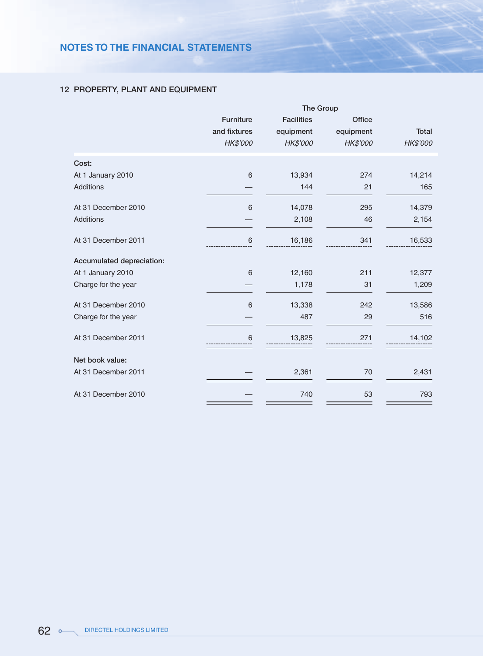# **NOTES TO THE FINANCIAL STATEMENTS**

# **12 PROPERTY, PLANT AND EQUIPMENT**

|                           | The Group    |                   |           |              |  |
|---------------------------|--------------|-------------------|-----------|--------------|--|
|                           | Furniture    | <b>Facilities</b> | Office    |              |  |
|                           | and fixtures | equipment         | equipment | <b>Total</b> |  |
|                           | HK\$'000     | HK\$'000          | HK\$'000  | HK\$'000     |  |
| Cost:                     |              |                   |           |              |  |
| At 1 January 2010         | 6            | 13,934            | 274       | 14,214       |  |
| <b>Additions</b>          |              | 144               | 21        | 165          |  |
| At 31 December 2010       | 6            | 14,078            | 295       | 14,379       |  |
| Additions                 |              | 2,108             | 46        | 2,154        |  |
| At 31 December 2011       | 6            | 16,186            | 341       | 16,533       |  |
| Accumulated depreciation: |              |                   |           |              |  |
| At 1 January 2010         | 6            | 12,160            | 211       | 12,377       |  |
| Charge for the year       |              | 1,178             | 31        | 1,209        |  |
| At 31 December 2010       | 6            | 13,338            | 242       | 13,586       |  |
| Charge for the year       |              | 487               | 29        | 516          |  |
| At 31 December 2011       | 6            | 13,825            | 271       | 14,102       |  |
| Net book value:           |              |                   |           |              |  |
| At 31 December 2011       |              | 2,361             | 70        | 2,431        |  |
| At 31 December 2010       |              | 740               | 53        | 793          |  |
|                           |              |                   |           |              |  |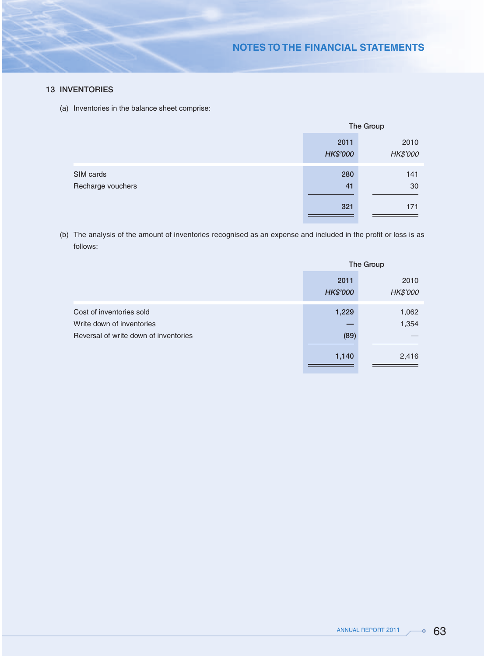# **13 INVENTORIES**

(a) Inventories in the balance sheet comprise:

|                   | The Group       |          |  |
|-------------------|-----------------|----------|--|
|                   | 2011            | 2010     |  |
|                   | <b>HK\$'000</b> | HK\$'000 |  |
| SIM cards         | 280             | 141      |  |
| Recharge vouchers | 41              | 30       |  |
|                   | 321             | 171      |  |

(b) The analysis of the amount of inventories recognised as an expense and included in the profit or loss is as follows:

|                                       | The Group       |          |
|---------------------------------------|-----------------|----------|
|                                       | 2011            | 2010     |
|                                       | <b>HK\$'000</b> | HK\$'000 |
| Cost of inventories sold              | 1,229           | 1,062    |
| Write down of inventories             |                 | 1,354    |
| Reversal of write down of inventories | (89)            |          |
|                                       | 1,140           | 2,416    |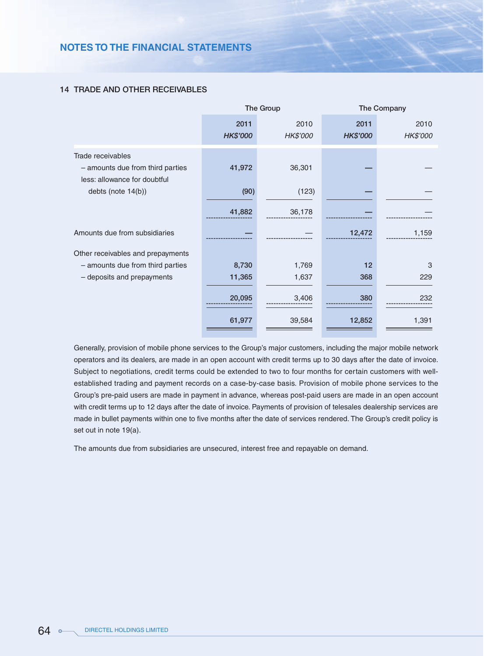# **14 TRADE AND OTHER RECEIVABLES**

|                                                                                       |                  | The Group        | The Company             |                  |
|---------------------------------------------------------------------------------------|------------------|------------------|-------------------------|------------------|
|                                                                                       | 2011<br>HK\$'000 | 2010<br>HK\$'000 | 2011<br><b>HK\$'000</b> | 2010<br>HK\$'000 |
| Trade receivables<br>- amounts due from third parties<br>less: allowance for doubtful | 41,972           | 36,301           |                         |                  |
| debts (note 14(b))                                                                    | (90)             | (123)            |                         |                  |
|                                                                                       | 41,882           | 36,178           |                         |                  |
| Amounts due from subsidiaries                                                         |                  |                  | 12,472                  | 1,159            |
| Other receivables and prepayments                                                     |                  |                  |                         |                  |
| - amounts due from third parties                                                      | 8,730            | 1,769            | 12                      | 3                |
| - deposits and prepayments                                                            | 11,365           | 1,637            | 368                     | 229              |
|                                                                                       | 20,095           | 3,406            | 380                     | 232              |
|                                                                                       | 61,977           | 39,584           | 12,852                  | 1,391            |

Generally, provision of mobile phone services to the Group's major customers, including the major mobile network operators and its dealers, are made in an open account with credit terms up to 30 days after the date of invoice. Subject to negotiations, credit terms could be extended to two to four months for certain customers with wellestablished trading and payment records on a case-by-case basis. Provision of mobile phone services to the Group's pre-paid users are made in payment in advance, whereas post-paid users are made in an open account with credit terms up to 12 days after the date of invoice. Payments of provision of telesales dealership services are made in bullet payments within one to five months after the date of services rendered. The Group's credit policy is set out in note 19(a).

The amounts due from subsidiaries are unsecured, interest free and repayable on demand.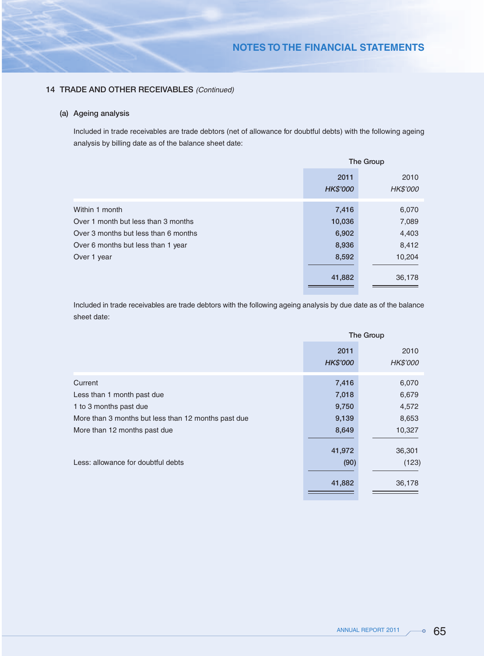# **14 TRADE AND OTHER RECEIVABLES** (Continued)

# **(a) Ageing analysis**

Included in trade receivables are trade debtors (net of allowance for doubtful debts) with the following ageing analysis by billing date as of the balance sheet date:

|                                      | The Group       |                 |  |
|--------------------------------------|-----------------|-----------------|--|
|                                      | 2011            | 2010            |  |
|                                      | <b>HK\$'000</b> | <b>HK\$'000</b> |  |
| Within 1 month                       | 7,416           | 6,070           |  |
| Over 1 month but less than 3 months  | 10,036          | 7,089           |  |
| Over 3 months but less than 6 months | 6,902           | 4,403           |  |
| Over 6 months but less than 1 year   | 8,936           | 8,412           |  |
| Over 1 year                          | 8,592           | 10,204          |  |
|                                      | 41,882          | 36,178          |  |

Included in trade receivables are trade debtors with the following ageing analysis by due date as of the balance sheet date:

|                                                     | The Group               |                  |
|-----------------------------------------------------|-------------------------|------------------|
|                                                     | 2011<br><b>HK\$'000</b> | 2010<br>HK\$'000 |
| Current                                             | 7,416                   | 6,070            |
| Less than 1 month past due                          | 7,018                   | 6,679            |
| 1 to 3 months past due                              | 9,750                   | 4,572            |
| More than 3 months but less than 12 months past due | 9,139                   | 8,653            |
| More than 12 months past due                        | 8,649                   | 10,327           |
|                                                     | 41,972                  | 36,301           |
| Less: allowance for doubtful debts                  | (90)                    | (123)            |
|                                                     | 41,882                  | 36,178           |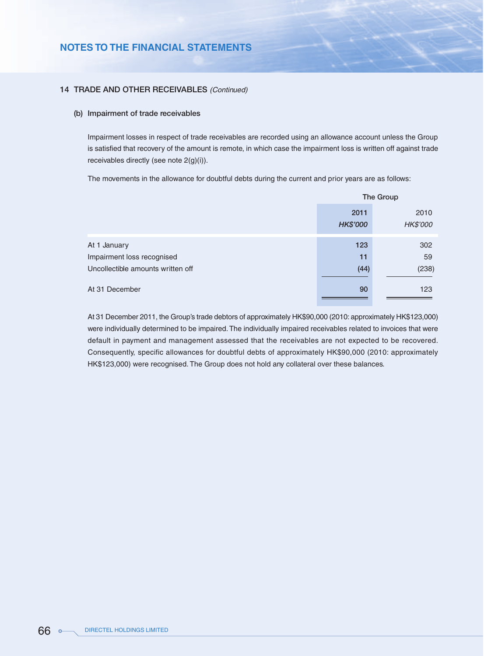## **14 TRADE AND OTHER RECEIVABLES** (Continued)

#### **(b) Impairment of trade receivables**

Impairment losses in respect of trade receivables are recorded using an allowance account unless the Group is satisfied that recovery of the amount is remote, in which case the impairment loss is written off against trade receivables directly (see note 2(g)(i)).

The movements in the allowance for doubtful debts during the current and prior years are as follows:

|                                            | The Group               |                  |
|--------------------------------------------|-------------------------|------------------|
|                                            | 2011<br><b>HK\$'000</b> | 2010<br>HK\$'000 |
| At 1 January<br>Impairment loss recognised | 123<br>11               | 302<br>59        |
| Uncollectible amounts written off          | (44)                    | (238)            |
| At 31 December                             | 90                      | 123              |

At 31 December 2011, the Group's trade debtors of approximately HK\$90,000 (2010: approximately HK\$123,000) were individually determined to be impaired. The individually impaired receivables related to invoices that were default in payment and management assessed that the receivables are not expected to be recovered. Consequently, specific allowances for doubtful debts of approximately HK\$90,000 (2010: approximately HK\$123,000) were recognised. The Group does not hold any collateral over these balances.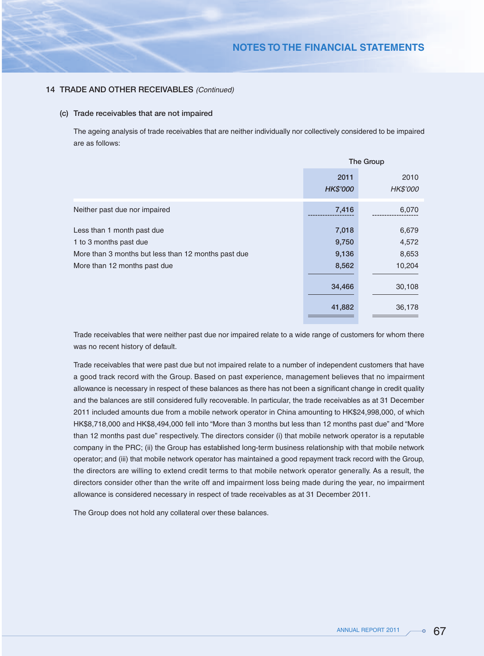### **14 TRADE AND OTHER RECEIVABLES** (Continued)

#### **(c) Trade receivables that are not impaired**

The ageing analysis of trade receivables that are neither individually nor collectively considered to be impaired are as follows:

|                                                     | The Group               |                  |  |
|-----------------------------------------------------|-------------------------|------------------|--|
|                                                     | 2011<br><b>HK\$'000</b> | 2010<br>HK\$'000 |  |
| Neither past due nor impaired                       | 7,416                   | 6,070            |  |
| Less than 1 month past due                          | 7,018                   | 6,679            |  |
| 1 to 3 months past due                              | 9,750                   | 4,572            |  |
| More than 3 months but less than 12 months past due | 9,136                   | 8,653            |  |
| More than 12 months past due                        | 8,562                   | 10,204           |  |
|                                                     | 34,466                  | 30,108           |  |
|                                                     | 41,882                  | 36,178           |  |

Trade receivables that were neither past due nor impaired relate to a wide range of customers for whom there was no recent history of default.

Trade receivables that were past due but not impaired relate to a number of independent customers that have a good track record with the Group. Based on past experience, management believes that no impairment allowance is necessary in respect of these balances as there has not been a significant change in credit quality and the balances are still considered fully recoverable. In particular, the trade receivables as at 31 December 2011 included amounts due from a mobile network operator in China amounting to HK\$24,998,000, of which HK\$8,718,000 and HK\$8,494,000 fell into "More than 3 months but less than 12 months past due" and "More than 12 months past due" respectively. The directors consider (i) that mobile network operator is a reputable company in the PRC; (ii) the Group has established long-term business relationship with that mobile network operator; and (iii) that mobile network operator has maintained a good repayment track record with the Group, the directors are willing to extend credit terms to that mobile network operator generally. As a result, the directors consider other than the write off and impairment loss being made during the year, no impairment allowance is considered necessary in respect of trade receivables as at 31 December 2011.

The Group does not hold any collateral over these balances.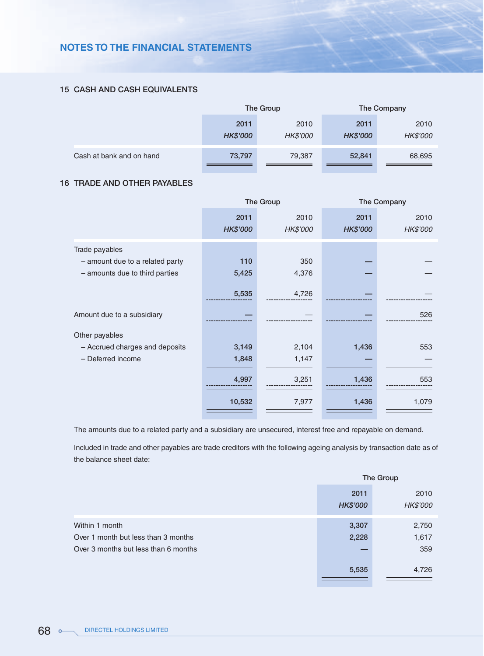# **15 CASH AND CASH EQUIVALENTS**

|                          | The Group               |                  | The Company             |                  |
|--------------------------|-------------------------|------------------|-------------------------|------------------|
|                          | 2011<br><b>HK\$'000</b> | 2010<br>HK\$'000 | 2011<br><b>HK\$'000</b> | 2010<br>HK\$'000 |
| Cash at bank and on hand | 73,797                  | 79,387           | 52,841                  | 68,695           |
|                          |                         |                  |                         |                  |

# **16 TRADE AND OTHER PAYABLES**

|                                 | The Group               |                  | The Company             |                  |
|---------------------------------|-------------------------|------------------|-------------------------|------------------|
|                                 | 2011<br><b>HK\$'000</b> | 2010<br>HK\$'000 | 2011<br><b>HK\$'000</b> | 2010<br>HK\$'000 |
| Trade payables                  |                         |                  |                         |                  |
| - amount due to a related party | 110                     | 350              |                         |                  |
| - amounts due to third parties  | 5,425                   | 4,376            |                         |                  |
|                                 | 5,535                   | 4,726            |                         |                  |
| Amount due to a subsidiary      |                         |                  |                         | 526              |
| Other payables                  |                         |                  |                         |                  |
| - Accrued charges and deposits  | 3,149                   | 2,104            | 1,436                   | 553              |
| - Deferred income               | 1,848                   | 1,147            |                         |                  |
|                                 | 4,997                   | 3,251            | 1,436                   | 553              |
|                                 | 10,532                  | 7,977            | 1,436                   | 1,079            |

The amounts due to a related party and a subsidiary are unsecured, interest free and repayable on demand.

Included in trade and other payables are trade creditors with the following ageing analysis by transaction date as of the balance sheet date:

|                                      | The Group       |          |
|--------------------------------------|-----------------|----------|
|                                      | 2011            | 2010     |
|                                      | <b>HK\$'000</b> | HK\$'000 |
| Within 1 month                       | 3,307           | 2,750    |
| Over 1 month but less than 3 months  | 2,228           | 1,617    |
| Over 3 months but less than 6 months |                 | 359      |
|                                      | 5,535           | 4,726    |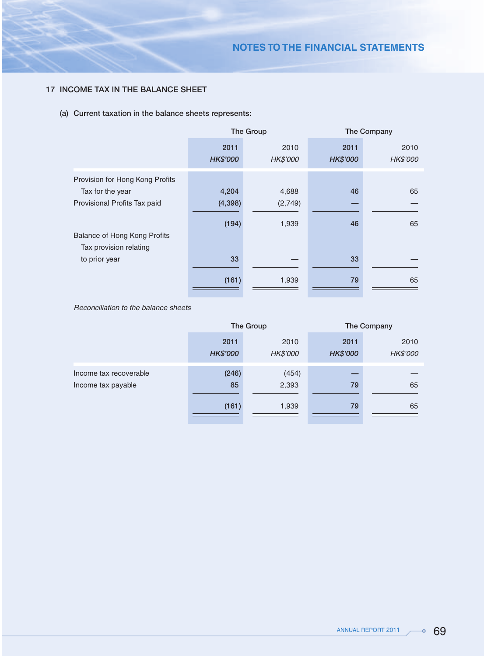# **17 INCOME TAX IN THE BALANCE SHEET**

**(a) Current taxation in the balance sheets represents:**

|                                 | The Group       |          | The Company     |          |
|---------------------------------|-----------------|----------|-----------------|----------|
|                                 | 2011            | 2010     | 2011            | 2010     |
|                                 | <b>HK\$'000</b> | HK\$'000 | <b>HK\$'000</b> | HK\$'000 |
| Provision for Hong Kong Profits |                 |          |                 |          |
| Tax for the year                | 4,204           | 4,688    | 46              | 65       |
| Provisional Profits Tax paid    | (4, 398)        | (2,749)  |                 |          |
|                                 | (194)           | 1,939    | 46              | 65       |
| Balance of Hong Kong Profits    |                 |          |                 |          |
| Tax provision relating          |                 |          |                 |          |
| to prior year                   | 33              |          | 33              |          |
|                                 | (161)           | 1,939    | 79              | 65       |

Reconciliation to the balance sheets

|                        | The Group               |                  | The Company             |                  |
|------------------------|-------------------------|------------------|-------------------------|------------------|
|                        | 2011<br><b>HK\$'000</b> | 2010<br>HK\$'000 | 2011<br><b>HK\$'000</b> | 2010<br>HK\$'000 |
| Income tax recoverable | (246)                   | (454)            |                         |                  |
| Income tax payable     | 85                      | 2,393            | 79                      | 65               |
|                        | (161)                   | 1,939            | 79                      | 65               |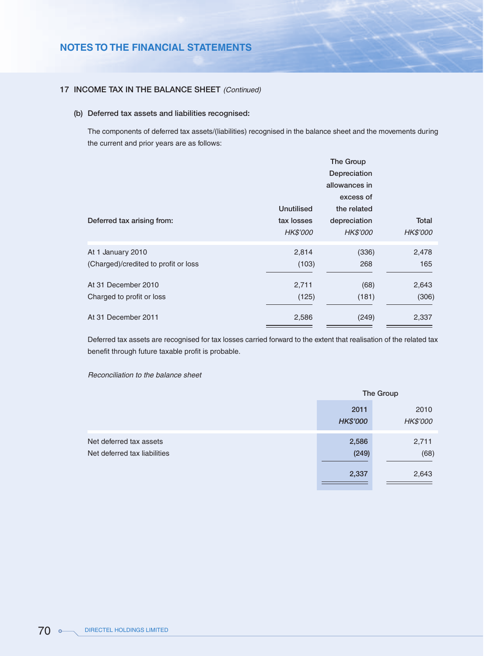# **NOTES TO THE FINANCIAL STATEMENTS**

# 17 INCOME TAX IN THE BALANCE SHEET (Continued)

## **(b) Deferred tax assets and liabilities recognised:**

The components of deferred tax assets/(liabilities) recognised in the balance sheet and the movements during the current and prior years are as follows:

|            | The Group     |                 |
|------------|---------------|-----------------|
|            | Depreciation  |                 |
|            | allowances in |                 |
|            | excess of     |                 |
| Unutilised | the related   |                 |
| tax losses | depreciation  | Total           |
| HK\$'000   | HK\$'000      | <b>HK\$'000</b> |
| 2,814      | (336)         | 2,478           |
| (103)      | 268           | 165             |
| 2,711      | (68)          | 2,643           |
| (125)      | (181)         | (306)           |
| 2,586      | (249)         | 2,337           |
|            |               |                 |

Deferred tax assets are recognised for tax losses carried forward to the extent that realisation of the related tax benefit through future taxable profit is probable.

Reconciliation to the balance sheet

|                              | The Group       |          |
|------------------------------|-----------------|----------|
|                              | 2011            | 2010     |
|                              | <b>HK\$'000</b> | HK\$'000 |
| Net deferred tax assets      | 2,586           | 2,711    |
| Net deferred tax liabilities | (249)           | (68)     |
|                              | 2,337           | 2,643    |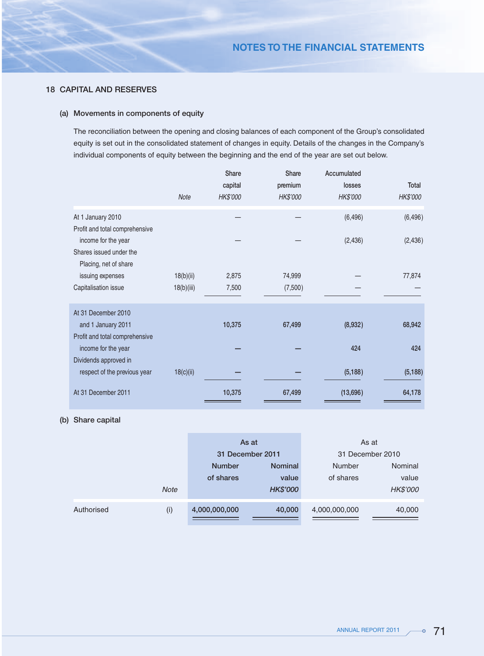# **18 CAPITAL AND RESERVES**

## **(a) Movements in components of equity**

The reconciliation between the opening and closing balances of each component of the Group's consolidated equity is set out in the consolidated statement of changes in equity. Details of the changes in the Company's individual components of equity between the beginning and the end of the year are set out below.

|                                                                         | <b>Note</b> | Share<br>capital<br>HK\$'000 | Share<br>premium<br>HK\$'000 | Accumulated<br>losses<br>HK\$'000 | Total<br>HK\$'000 |
|-------------------------------------------------------------------------|-------------|------------------------------|------------------------------|-----------------------------------|-------------------|
| At 1 January 2010<br>Profit and total comprehensive                     |             |                              |                              | (6, 496)                          | (6, 496)          |
| income for the year<br>Shares issued under the<br>Placing, net of share |             |                              |                              | (2, 436)                          | (2, 436)          |
| issuing expenses                                                        | 18(b)(ii)   | 2,875                        | 74,999                       |                                   | 77,874            |
| Capitalisation issue                                                    | 18(b)(iii)  | 7,500                        | (7,500)                      |                                   |                   |
| At 31 December 2010                                                     |             |                              |                              |                                   |                   |
| and 1 January 2011                                                      |             | 10,375                       | 67,499                       | (8,932)                           | 68,942            |
| Profit and total comprehensive                                          |             |                              |                              |                                   |                   |
| income for the year                                                     |             |                              |                              | 424                               | 424               |
| Dividends approved in                                                   |             |                              |                              |                                   |                   |
| respect of the previous year                                            | 18(c)(ii)   |                              |                              | (5, 188)                          | (5, 188)          |
| At 31 December 2011                                                     |             | 10,375                       | 67,499                       | (13,696)                          | 64,178            |

# **(b) Share capital**

|            |             | As at            |                 | As at         |                  |
|------------|-------------|------------------|-----------------|---------------|------------------|
|            |             | 31 December 2011 |                 |               | 31 December 2010 |
|            |             | <b>Number</b>    | <b>Nominal</b>  | Number        | Nominal          |
|            |             | of shares        | value           | of shares     | value            |
|            | <b>Note</b> |                  | <b>HK\$'000</b> |               | HK\$'000         |
| Authorised | (i)         | 4,000,000,000    | 40,000          | 4,000,000,000 | 40,000           |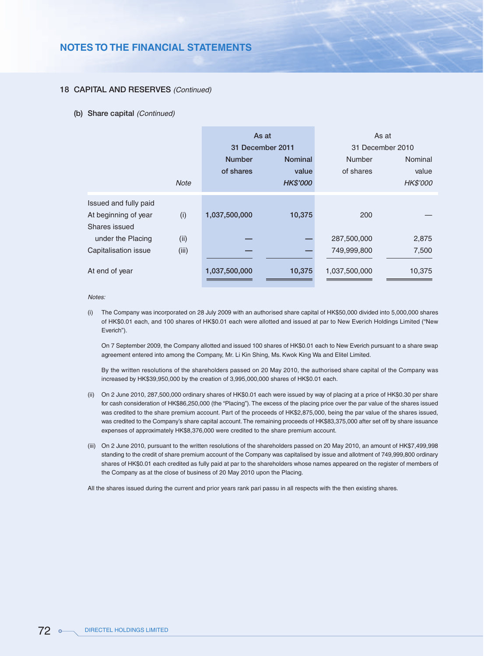# **18 CAPITAL AND RESERVES** (Continued)

#### **(b) Share capital** (Continued)

|                       |             | As at         |                  | As at         |                  |  |
|-----------------------|-------------|---------------|------------------|---------------|------------------|--|
|                       |             |               | 31 December 2011 |               | 31 December 2010 |  |
|                       |             | <b>Number</b> | <b>Nominal</b>   | Number        | Nominal          |  |
|                       |             | of shares     | value            | of shares     | value            |  |
|                       | <b>Note</b> |               | <b>HK\$'000</b>  |               | HK\$'000         |  |
| Issued and fully paid |             |               |                  |               |                  |  |
| At beginning of year  | (i)         | 1,037,500,000 | 10,375           | 200           |                  |  |
| Shares issued         |             |               |                  |               |                  |  |
| under the Placing     | (ii)        |               |                  | 287,500,000   | 2,875            |  |
| Capitalisation issue  | (iii)       |               |                  | 749,999,800   | 7,500            |  |
|                       |             |               |                  |               |                  |  |
| At end of year        |             | 1,037,500,000 | 10,375           | 1,037,500,000 | 10,375           |  |
|                       |             |               |                  |               |                  |  |

Notes:

(i) The Company was incorporated on 28 July 2009 with an authorised share capital of HK\$50,000 divided into 5,000,000 shares of HK\$0.01 each, and 100 shares of HK\$0.01 each were allotted and issued at par to New Everich Holdings Limited ("New Everich").

On 7 September 2009, the Company allotted and issued 100 shares of HK\$0.01 each to New Everich pursuant to a share swap agreement entered into among the Company, Mr. Li Kin Shing, Ms. Kwok King Wa and Elitel Limited.

By the written resolutions of the shareholders passed on 20 May 2010, the authorised share capital of the Company was increased by HK\$39,950,000 by the creation of 3,995,000,000 shares of HK\$0.01 each.

- (ii) On 2 June 2010, 287,500,000 ordinary shares of HK\$0.01 each were issued by way of placing at a price of HK\$0.30 per share for cash consideration of HK\$86,250,000 (the "Placing"). The excess of the placing price over the par value of the shares issued was credited to the share premium account. Part of the proceeds of HK\$2,875,000, being the par value of the shares issued, was credited to the Company's share capital account. The remaining proceeds of HK\$83,375,000 after set off by share issuance expenses of approximately HK\$8,376,000 were credited to the share premium account.
- (iii) On 2 June 2010, pursuant to the written resolutions of the shareholders passed on 20 May 2010, an amount of HK\$7,499,998 standing to the credit of share premium account of the Company was capitalised by issue and allotment of 749,999,800 ordinary shares of HK\$0.01 each credited as fully paid at par to the shareholders whose names appeared on the register of members of the Company as at the close of business of 20 May 2010 upon the Placing.

All the shares issued during the current and prior years rank pari passu in all respects with the then existing shares.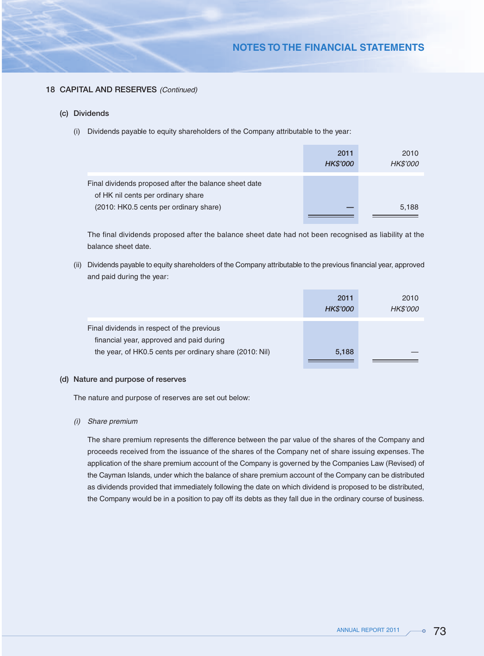## **18 CAPITAL AND RESERVES** (Continued)

#### **(c) Dividends**

(i) Dividends payable to equity shareholders of the Company attributable to the year:

|                                                       | 2011<br><b>HK\$'000</b> | 2010<br>HK\$'000 |
|-------------------------------------------------------|-------------------------|------------------|
|                                                       |                         |                  |
| Final dividends proposed after the balance sheet date |                         |                  |
| of HK nil cents per ordinary share                    |                         |                  |
| (2010: HK0.5 cents per ordinary share)                |                         | 5,188            |
|                                                       |                         |                  |

The final dividends proposed after the balance sheet date had not been recognised as liability at the balance sheet date.

(ii) Dividends payable to equity shareholders of the Company attributable to the previous financial year, approved and paid during the year:

|                                                         | 2011<br><b>HK\$'000</b> | 2010<br><b>HK\$'000</b> |
|---------------------------------------------------------|-------------------------|-------------------------|
| Final dividends in respect of the previous              |                         |                         |
| financial year, approved and paid during                |                         |                         |
| the year, of HK0.5 cents per ordinary share (2010: Nil) | 5,188                   |                         |
|                                                         |                         |                         |

# **(d) Nature and purpose of reserves**

The nature and purpose of reserves are set out below:

#### (i) Share premium

The share premium represents the difference between the par value of the shares of the Company and proceeds received from the issuance of the shares of the Company net of share issuing expenses. The application of the share premium account of the Company is governed by the Companies Law (Revised) of the Cayman Islands, under which the balance of share premium account of the Company can be distributed as dividends provided that immediately following the date on which dividend is proposed to be distributed, the Company would be in a position to pay off its debts as they fall due in the ordinary course of business.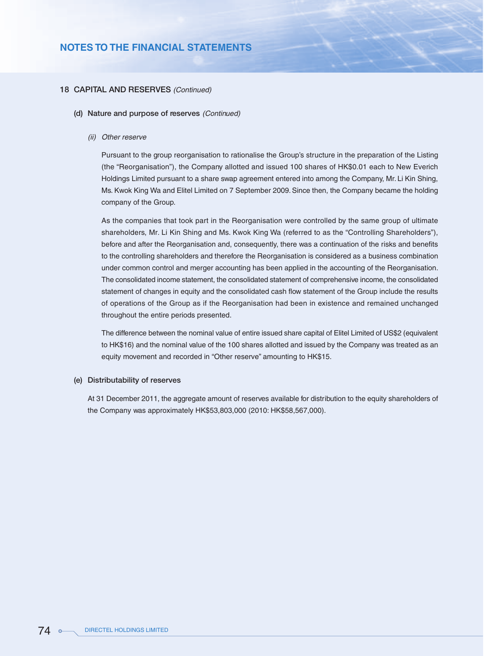# **NOTES TO THE FINANCIAL STATEMENTS**

#### **18 CAPITAL AND RESERVES** (Continued)

#### **(d) Nature and purpose of reserves** (Continued)

(ii) Other reserve

Pursuant to the group reorganisation to rationalise the Group's structure in the preparation of the Listing (the "Reorganisation"), the Company allotted and issued 100 shares of HK\$0.01 each to New Everich Holdings Limited pursuant to a share swap agreement entered into among the Company, Mr. Li Kin Shing, Ms. Kwok King Wa and Elitel Limited on 7 September 2009. Since then, the Company became the holding company of the Group.

As the companies that took part in the Reorganisation were controlled by the same group of ultimate shareholders, Mr. Li Kin Shing and Ms. Kwok King Wa (referred to as the "Controlling Shareholders"), before and after the Reorganisation and, consequently, there was a continuation of the risks and benefits to the controlling shareholders and therefore the Reorganisation is considered as a business combination under common control and merger accounting has been applied in the accounting of the Reorganisation. The consolidated income statement, the consolidated statement of comprehensive income, the consolidated statement of changes in equity and the consolidated cash flow statement of the Group include the results of operations of the Group as if the Reorganisation had been in existence and remained unchanged throughout the entire periods presented.

The difference between the nominal value of entire issued share capital of Elitel Limited of US\$2 (equivalent to HK\$16) and the nominal value of the 100 shares allotted and issued by the Company was treated as an equity movement and recorded in "Other reserve" amounting to HK\$15.

#### **(e) Distributability of reserves**

At 31 December 2011, the aggregate amount of reserves available for distribution to the equity shareholders of the Company was approximately HK\$53,803,000 (2010: HK\$58,567,000).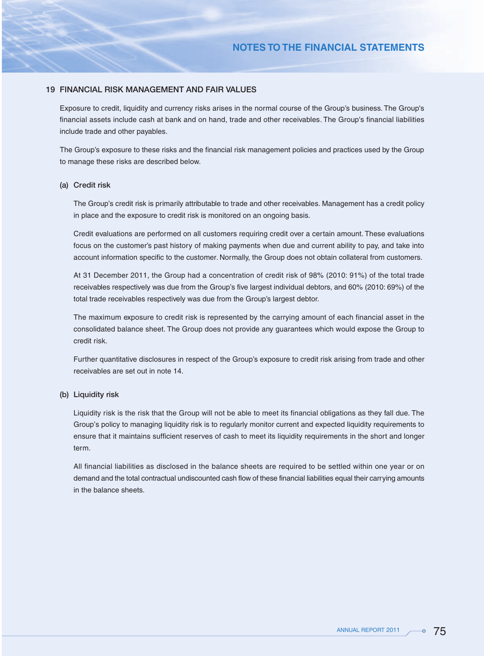#### **19 FINANCIAL RISK MANAGEMENT AND FAIR VALUES**

Exposure to credit, liquidity and currency risks arises in the normal course of the Group's business. The Group's financial assets include cash at bank and on hand, trade and other receivables. The Group's financial liabilities include trade and other payables.

The Group's exposure to these risks and the financial risk management policies and practices used by the Group to manage these risks are described below.

#### **(a) Credit risk**

The Group's credit risk is primarily attributable to trade and other receivables. Management has a credit policy in place and the exposure to credit risk is monitored on an ongoing basis.

Credit evaluations are performed on all customers requiring credit over a certain amount. These evaluations focus on the customer's past history of making payments when due and current ability to pay, and take into account information specific to the customer. Normally, the Group does not obtain collateral from customers.

At 31 December 2011, the Group had a concentration of credit risk of 98% (2010: 91%) of the total trade receivables respectively was due from the Group's five largest individual debtors, and 60% (2010: 69%) of the total trade receivables respectively was due from the Group's largest debtor.

The maximum exposure to credit risk is represented by the carrying amount of each financial asset in the consolidated balance sheet. The Group does not provide any guarantees which would expose the Group to credit risk.

Further quantitative disclosures in respect of the Group's exposure to credit risk arising from trade and other receivables are set out in note 14.

#### **(b) Liquidity risk**

Liquidity risk is the risk that the Group will not be able to meet its financial obligations as they fall due. The Group's policy to managing liquidity risk is to regularly monitor current and expected liquidity requirements to ensure that it maintains sufficient reserves of cash to meet its liquidity requirements in the short and longer term.

All financial liabilities as disclosed in the balance sheets are required to be settled within one year or on demand and the total contractual undiscounted cash flow of these financial liabilities equal their carrying amounts in the balance sheets.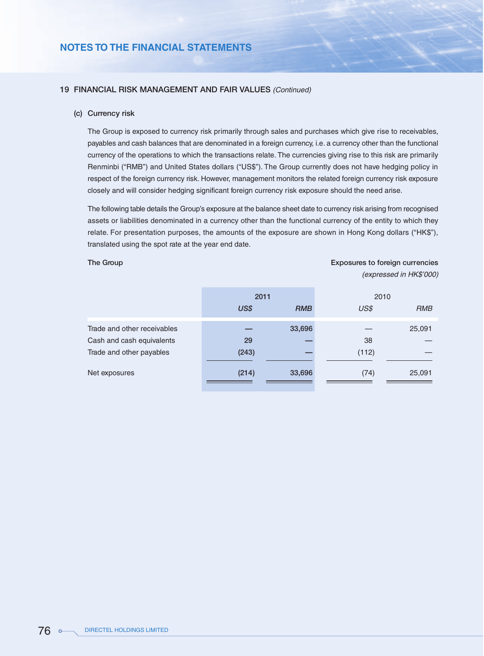#### **19 FINANCIAL RISK MANAGEMENT AND FAIR VALUES** (Continued)

#### **(c) Currency risk**

The Group is exposed to currency risk primarily through sales and purchases which give rise to receivables, payables and cash balances that are denominated in a foreign currency, i.e. a currency other than the functional currency of the operations to which the transactions relate. The currencies giving rise to this risk are primarily Renminbi ("RMB") and United States dollars ("US\$"). The Group currently does not have hedging policy in respect of the foreign currency risk. However, management monitors the related foreign currency risk exposure closely and will consider hedging significant foreign currency risk exposure should the need arise.

The following table details the Group's exposure at the balance sheet date to currency risk arising from recognised assets or liabilities denominated in a currency other than the functional currency of the entity to which they relate. For presentation purposes, the amounts of the exposure are shown in Hong Kong dollars ("HK\$"), translated using the spot rate at the year end date.

**The Group Exposures to foreign currencies** (expressed in HK\$'000)

|                             | 2011  |            | 2010  |            |
|-----------------------------|-------|------------|-------|------------|
|                             | US\$  | <b>RMB</b> | US\$  | <b>RMB</b> |
| Trade and other receivables |       | 33,696     |       | 25,091     |
| Cash and cash equivalents   | 29    |            | 38    |            |
| Trade and other payables    | (243) |            | (112) |            |
| Net exposures               | (214) | 33,696     | (74)  | 25,091     |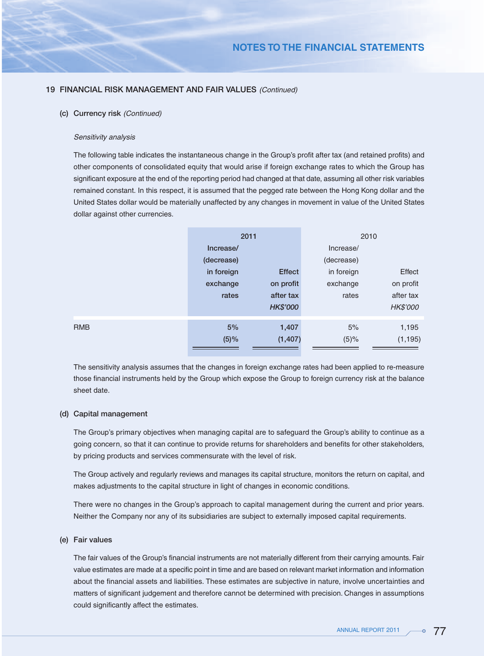#### **19 FINANCIAL RISK MANAGEMENT AND FAIR VALUES** (Continued)

#### **(c) Currency risk** (Continued)

#### Sensitivity analysis

The following table indicates the instantaneous change in the Group's profit after tax (and retained profits) and other components of consolidated equity that would arise if foreign exchange rates to which the Group has significant exposure at the end of the reporting period had changed at that date, assuming all other risk variables remained constant. In this respect, it is assumed that the pegged rate between the Hong Kong dollar and the United States dollar would be materially unaffected by any changes in movement in value of the United States dollar against other currencies.

|            |            | 2011            |            | 2010            |
|------------|------------|-----------------|------------|-----------------|
|            | Increase/  |                 | Increase/  |                 |
|            | (decrease) |                 | (decrease) |                 |
|            | in foreign | <b>Effect</b>   | in foreign | Effect          |
|            | exchange   | on profit       | exchange   | on profit       |
|            | rates      | after tax       | rates      | after tax       |
|            |            | <b>HK\$'000</b> |            | <b>HK\$'000</b> |
| <b>RMB</b> | 5%         | 1,407           | 5%         | 1,195           |
|            | (5)%       | (1, 407)        | (5)%       | (1, 195)        |

The sensitivity analysis assumes that the changes in foreign exchange rates had been applied to re-measure those financial instruments held by the Group which expose the Group to foreign currency risk at the balance sheet date.

#### **(d) Capital management**

The Group's primary objectives when managing capital are to safeguard the Group's ability to continue as a going concern, so that it can continue to provide returns for shareholders and benefits for other stakeholders, by pricing products and services commensurate with the level of risk.

The Group actively and regularly reviews and manages its capital structure, monitors the return on capital, and makes adjustments to the capital structure in light of changes in economic conditions.

There were no changes in the Group's approach to capital management during the current and prior years. Neither the Company nor any of its subsidiaries are subject to externally imposed capital requirements.

#### **(e) Fair values**

The fair values of the Group's financial instruments are not materially different from their carrying amounts. Fair value estimates are made at a specific point in time and are based on relevant market information and information about the financial assets and liabilities. These estimates are subjective in nature, involve uncertainties and matters of significant judgement and therefore cannot be determined with precision. Changes in assumptions could significantly affect the estimates.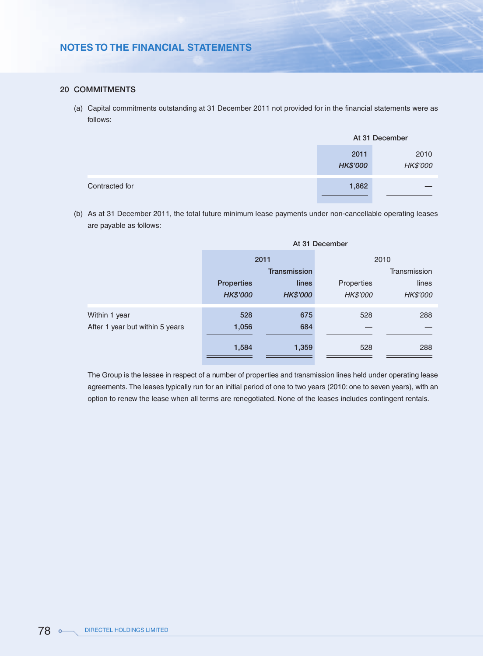# **20 COMMITMENTS**

(a) Capital commitments outstanding at 31 December 2011 not provided for in the financial statements were as follows:

|                | At 31 December          |                  |
|----------------|-------------------------|------------------|
|                | 2011<br><b>HK\$'000</b> | 2010<br>HK\$'000 |
| Contracted for | 1,862                   |                  |

(b) As at 31 December 2011, the total future minimum lease payments under non-cancellable operating leases are payable as follows:

|                                 | At 31 December    |                     |            |              |
|---------------------------------|-------------------|---------------------|------------|--------------|
|                                 | 2011              |                     | 2010       |              |
|                                 |                   | <b>Transmission</b> |            | Transmission |
|                                 | <b>Properties</b> | lines               | Properties | lines        |
|                                 | <b>HK\$'000</b>   | <b>HK\$'000</b>     | HK\$'000   | HK\$'000     |
| Within 1 year                   | 528               | 675                 | 528        | 288          |
| After 1 year but within 5 years | 1,056             | 684                 |            |              |
|                                 |                   |                     |            |              |
|                                 | 1,584             | 1,359               | 528        | 288          |

The Group is the lessee in respect of a number of properties and transmission lines held under operating lease agreements. The leases typically run for an initial period of one to two years (2010: one to seven years), with an option to renew the lease when all terms are renegotiated. None of the leases includes contingent rentals.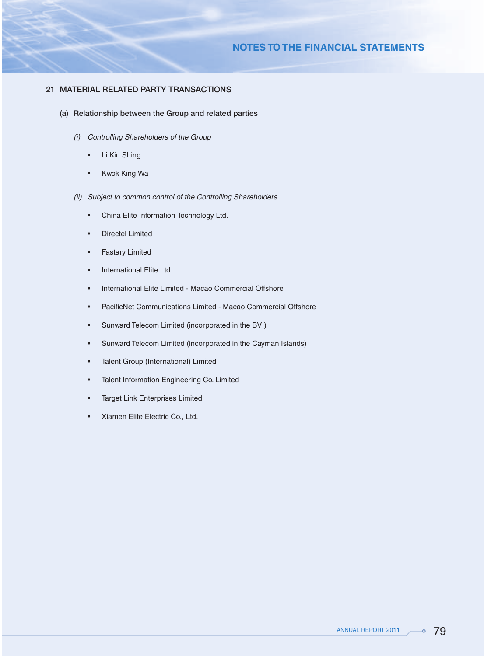# **NOTES TO THE FINANCIAL STATEMENTS**

# **21 MATERIAL RELATED PARTY TRANSACTIONS**

- **(a) Relationship between the Group and related parties**
	- (i) Controlling Shareholders of the Group
		- Li Kin Shing
		- Kwok King Wa
	- (ii) Subject to common control of the Controlling Shareholders
		- China Elite Information Technology Ltd.
		- Directel Limited
		- Fastary Limited
		- International Elite Ltd.
		- International Elite Limited Macao Commercial Offshore
		- PacificNet Communications Limited Macao Commercial Offshore
		- Sunward Telecom Limited (incorporated in the BVI)
		- Sunward Telecom Limited (incorporated in the Cayman Islands)
		- Talent Group (International) Limited
		- Talent Information Engineering Co. Limited
		- Target Link Enterprises Limited
		- Xiamen Elite Electric Co., Ltd.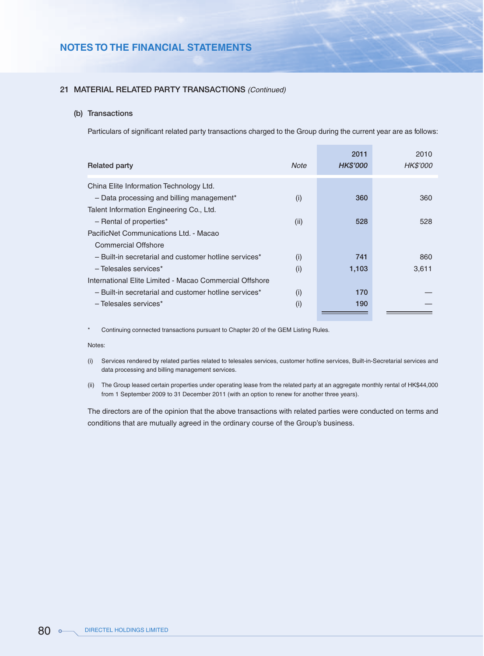# **21 MATERIAL RELATED PARTY TRANSACTIONS** (Continued)

#### **(b) Transactions**

Particulars of significant related party transactions charged to the Group during the current year are as follows:

| 360   |
|-------|
|       |
| 528   |
|       |
|       |
| 860   |
| 3,611 |
|       |
|       |
|       |
|       |

\* Continuing connected transactions pursuant to Chapter 20 of the GEM Listing Rules.

#### Notes:

- (i) Services rendered by related parties related to telesales services, customer hotline services, Built-in-Secretarial services and data processing and billing management services.
- (ii) The Group leased certain properties under operating lease from the related party at an aggregate monthly rental of HK\$44,000 from 1 September 2009 to 31 December 2011 (with an option to renew for another three years).

The directors are of the opinion that the above transactions with related parties were conducted on terms and conditions that are mutually agreed in the ordinary course of the Group's business.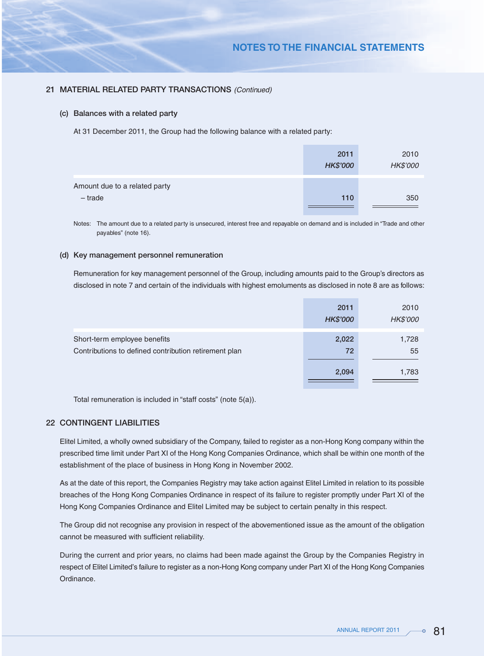## **21 MATERIAL RELATED PARTY TRANSACTIONS** (Continued)

#### **(c) Balances with a related party**

At 31 December 2011, the Group had the following balance with a related party:

|                                            | 2011<br><b>HK\$'000</b> | 2010<br><b>HK\$'000</b> |
|--------------------------------------------|-------------------------|-------------------------|
| Amount due to a related party<br>$-$ trade | 110                     | 350                     |

Notes: The amount due to a related party is unsecured, interest free and repayable on demand and is included in "Trade and other payables" (note 16).

#### **(d) Key management personnel remuneration**

Remuneration for key management personnel of the Group, including amounts paid to the Group's directors as disclosed in note 7 and certain of the individuals with highest emoluments as disclosed in note 8 are as follows:

|                                                                                       | 2011<br><b>HK\$'000</b> | 2010<br>HK\$'000 |
|---------------------------------------------------------------------------------------|-------------------------|------------------|
| Short-term employee benefits<br>Contributions to defined contribution retirement plan | 2,022<br>72             | 1,728<br>55      |
|                                                                                       | 2,094                   | 1,783            |

Total remuneration is included in "staff costs" (note 5(a)).

# **22 CONTINGENT LIABILITIES**

Elitel Limited, a wholly owned subsidiary of the Company, failed to register as a non-Hong Kong company within the prescribed time limit under Part XI of the Hong Kong Companies Ordinance, which shall be within one month of the establishment of the place of business in Hong Kong in November 2002.

As at the date of this report, the Companies Registry may take action against Elitel Limited in relation to its possible breaches of the Hong Kong Companies Ordinance in respect of its failure to register promptly under Part XI of the Hong Kong Companies Ordinance and Elitel Limited may be subject to certain penalty in this respect.

The Group did not recognise any provision in respect of the abovementioned issue as the amount of the obligation cannot be measured with sufficient reliability.

During the current and prior years, no claims had been made against the Group by the Companies Registry in respect of Elitel Limited's failure to register as a non-Hong Kong company under Part XI of the Hong Kong Companies Ordinance.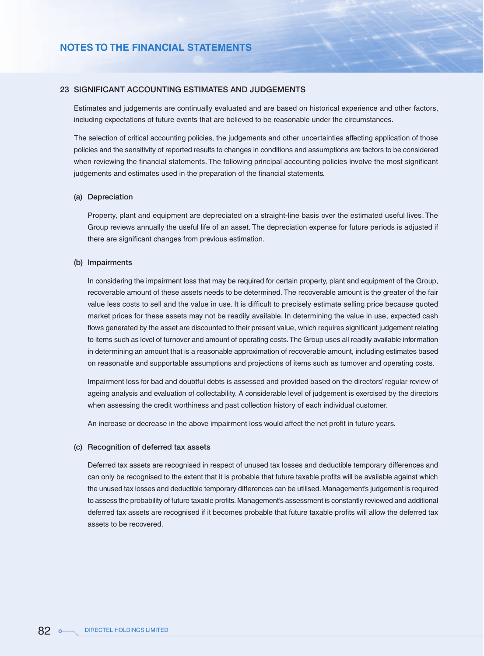## **23 SIGNIFICANT ACCOUNTING ESTIMATES AND JUDGEMENTS**

Estimates and judgements are continually evaluated and are based on historical experience and other factors, including expectations of future events that are believed to be reasonable under the circumstances.

The selection of critical accounting policies, the judgements and other uncertainties affecting application of those policies and the sensitivity of reported results to changes in conditions and assumptions are factors to be considered when reviewing the financial statements. The following principal accounting policies involve the most significant judgements and estimates used in the preparation of the financial statements.

#### **(a) Depreciation**

Property, plant and equipment are depreciated on a straight-line basis over the estimated useful lives. The Group reviews annually the useful life of an asset. The depreciation expense for future periods is adjusted if there are significant changes from previous estimation.

#### **(b) Impairments**

In considering the impairment loss that may be required for certain property, plant and equipment of the Group, recoverable amount of these assets needs to be determined. The recoverable amount is the greater of the fair value less costs to sell and the value in use. It is difficult to precisely estimate selling price because quoted market prices for these assets may not be readily available. In determining the value in use, expected cash flows generated by the asset are discounted to their present value, which requires significant judgement relating to items such as level of turnover and amount of operating costs. The Group uses all readily available information in determining an amount that is a reasonable approximation of recoverable amount, including estimates based on reasonable and supportable assumptions and projections of items such as turnover and operating costs.

Impairment loss for bad and doubtful debts is assessed and provided based on the directors' regular review of ageing analysis and evaluation of collectability. A considerable level of judgement is exercised by the directors when assessing the credit worthiness and past collection history of each individual customer.

An increase or decrease in the above impairment loss would affect the net profit in future years.

#### **(c) Recognition of deferred tax assets**

Deferred tax assets are recognised in respect of unused tax losses and deductible temporary differences and can only be recognised to the extent that it is probable that future taxable profits will be available against which the unused tax losses and deductible temporary differences can be utilised. Management's judgement is required to assess the probability of future taxable profits. Management's assessment is constantly reviewed and additional deferred tax assets are recognised if it becomes probable that future taxable profits will allow the deferred tax assets to be recovered.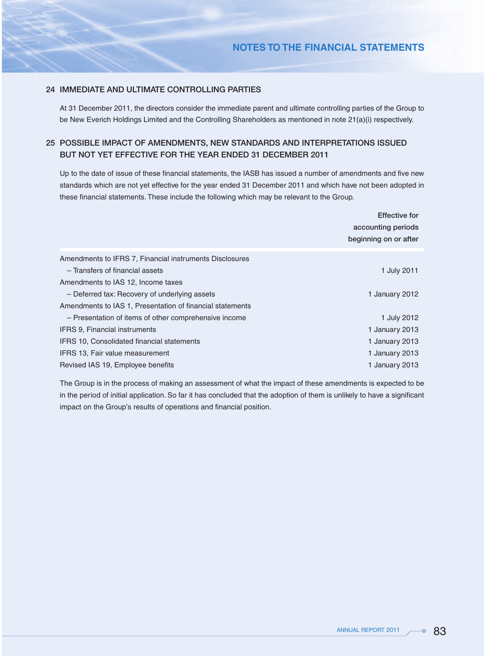# **24 IMMEDIATE AND ULTIMATE CONTROLLING PARTIES**

At 31 December 2011, the directors consider the immediate parent and ultimate controlling parties of the Group to be New Everich Holdings Limited and the Controlling Shareholders as mentioned in note 21(a)(i) respectively.

# **25 POSSIBLE IMPACT OF AMENDMENTS, NEW STANDARDS AND INTERPRETATIONS ISSUED BUT NOT YET EFFECTIVE FOR THE YEAR ENDED 31 DECEMBER 2011**

Up to the date of issue of these financial statements, the IASB has issued a number of amendments and five new standards which are not yet effective for the year ended 31 December 2011 and which have not been adopted in these financial statements. These include the following which may be relevant to the Group.

|                                                           | <b>Effective for</b>  |
|-----------------------------------------------------------|-----------------------|
|                                                           | accounting periods    |
|                                                           | beginning on or after |
| Amendments to IFRS 7, Financial instruments Disclosures   |                       |
| - Transfers of financial assets                           | 1 July 2011           |
| Amendments to IAS 12, Income taxes                        |                       |
| - Deferred tax: Recovery of underlying assets             | 1 January 2012        |
| Amendments to IAS 1, Presentation of financial statements |                       |
| - Presentation of items of other comprehensive income     | 1 July 2012           |
| <b>IFRS 9. Financial instruments</b>                      | 1 January 2013        |
| IFRS 10, Consolidated financial statements                | 1 January 2013        |
| IFRS 13, Fair value measurement                           | 1 January 2013        |
| Revised IAS 19, Employee benefits                         | 1 January 2013        |

The Group is in the process of making an assessment of what the impact of these amendments is expected to be in the period of initial application. So far it has concluded that the adoption of them is unlikely to have a significant impact on the Group's results of operations and financial position.